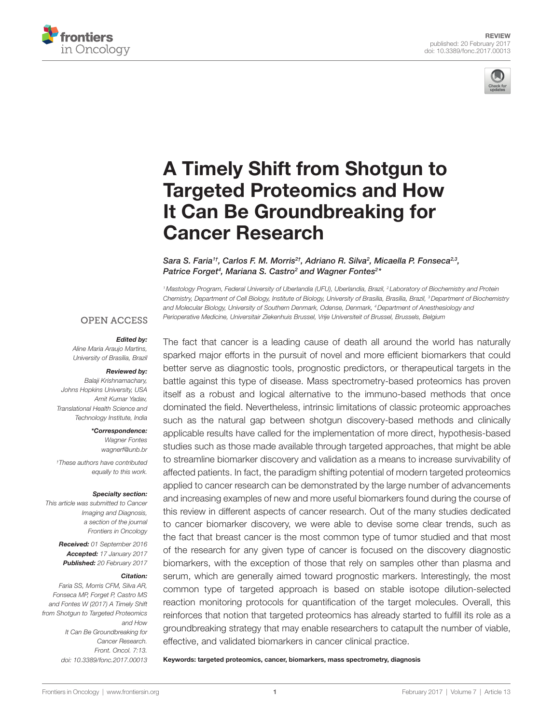



# [A Timely Shift from Shotgun to](http://www.frontiersin.org/Journal/10.3389/fonc.2017.00013/abstract)  [Targeted Proteomics and How](http://www.frontiersin.org/Journal/10.3389/fonc.2017.00013/abstract)  [it Can Be Groundbreaking for](http://www.frontiersin.org/Journal/10.3389/fonc.2017.00013/abstract)  [Cancer Research](http://www.frontiersin.org/Journal/10.3389/fonc.2017.00013/abstract)

*[Sara S. Faria](http://loop.frontiersin.org/people/414541)1†, [Carlos F. M. Morris](http://loop.frontiersin.org/people/375094)2†, [Adriano R. Silva](http://loop.frontiersin.org/people/386026)2 , [Micaella P. Fonseca](http://loop.frontiersin.org/people/386003)2,3, [Patrice Forget](http://loop.frontiersin.org/people/130643)4 , [Mariana S. Castro2](http://loop.frontiersin.org/people/414583) and [Wagner Fontes](http://loop.frontiersin.org/people/347633)2 \**

*1Mastology Program, Federal University of Uberlandia (UFU), Uberlandia, Brazil, 2 Laboratory of Biochemistry and Protein Chemistry, Department of Cell Biology, Institute of Biology, University of Brasilia, Brasília, Brazil, 3Department of Biochemistry and Molecular Biology, University of Southern Denmark, Odense, Denmark, 4Department of Anesthesiology and Perioperative Medicine, Universitair Ziekenhuis Brussel, Vrije Universiteit of Brussel, Brussels, Belgium*

#### **OPEN ACCESS**

#### *Edited by:*

*Aline Maria Araujo Martins, University of Brasília, Brazil*

#### *Reviewed by:*

*Balaji Krishnamachary, Johns Hopkins University, USA Amit Kumar Yadav, Translational Health Science and Technology Institute, India*

*\*Correspondence:*

*Wagner Fontes [wagnerf@unb.br](mailto:wagnerf@unb.br)*

*† These authors have contributed equally to this work.*

#### *Specialty section:*

*This article was submitted to Cancer Imaging and Diagnosis, a section of the journal Frontiers in Oncology*

> *Received: 01 September 2016 Accepted: 17 January 2017 Published: 20 February 2017*

#### *Citation:*

*Faria SS, Morris CFM, Silva AR, Fonseca MP, Forget P, Castro MS and Fontes W (2017) A Timely Shift from Shotgun to Targeted Proteomics and How It Can Be Groundbreaking for Cancer Research. Front. Oncol. 7:13. doi: [10.3389/fonc.2017.00013](https://doi.org/10.3389/fonc.2017.00013)* The fact that cancer is a leading cause of death all around the world has naturally sparked major efforts in the pursuit of novel and more efficient biomarkers that could better serve as diagnostic tools, prognostic predictors, or therapeutical targets in the battle against this type of disease. Mass spectrometry-based proteomics has proven itself as a robust and logical alternative to the immuno-based methods that once dominated the field. Nevertheless, intrinsic limitations of classic proteomic approaches such as the natural gap between shotgun discovery-based methods and clinically applicable results have called for the implementation of more direct, hypothesis-based studies such as those made available through targeted approaches, that might be able to streamline biomarker discovery and validation as a means to increase survivability of affected patients. In fact, the paradigm shifting potential of modern targeted proteomics applied to cancer research can be demonstrated by the large number of advancements and increasing examples of new and more useful biomarkers found during the course of this review in different aspects of cancer research. Out of the many studies dedicated to cancer biomarker discovery, we were able to devise some clear trends, such as the fact that breast cancer is the most common type of tumor studied and that most of the research for any given type of cancer is focused on the discovery diagnostic biomarkers, with the exception of those that rely on samples other than plasma and serum, which are generally aimed toward prognostic markers. Interestingly, the most common type of targeted approach is based on stable isotope dilution-selected reaction monitoring protocols for quantification of the target molecules. Overall, this reinforces that notion that targeted proteomics has already started to fulfill its role as a groundbreaking strategy that may enable researchers to catapult the number of viable, effective, and validated biomarkers in cancer clinical practice.

Keywords: targeted proteomics, cancer, biomarkers, mass spectrometry, diagnosis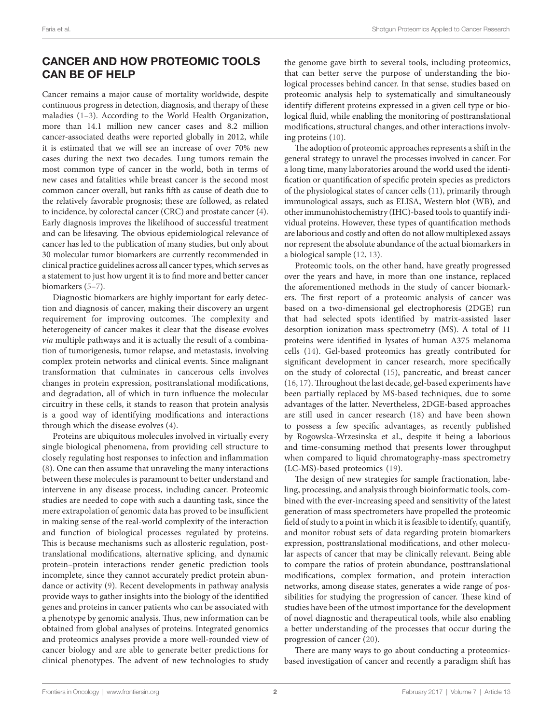### CANCER AND HOW PROTEOMIC TOOLS CAN BE OF HELP

Cancer remains a major cause of mortality worldwide, despite continuous progress in detection, diagnosis, and therapy of these maladies [\(1–](#page-22-0)[3](#page-22-1)). According to the World Health Organization, more than 14.1 million new cancer cases and 8.2 million cancer-associated deaths were reported globally in 2012, while it is estimated that we will see an increase of over 70% new cases during the next two decades. Lung tumors remain the most common type of cancer in the world, both in terms of new cases and fatalities while breast cancer is the second most common cancer overall, but ranks fifth as cause of death due to the relatively favorable prognosis; these are followed, as related to incidence, by colorectal cancer (CRC) and prostate cancer [\(4\)](#page-22-2). Early diagnosis improves the likelihood of successful treatment and can be lifesaving. The obvious epidemiological relevance of cancer has led to the publication of many studies, but only about 30 molecular tumor biomarkers are currently recommended in clinical practice guidelines across all cancer types, which serves as a statement to just how urgent it is to find more and better cancer biomarkers ([5](#page-22-3)[–7\)](#page-22-4).

Diagnostic biomarkers are highly important for early detection and diagnosis of cancer, making their discovery an urgent requirement for improving outcomes. The complexity and heterogeneity of cancer makes it clear that the disease evolves *via* multiple pathways and it is actually the result of a combination of tumorigenesis, tumor relapse, and metastasis, involving complex protein networks and clinical events. Since malignant transformation that culminates in cancerous cells involves changes in protein expression, posttranslational modifications, and degradation, all of which in turn influence the molecular circuitry in these cells, it stands to reason that protein analysis is a good way of identifying modifications and interactions through which the disease evolves ([4](#page-22-2)).

Proteins are ubiquitous molecules involved in virtually every single biological phenomena, from providing cell structure to closely regulating host responses to infection and inflammation ([8](#page-22-5)). One can then assume that unraveling the many interactions between these molecules is paramount to better understand and intervene in any disease process, including cancer. Proteomic studies are needed to cope with such a daunting task, since the mere extrapolation of genomic data has proved to be insufficient in making sense of the real-world complexity of the interaction and function of biological processes regulated by proteins. This is because mechanisms such as allosteric regulation, posttranslational modifications, alternative splicing, and dynamic protein–protein interactions render genetic prediction tools incomplete, since they cannot accurately predict protein abundance or activity ([9\)](#page-22-6). Recent developments in pathway analysis provide ways to gather insights into the biology of the identified genes and proteins in cancer patients who can be associated with a phenotype by genomic analysis. Thus, new information can be obtained from global analyses of proteins. Integrated genomics and proteomics analyses provide a more well-rounded view of cancer biology and are able to generate better predictions for clinical phenotypes. The advent of new technologies to study

the genome gave birth to several tools, including proteomics, that can better serve the purpose of understanding the biological processes behind cancer. In that sense, studies based on proteomic analysis help to systematically and simultaneously identify different proteins expressed in a given cell type or biological fluid, while enabling the monitoring of posttranslational modifications, structural changes, and other interactions involving proteins ([10\)](#page-22-7).

The adoption of proteomic approaches represents a shift in the general strategy to unravel the processes involved in cancer. For a long time, many laboratories around the world used the identification or quantification of specific protein species as predictors of the physiological states of cancer cells [\(11](#page-22-8)), primarily through immunological assays, such as ELISA, Western blot (WB), and other immunohistochemistry (IHC)-based tools to quantify individual proteins. However, these types of quantification methods are laborious and costly and often do not allow multiplexed assays nor represent the absolute abundance of the actual biomarkers in a biological sample ([12,](#page-22-9) [13](#page-22-10)).

Proteomic tools, on the other hand, have greatly progressed over the years and have, in more than one instance, replaced the aforementioned methods in the study of cancer biomarkers. The first report of a proteomic analysis of cancer was based on a two-dimensional gel electrophoresis (2DGE) run that had selected spots identified by matrix-assisted laser desorption ionization mass spectrometry (MS). A total of 11 proteins were identified in lysates of human A375 melanoma cells ([14\)](#page-22-11). Gel-based proteomics has greatly contributed for significant development in cancer research, more specifically on the study of colorectal ([15](#page-22-12)), pancreatic, and breast cancer [\(16,](#page-22-13) [17\)](#page-22-14). Throughout the last decade, gel-based experiments have been partially replaced by MS-based techniques, due to some advantages of the latter. Nevertheless, 2DGE-based approaches are still used in cancer research [\(18\)](#page-22-15) and have been shown to possess a few specific advantages, as recently published by Rogowska-Wrzesinska et al., despite it being a laborious and time-consuming method that presents lower throughput when compared to liquid chromatography-mass spectrometry (LC-MS)-based proteomics ([19](#page-22-16)).

The design of new strategies for sample fractionation, labeling, processing, and analysis through bioinformatic tools, combined with the ever-increasing speed and sensitivity of the latest generation of mass spectrometers have propelled the proteomic field of study to a point in which it is feasible to identify, quantify, and monitor robust sets of data regarding protein biomarkers expression, posttranslational modifications, and other molecular aspects of cancer that may be clinically relevant. Being able to compare the ratios of protein abundance, posttranslational modifications, complex formation, and protein interaction networks, among disease states, generates a wide range of possibilities for studying the progression of cancer. These kind of studies have been of the utmost importance for the development of novel diagnostic and therapeutical tools, while also enabling a better understanding of the processes that occur during the progression of cancer [\(20](#page-22-17)).

There are many ways to go about conducting a proteomicsbased investigation of cancer and recently a paradigm shift has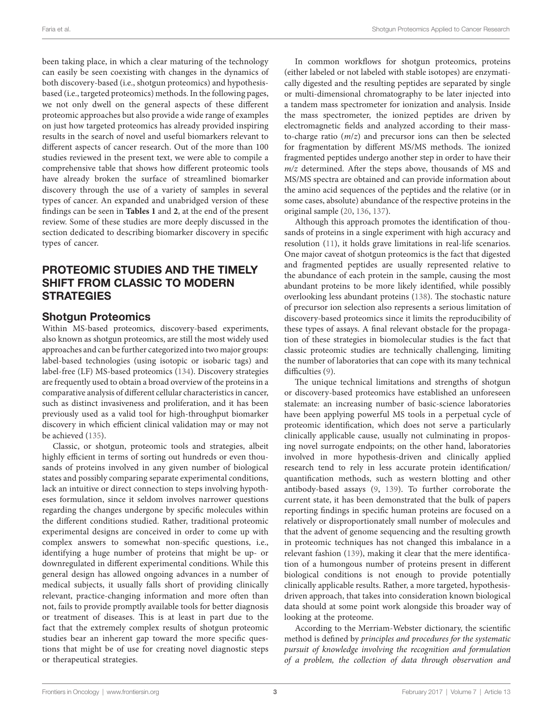been taking place, in which a clear maturing of the technology can easily be seen coexisting with changes in the dynamics of both discovery-based (i.e., shotgun proteomics) and hypothesisbased (i.e., targeted proteomics) methods. In the following pages, we not only dwell on the general aspects of these different proteomic approaches but also provide a wide range of examples on just how targeted proteomics has already provided inspiring results in the search of novel and useful biomarkers relevant to different aspects of cancer research. Out of the more than 100 studies reviewed in the present text, we were able to compile a comprehensive table that shows how different proteomic tools have already broken the surface of streamlined biomarker discovery through the use of a variety of samples in several types of cancer. An expanded and unabridged version of these findings can be seen in **[Tables 1](#page-3-0)** and **[2](#page-17-0)**, at the end of the present review. Some of these studies are more deeply discussed in the section dedicated to describing biomarker discovery in specific types of cancer.

# PROTEOMIC STUDIES AND THE TIMELY SHIFT FROM CLASSIC TO MODERN **STRATEGIES**

### Shotgun Proteomics

Within MS-based proteomics, discovery-based experiments, also known as shotgun proteomics, are still the most widely used approaches and can be further categorized into two major groups: label-based technologies (using isotopic or isobaric tags) and label-free (LF) MS-based proteomics [\(134](#page-26-0)). Discovery strategies are frequently used to obtain a broad overview of the proteins in a comparative analysis of different cellular characteristics in cancer, such as distinct invasiveness and proliferation, and it has been previously used as a valid tool for high-throughput biomarker discovery in which efficient clinical validation may or may not be achieved [\(135\)](#page-26-1).

Classic, or shotgun, proteomic tools and strategies, albeit highly efficient in terms of sorting out hundreds or even thousands of proteins involved in any given number of biological states and possibly comparing separate experimental conditions, lack an intuitive or direct connection to steps involving hypotheses formulation, since it seldom involves narrower questions regarding the changes undergone by specific molecules within the different conditions studied. Rather, traditional proteomic experimental designs are conceived in order to come up with complex answers to somewhat non-specific questions, i.e., identifying a huge number of proteins that might be up- or downregulated in different experimental conditions. While this general design has allowed ongoing advances in a number of medical subjects, it usually falls short of providing clinically relevant, practice-changing information and more often than not, fails to provide promptly available tools for better diagnosis or treatment of diseases. This is at least in part due to the fact that the extremely complex results of shotgun proteomic studies bear an inherent gap toward the more specific questions that might be of use for creating novel diagnostic steps or therapeutical strategies.

In common workflows for shotgun proteomics, proteins (either labeled or not labeled with stable isotopes) are enzymatically digested and the resulting peptides are separated by single or multi-dimensional chromatography to be later injected into a tandem mass spectrometer for ionization and analysis. Inside the mass spectrometer, the ionized peptides are driven by electromagnetic fields and analyzed according to their massto-charge ratio (*m*/*z*) and precursor ions can then be selected for fragmentation by different MS/MS methods. The ionized fragmented peptides undergo another step in order to have their *m/z* determined. After the steps above, thousands of MS and MS/MS spectra are obtained and can provide information about the amino acid sequences of the peptides and the relative (or in some cases, absolute) abundance of the respective proteins in the original sample ([20](#page-22-17), [136](#page-26-2), [137](#page-26-3)).

Although this approach promotes the identification of thousands of proteins in a single experiment with high accuracy and resolution [\(11](#page-22-8)), it holds grave limitations in real-life scenarios. One major caveat of shotgun proteomics is the fact that digested and fragmented peptides are usually represented relative to the abundance of each protein in the sample, causing the most abundant proteins to be more likely identified, while possibly overlooking less abundant proteins ([138](#page-26-4)). The stochastic nature of precursor ion selection also represents a serious limitation of discovery-based proteomics since it limits the reproducibility of these types of assays. A final relevant obstacle for the propagation of these strategies in biomolecular studies is the fact that classic proteomic studies are technically challenging, limiting the number of laboratories that can cope with its many technical difficulties [\(9\)](#page-22-6).

The unique technical limitations and strengths of shotgun or discovery-based proteomics have established an unforeseen stalemate: an increasing number of basic-science laboratories have been applying powerful MS tools in a perpetual cycle of proteomic identification, which does not serve a particularly clinically applicable cause, usually not culminating in proposing novel surrogate endpoints; on the other hand, laboratories involved in more hypothesis-driven and clinically applied research tend to rely in less accurate protein identification/ quantification methods, such as western blotting and other antibody-based assays ([9](#page-22-6), [139\)](#page-26-5). To further corroborate the current state, it has been demonstrated that the bulk of papers reporting findings in specific human proteins are focused on a relatively or disproportionately small number of molecules and that the advent of genome sequencing and the resulting growth in proteomic techniques has not changed this imbalance in a relevant fashion ([139](#page-26-5)), making it clear that the mere identification of a humongous number of proteins present in different biological conditions is not enough to provide potentially clinically applicable results. Rather, a more targeted, hypothesisdriven approach, that takes into consideration known biological data should at some point work alongside this broader way of looking at the proteome.

According to the Merriam-Webster dictionary, the scientific method is defined by *principles and procedures for the systematic pursuit of knowledge involving the recognition and formulation of a problem, the collection of data through observation and*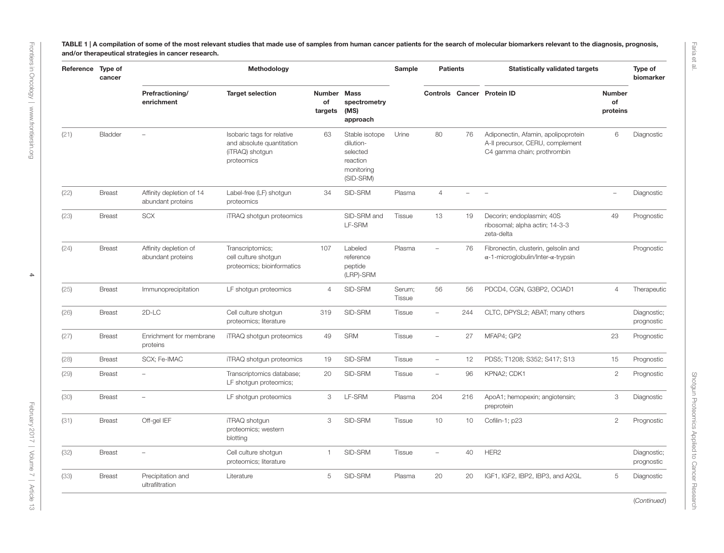TABLE 1 | A compilation of some of the most relevant studies that made use of samples from human cancer patients for the search of molecular biomarkers relevant to the diagnosis, prognosis, and/or therapeutical strategies in cancer research.

<span id="page-3-0"></span>

| Reference Type of | cancer        |                                               | Methodology                                                                              |                              |                                                                                | Sample                  | <b>Patients</b>          |     | <b>Statistically validated targets</b>                                                                 |                                 | Type of<br>biomarker      |
|-------------------|---------------|-----------------------------------------------|------------------------------------------------------------------------------------------|------------------------------|--------------------------------------------------------------------------------|-------------------------|--------------------------|-----|--------------------------------------------------------------------------------------------------------|---------------------------------|---------------------------|
|                   |               | Prefractioning/<br>enrichment                 | <b>Target selection</b>                                                                  | Number Mass<br>of<br>targets | spectrometry<br>(MS)<br>approach                                               |                         |                          |     | Controls Cancer Protein ID                                                                             | <b>Number</b><br>of<br>proteins |                           |
| (21)              | Bladder       | $\overline{\phantom{0}}$                      | Isobaric tags for relative<br>and absolute quantitation<br>(iTRAQ) shotgun<br>proteomics | 63                           | Stable isotope<br>dilution-<br>selected<br>reaction<br>monitoring<br>(SID-SRM) | Urine                   | 80                       | 76  | Adiponectin, Afamin, apolipoprotein<br>A-II precursor, CERU, complement<br>C4 gamma chain; prothrombin | 6                               | Diagnostic                |
| (22)              | <b>Breast</b> | Affinity depletion of 14<br>abundant proteins | Label-free (LF) shotgun<br>proteomics                                                    | 34                           | SID-SRM                                                                        | Plasma                  | $\overline{4}$           |     | $\overline{\phantom{a}}$                                                                               | $\overline{\phantom{0}}$        | Diagnostic                |
| (23)              | <b>Breast</b> | <b>SCX</b>                                    | iTRAQ shotgun proteomics                                                                 |                              | SID-SRM and<br>LF-SRM                                                          | <b>Tissue</b>           | 13                       | 19  | Decorin; endoplasmin; 40S<br>ribosomal; alpha actin; 14-3-3<br>zeta-delta                              | 49                              | Prognostic                |
| (24)              | <b>Breast</b> | Affinity depletion of<br>abundant proteins    | Transcriptomics;<br>cell culture shotgun<br>proteomics; bioinformatics                   | 107                          | Labeled<br>reference<br>peptide<br>(LRP)-SRM                                   | Plasma                  | $\overline{\phantom{a}}$ | 76  | Fibronectin, clusterin, gelsolin and<br>$\alpha$ -1-microglobulin/Inter- $\alpha$ -trypsin             |                                 | Prognostic                |
| (25)              | <b>Breast</b> | Immunoprecipitation                           | LF shotgun proteomics                                                                    | $\overline{4}$               | SID-SRM                                                                        | Serum;<br><b>Tissue</b> | 56                       | 56  | PDCD4, CGN, G3BP2, OCIAD1                                                                              | $\overline{4}$                  | Therapeutic               |
| (26)              | <b>Breast</b> | 2D-LC                                         | Cell culture shotgun<br>proteomics; literature                                           | 319                          | SID-SRM                                                                        | <b>Tissue</b>           | $\overline{\phantom{a}}$ | 244 | CLTC, DPYSL2; ABAT; many others                                                                        |                                 | Diagnostic;<br>prognostic |
| (27)              | <b>Breast</b> | Enrichment for membrane<br>proteins           | iTRAQ shotgun proteomics                                                                 | 49                           | <b>SRM</b>                                                                     | <b>Tissue</b>           | $\overline{\phantom{a}}$ | 27  | MFAP4; GP2                                                                                             | 23                              | Prognostic                |
| (28)              | <b>Breast</b> | SCX; Fe-IMAC                                  | iTRAQ shotgun proteomics                                                                 | 19                           | SID-SRM                                                                        | <b>Tissue</b>           | $\overline{\phantom{m}}$ | 12  | PDS5; T1208; S352; S417; S13                                                                           | 15                              | Prognostic                |
| (29)              | <b>Breast</b> | ÷,                                            | Transcriptomics database;<br>LF shotgun proteomics;                                      | 20                           | SID-SRM                                                                        | Tissue                  | $\overline{\phantom{0}}$ | 96  | KPNA2; CDK1                                                                                            | $\mathbf{2}$                    | Prognostic                |
| (30)              | <b>Breast</b> | ÷,                                            | LF shotgun proteomics                                                                    | 3                            | LF-SRM                                                                         | Plasma                  | 204                      | 216 | ApoA1; hemopexin; angiotensin;<br>preprotein                                                           | 3                               | Diagnostic                |
| (31)              | <b>Breast</b> | Off-gel IEF                                   | iTRAQ shotgun<br>proteomics; western<br>blotting                                         | 3                            | SID-SRM                                                                        | Tissue                  | 10                       | 10  | Cofilin-1; p23                                                                                         | $\mathbf{2}$                    | Prognostic                |
| (32)              | <b>Breast</b> | L.                                            | Cell culture shotgun<br>proteomics; literature                                           | $\mathbf{1}$                 | SID-SRM                                                                        | Tissue                  | $\equiv$                 | 40  | HER2                                                                                                   |                                 | Diagnostic;<br>prognostic |
| (33)              | <b>Breast</b> | Precipitation and<br>ultrafiltration          | Literature                                                                               | 5                            | SID-SRM                                                                        | Plasma                  | 20                       | 20  | IGF1, IGF2, IBP2, IBP3, and A2GL                                                                       | 5                               | Diagnostic                |

(*Continued*)

Shotgun Proteomics Applied to Cancer Research

Shotgun Proteomics Applied to Cancer Research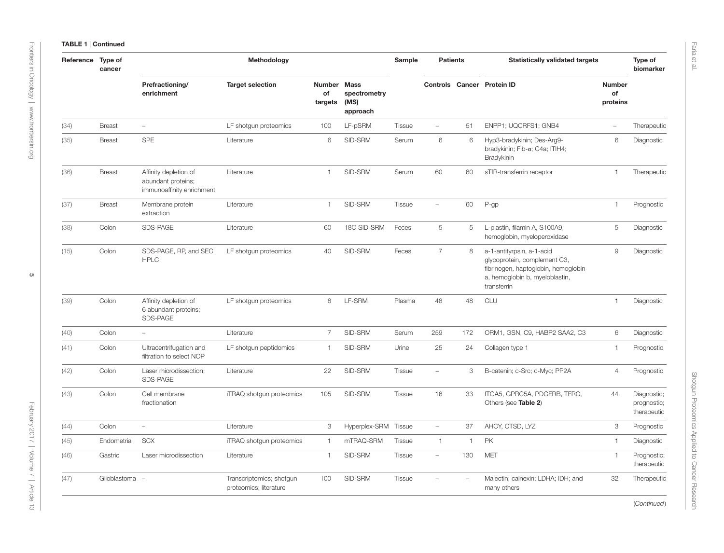| Reference Type of | cancer        |                                                                          | Methodology                                        |                                |                                                 | Sample        | <b>Patients</b>          |              | <b>Statistically validated targets</b>                                                                                                            |                                 | Type of<br>biomarker                      |
|-------------------|---------------|--------------------------------------------------------------------------|----------------------------------------------------|--------------------------------|-------------------------------------------------|---------------|--------------------------|--------------|---------------------------------------------------------------------------------------------------------------------------------------------------|---------------------------------|-------------------------------------------|
|                   |               | Prefractioning/<br>enrichment                                            | <b>Target selection</b>                            | <b>Number</b><br>of<br>targets | <b>Mass</b><br>spectrometry<br>(MS)<br>approach |               |                          |              | <b>Controls Cancer Protein ID</b>                                                                                                                 | <b>Number</b><br>of<br>proteins |                                           |
| (34)              | <b>Breast</b> | $\equiv$                                                                 | LF shotgun proteomics                              | 100                            | LF-pSRM                                         | <b>Tissue</b> | $\overline{\phantom{0}}$ | 51           | ENPP1; UQCRFS1; GNB4                                                                                                                              | $\equiv$                        | Therapeutic                               |
| (35)              | <b>Breast</b> | SPE                                                                      | Literature                                         | 6                              | SID-SRM                                         | Serum         | 6                        | 6            | Hyp3-bradykinin; Des-Arg9-<br>bradykinin; Fib-α; C4a; ITIH4;<br>Bradykinin                                                                        | 6                               | Diagnostic                                |
| (36)              | <b>Breast</b> | Affinity depletion of<br>abundant proteins;<br>immunoaffinity enrichment | Literature                                         | $\overline{1}$                 | SID-SRM                                         | Serum         | 60                       | 60           | sTfR-transferrin receptor                                                                                                                         | $\mathbf{1}$                    | Therapeutic                               |
| (37)              | <b>Breast</b> | Membrane protein<br>extraction                                           | Literature                                         | $\overline{1}$                 | SID-SRM                                         | <b>Tissue</b> | $\overline{\phantom{0}}$ | 60           | P-gp                                                                                                                                              | 1                               | Prognostic                                |
| (38)              | Colon         | SDS-PAGE                                                                 | Literature                                         | 60                             | 180 SID-SRM                                     | Feces         | 5                        | 5            | L-plastin, filamin A, S100A9,<br>hemoglobin, myeloperoxidase                                                                                      | 5                               | Diagnostic                                |
| (15)              | Colon         | SDS-PAGE, RP, and SEC<br><b>HPLC</b>                                     | LF shotgun proteomics                              | 40                             | SID-SRM                                         | Feces         | $\overline{7}$           | 8            | a-1-antityrpsin, a-1-acid<br>glycoprotein, complement C3,<br>fibrinogen, haptoglobin, hemoglobin<br>a, hemoglobin b, myeloblastin,<br>transferrin | $\mathsf g$                     | Diagnostic                                |
| (39)              | Colon         | Affinity depletion of<br>6 abundant proteins;<br>SDS-PAGE                | LF shotgun proteomics                              | 8                              | LF-SRM                                          | Plasma        | 48                       | 48           | <b>CLU</b>                                                                                                                                        | $\mathbf{1}$                    | Diagnostic                                |
| (40)              | Colon         | $\equiv$                                                                 | Literature                                         | $\overline{7}$                 | SID-SRM                                         | Serum         | 259                      | 172          | ORM1, GSN, C9, HABP2 SAA2, C3                                                                                                                     | 6                               | Diagnostic                                |
| (41)              | Colon         | Ultracentrifugation and<br>filtration to select NOP                      | LF shotgun peptidomics                             | $\overline{1}$                 | SID-SRM                                         | Urine         | 25                       | 24           | Collagen type 1                                                                                                                                   | $\mathbf{1}$                    | Prognostic                                |
| (42)              | Colon         | Laser microdissection;<br>SDS-PAGE                                       | Literature                                         | 22                             | SID-SRM                                         | <b>Tissue</b> | ÷,                       | 3            | B-catenin; c-Src; c-Myc; PP2A                                                                                                                     | $\overline{4}$                  | Prognostic                                |
| (43)              | Colon         | Cell membrane<br>fractionation                                           | iTRAQ shotgun proteomics                           | 105                            | SID-SRM                                         | Tissue        | 16                       | 33           | ITGA5, GPRC5A, PDGFRB, TFRC,<br>Others (see Table 2)                                                                                              | 44                              | Diagnostic;<br>prognostic;<br>therapeutic |
| (44)              | Colon         | $\overline{\phantom{0}}$                                                 | Literature                                         | 3                              | Hyperplex-SRM Tissue                            |               | $\overline{\phantom{0}}$ | 37           | AHCY, CTSD, LYZ                                                                                                                                   | 3                               | Prognostic                                |
| (45)              | Endometrial   | <b>SCX</b>                                                               | iTRAQ shotgun proteomics                           | $\overline{1}$                 | mTRAQ-SRM                                       | Tissue        | $\mathbf{1}$             | $\mathbf{1}$ | <b>PK</b>                                                                                                                                         | $\mathbf{1}$                    | Diagnostic                                |
| (46)              | Gastric       | Laser microdissection                                                    | Literature                                         | $\overline{1}$                 | SID-SRM                                         | <b>Tissue</b> | $\overline{\phantom{a}}$ | 130          | <b>MET</b>                                                                                                                                        | 1                               | Prognostic;<br>therapeutic                |
| (47)              | Glioblastoma  | $\overline{\phantom{a}}$                                                 | Transcriptomics; shotgun<br>proteomics; literature | 100                            | SID-SRM                                         | <b>Tissue</b> |                          | $\equiv$     | Malectin; calnexin; LDHA; IDH; and<br>many others                                                                                                 | 32                              | Therapeutic                               |

(*Continued*)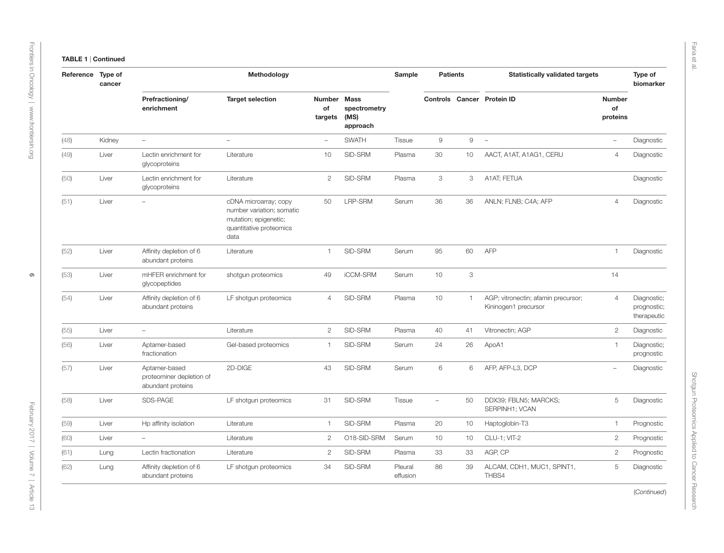| Reference | Type of<br>cancer |                                                                | Methodology                                                                                                    |                              |                                  | Sample              | <b>Patients</b> |              | <b>Statistically validated targets</b>                      |                                 | Type of<br>biomarker                      |
|-----------|-------------------|----------------------------------------------------------------|----------------------------------------------------------------------------------------------------------------|------------------------------|----------------------------------|---------------------|-----------------|--------------|-------------------------------------------------------------|---------------------------------|-------------------------------------------|
|           |                   | Prefractioning/<br>enrichment                                  | <b>Target selection</b>                                                                                        | Number Mass<br>of<br>targets | spectrometry<br>(MS)<br>approach |                     |                 |              | Controls Cancer Protein ID                                  | <b>Number</b><br>of<br>proteins |                                           |
| (48)      | Kidney            | $\equiv$                                                       | $\overline{\phantom{a}}$                                                                                       | $\overline{\phantom{a}}$     | <b>SWATH</b>                     | Tissue              | $\mathsf g$     | 9            | $\equiv$                                                    | $\overline{\phantom{a}}$        | Diagnostic                                |
| (49)      | Liver             | Lectin enrichment for<br>glycoproteins                         | Literature                                                                                                     | 10                           | SID-SRM                          | Plasma              | 30              | 10           | AACT, A1AT, A1AG1, CERU                                     | $\overline{4}$                  | Diagnostic                                |
| (50)      | Liver             | Lectin enrichment for<br>glycoproteins                         | Literature                                                                                                     | $\mathbf{2}$                 | SID-SRM                          | Plasma              | 3               | 3            | A1AT; FETUA                                                 |                                 | Diagnostic                                |
| (51)      | Liver             |                                                                | cDNA microarray; copy<br>number variation; somatic<br>mutation; epigenetic;<br>quantitative proteomics<br>data | 50                           | LRP-SRM                          | Serum               | 36              | 36           | ANLN; FLNB; C4A; AFP                                        | $\overline{4}$                  | Diagnostic                                |
| (52)      | Liver             | Affinity depletion of 6<br>abundant proteins                   | Literature                                                                                                     | 1                            | SID-SRM                          | Serum               | 95              | 60           | <b>AFP</b>                                                  | 1                               | Diagnostic                                |
| (53)      | Liver             | mHFER enrichment for<br>glycopeptides                          | shotgun proteomics                                                                                             | 49                           | iCCM-SRM                         | Serum               | 10              | 3            |                                                             | 14                              |                                           |
| (54)      | Liver             | Affinity depletion of 6<br>abundant proteins                   | LF shotgun proteomics                                                                                          | $\overline{4}$               | SID-SRM                          | Plasma              | 10              | $\mathbf{1}$ | AGP; vitronectin; afamin precursor;<br>Kininogen1 precursor | $\overline{4}$                  | Diagnostic;<br>prognostic;<br>therapeutic |
| (55)      | Liver             | $\equiv$                                                       | Literature                                                                                                     | $\mathbf{2}$                 | SID-SRM                          | Plasma              | 40              | 41           | Vitronectin; AGP                                            | $\overline{c}$                  | Diagnostic                                |
| (56)      | Liver             | Aptamer-based<br>fractionation                                 | Gel-based proteomics                                                                                           | 1                            | SID-SRM                          | Serum               | 24              | 26           | ApoA1                                                       | $\mathbf{1}$                    | Diagnostic;<br>prognostic                 |
| (57)      | Liver             | Aptamer-based<br>proteominer depletion of<br>abundant proteins | 2D-DIGE                                                                                                        | 43                           | SID-SRM                          | Serum               | 6               | 6            | AFP, AFP-L3, DCP                                            | $\overline{\phantom{a}}$        | Diagnostic                                |
| (58)      | Liver             | SDS-PAGE                                                       | LF shotgun proteomics                                                                                          | 31                           | SID-SRM                          | Tissue              | $\equiv$        | 50           | DDX39; FBLN5; MARCKS;<br>SERPINH1; VCAN                     | 5                               | Diagnostic                                |
| (59)      | Liver             | Hp affinity isolation                                          | Literature                                                                                                     | $\mathbf{1}$                 | SID-SRM                          | Plasma              | 20              | 10           | Haptoglobin-T3                                              | $\mathbf{1}$                    | Prognostic                                |
| (60)      | Liver             | $\equiv$                                                       | Literature                                                                                                     | $\overline{c}$               | O18-SID-SRM                      | Serum               | 10              | 10           | CLU-1; VIT-2                                                | $\mathbf{2}$                    | Prognostic                                |
| (61)      | Lung              | Lectin fractionation                                           | Literature                                                                                                     | $\mathbf{2}$                 | SID-SRM                          | Plasma              | 33              | 33           | AGP, CP                                                     | $\overline{c}$                  | Prognostic                                |
| (62)      | Lung              | Affinity depletion of 6<br>abundant proteins                   | LF shotgun proteomics                                                                                          | 34                           | SID-SRM                          | Pleural<br>effusion | 86              | 39           | ALCAM, CDH1, MUC1, SPINT1,<br>THBS4                         | 5                               | Diagnostic                                |

Faria et al.

(*Continued*)

Shotgun Proteomics Applied to Cancer Research

Shotgun Proteomics Applied to Cancer Research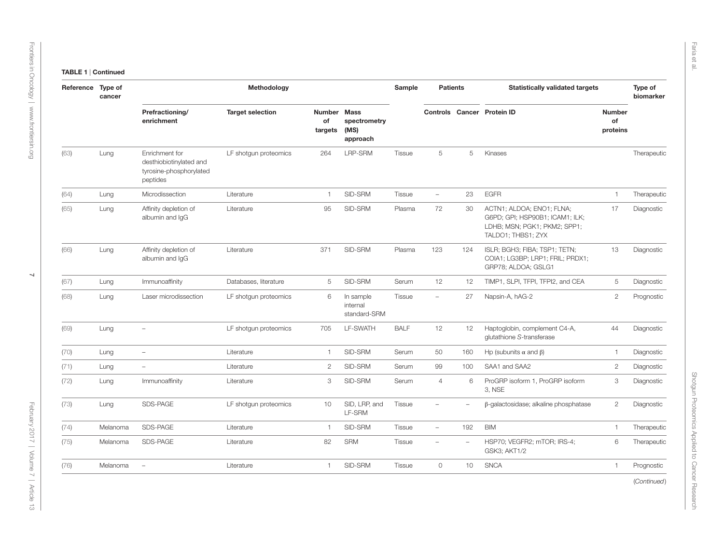| Reference Type of | cancer   |                                                                                  | Methodology             |                              |                                       | Sample        | <b>Patients</b>          |                          | <b>Statistically validated targets</b>                                                                             |                          | Type of<br>biomarker |
|-------------------|----------|----------------------------------------------------------------------------------|-------------------------|------------------------------|---------------------------------------|---------------|--------------------------|--------------------------|--------------------------------------------------------------------------------------------------------------------|--------------------------|----------------------|
|                   |          | Prefractioning/<br>enrichment                                                    | <b>Target selection</b> | Number Mass<br>of<br>targets | spectrometry<br>(MS)<br>approach      |               |                          |                          | Controls Cancer Protein ID                                                                                         | Number<br>of<br>proteins |                      |
| (63)              | Lung     | Enrichment for<br>desthiobiotinylated and<br>tyrosine-phosphorylated<br>peptides | LF shotqun proteomics   | 264                          | LRP-SRM                               | <b>Tissue</b> | 5                        | 5                        | Kinases                                                                                                            |                          | Therapeutic          |
| (64)              | Lung     | Microdissection                                                                  | Literature              | $\overline{1}$               | SID-SRM                               | Tissue        | $\overline{\phantom{0}}$ | 23                       | <b>EGFR</b>                                                                                                        | $\mathbf{1}$             | Therapeutic          |
| (65)              | Lung     | Affinity depletion of<br>albumin and IgG                                         | Literature              | 95                           | SID-SRM                               | Plasma        | 72                       | 30                       | ACTN1; ALDOA; ENO1; FLNA;<br>G6PD; GPI; HSP90B1; ICAM1; ILK;<br>LDHB; MSN; PGK1; PKM2; SPP1;<br>TALDO1; THBS1; ZYX | 17                       | Diagnostic           |
| (66)              | Lung     | Affinity depletion of<br>albumin and IqG                                         | Literature              | 371                          | SID-SRM                               | Plasma        | 123                      | 124                      | ISLR; BGH3; FIBA; TSP1; TETN;<br>COIA1; LG3BP; LRP1; FRIL; PRDX1;<br>GRP78; ALDOA; GSLG1                           | 13                       | Diagnostic           |
| (67)              | Lung     | Immunoaffinity                                                                   | Databases, literature   | 5                            | SID-SRM                               | Serum         | 12                       | 12                       | TIMP1, SLPI, TFPI, TFPI2, and CEA                                                                                  | 5                        | Diagnostic           |
| (68)              | Lung     | Laser microdissection                                                            | LF shotgun proteomics   | 6                            | In sample<br>internal<br>standard-SRM | <b>Tissue</b> | $\overline{\phantom{a}}$ | 27                       | Napsin-A, hAG-2                                                                                                    | $\mathbf{2}$             | Prognostic           |
| (69)              | Lung     | $\overline{\phantom{a}}$                                                         | LF shotgun proteomics   | 705                          | LF-SWATH                              | <b>BALF</b>   | 12                       | 12                       | Haptoglobin, complement C4-A,<br>glutathione S-transferase                                                         | 44                       | Diagnostic           |
| (70)              | Lung     | $\overline{\phantom{a}}$                                                         | Literature              | $\mathbf{1}$                 | SID-SRM                               | Serum         | 50                       | 160                      | Hp (subunits $\alpha$ and $\beta$ )                                                                                | $\mathbf{1}$             | Diagnostic           |
| (71)              | Lung     | $\overline{\phantom{m}}$                                                         | Literature              | $\mathbf{2}$                 | SID-SRM                               | Serum         | 99                       | 100                      | SAA1 and SAA2                                                                                                      | $\overline{2}$           | Diagnostic           |
| (72)              | Lung     | Immunoaffinity                                                                   | Literature              | 3                            | SID-SRM                               | Serum         | $\overline{4}$           | 6                        | ProGRP isoform 1, ProGRP isoform<br>3, NSE                                                                         | 3                        | Diagnostic           |
| (73)              | Lung     | SDS-PAGE                                                                         | LF shotgun proteomics   | 10                           | SID, LRP, and<br>LF-SRM               | <b>Tissue</b> | $\overline{\phantom{0}}$ | $\overline{\phantom{m}}$ | $\beta$ -galactosidase; alkaline phosphatase                                                                       | $\mathbf{2}$             | Diagnostic           |
| (74)              | Melanoma | SDS-PAGE                                                                         | Literature              | $\mathbf{1}$                 | SID-SRM                               | <b>Tissue</b> | $\overline{\phantom{a}}$ | 192                      | <b>BIM</b>                                                                                                         | $\mathbf{1}$             | Therapeutic          |
| (75)              | Melanoma | SDS-PAGE                                                                         | Literature              | 82                           | <b>SRM</b>                            | <b>Tissue</b> |                          | $\equiv$                 | HSP70; VEGFR2; mTOR; IRS-4;<br>GSK3; AKT1/2                                                                        | 6                        | Therapeutic          |
| (76)              | Melanoma | $\overline{\phantom{m}}$                                                         | Literature              | $\mathbf{1}$                 | SID-SRM                               | Tissue        | $\circ$                  | 10                       | <b>SNCA</b>                                                                                                        | $\mathbf{1}$             | Prognostic           |
|                   |          |                                                                                  |                         |                              |                                       |               |                          |                          |                                                                                                                    |                          | (Continued)          |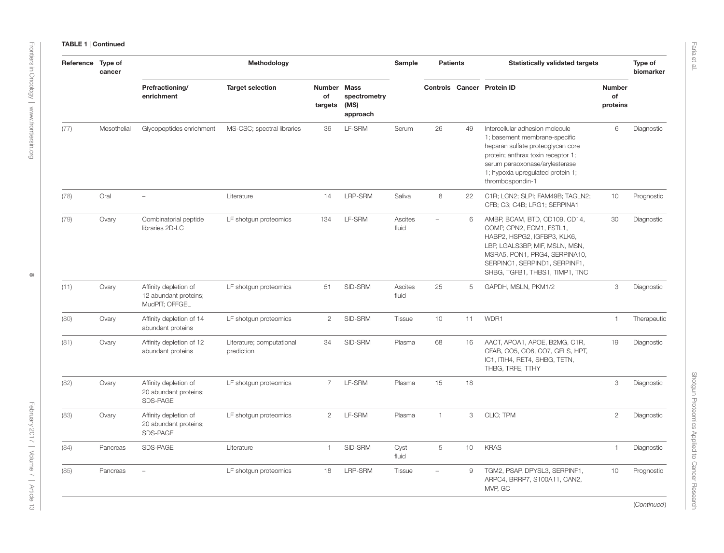| Reference Type of | cancer      |                                                                  | Methodology                             |                              |                                  | Sample           | <b>Patients</b>          |    | <b>Statistically validated targets</b>                                                                                                                                                                                                 |                                 | Type of<br>biomarker |
|-------------------|-------------|------------------------------------------------------------------|-----------------------------------------|------------------------------|----------------------------------|------------------|--------------------------|----|----------------------------------------------------------------------------------------------------------------------------------------------------------------------------------------------------------------------------------------|---------------------------------|----------------------|
|                   |             | Prefractioning/<br>enrichment                                    | <b>Target selection</b>                 | Number Mass<br>of<br>targets | spectrometry<br>(MS)<br>approach |                  |                          |    | Controls Cancer Protein ID                                                                                                                                                                                                             | <b>Number</b><br>of<br>proteins |                      |
| (77)              | Mesothelial | Glycopeptides enrichment                                         | MS-CSC; spectral libraries              | 36                           | LF-SRM                           | Serum            | 26                       | 49 | Intercellular adhesion molecule<br>1; basement membrane-specific<br>heparan sulfate proteoglycan core<br>protein; anthrax toxin receptor 1;<br>serum paraoxonase/arylesterase<br>1; hypoxia upregulated protein 1;<br>thrombospondin-1 | 6                               | Diagnostic           |
| (78)              | Oral        | $\overline{\phantom{a}}$                                         | Literature                              | 14                           | LRP-SRM                          | Saliva           | 8                        | 22 | C1R; LCN2; SLPI; FAM49B; TAGLN2;<br>CFB; C3; C4B; LRG1; SERPINA1                                                                                                                                                                       | 10                              | Prognostic           |
| (79)              | Ovary       | Combinatorial peptide<br>libraries 2D-LC                         | LF shotgun proteomics                   | 134                          | LF-SRM                           | Ascites<br>fluid | $\overline{\phantom{0}}$ | 6  | AMBP, BCAM, BTD, CD109, CD14,<br>COMP, CPN2, ECM1, FSTL1,<br>HABP2, HSPG2, IGFBP3, KLK6,<br>LBP, LGALS3BP, MIF, MSLN, MSN,<br>MSRA5, PON1, PRG4, SERPINA10,<br>SERPINC1, SERPIND1, SERPINF1,<br>SHBG, TGFB1, THBS1, TIMP1, TNC         | 30                              | Diagnostic           |
| (11)              | Ovary       | Affinity depletion of<br>12 abundant proteins;<br>MudPIT; OFFGEL | LF shotgun proteomics                   | 51                           | SID-SRM                          | Ascites<br>fluid | 25                       | 5  | GAPDH, MSLN, PKM1/2                                                                                                                                                                                                                    | 3                               | Diagnostic           |
| (80)              | Ovary       | Affinity depletion of 14<br>abundant proteins                    | LF shotgun proteomics                   | $\overline{2}$               | SID-SRM                          | <b>Tissue</b>    | 10                       | 11 | WDR1                                                                                                                                                                                                                                   | $\mathbf{1}$                    | Therapeutic          |
| (81)              | Ovary       | Affinity depletion of 12<br>abundant proteins                    | Literature; computational<br>prediction | 34                           | SID-SRM                          | Plasma           | 68                       | 16 | AACT, APOA1, APOE, B2MG, C1R,<br>CFAB, CO5, CO6, CO7, GELS, HPT,<br>IC1, ITIH4, RET4, SHBG, TETN,<br>THBG, TRFE, TTHY                                                                                                                  | 19                              | Diagnostic           |
| (82)              | Ovary       | Affinity depletion of<br>20 abundant proteins;<br>SDS-PAGE       | LF shotgun proteomics                   | $\overline{7}$               | LF-SRM                           | Plasma           | 15                       | 18 |                                                                                                                                                                                                                                        | 3                               | Diagnostic           |
| (83)              | Ovary       | Affinity depletion of<br>20 abundant proteins;<br>SDS-PAGE       | LF shotgun proteomics                   | $\overline{2}$               | LF-SRM                           | Plasma           | $\mathbf{1}$             | 3  | CLIC; TPM                                                                                                                                                                                                                              | $\mathbf{2}$                    | Diagnostic           |
| (84)              | Pancreas    | SDS-PAGE                                                         | Literature                              | $\mathbf{1}$                 | SID-SRM                          | Cyst<br>fluid    | 5                        | 10 | <b>KRAS</b>                                                                                                                                                                                                                            | $\mathbf{1}$                    | Diagnostic           |
| (85)              | Pancreas    | ۰                                                                | LF shotgun proteomics                   | 18                           | LRP-SRM                          | Tissue           | $\equiv$                 | 9  | TGM2, PSAP, DPYSL3, SERPINF1,<br>ARPC4, BRRP7, S100A11, CAN2,<br>MVP, GC                                                                                                                                                               | 10                              | Prognostic           |
|                   |             |                                                                  |                                         |                              |                                  |                  |                          |    |                                                                                                                                                                                                                                        |                                 |                      |

(*Continued*)

Shotgun Proteomics Applied to Cancer Research

Shotgun Proteomics Applied to Cancer Research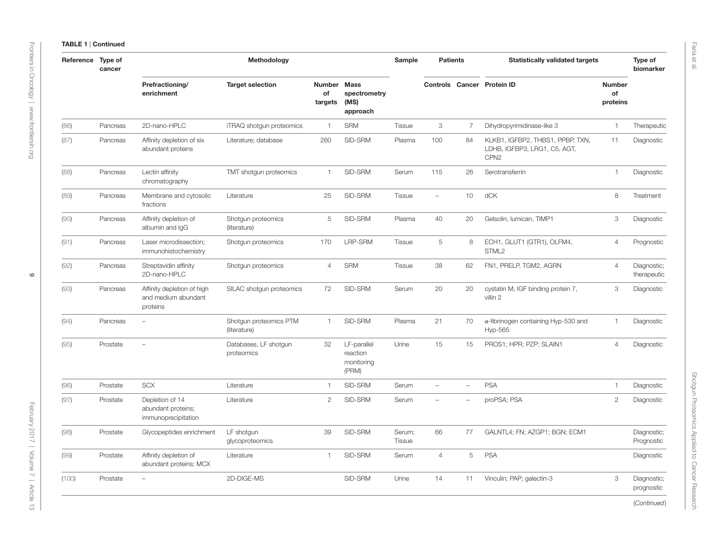| Reference Type of | cancer   |                                                               | Methodology                            |                                |                                                 | Sample                  | <b>Patients</b>          |                          | <b>Statistically validated targets</b>                                               |                                 | Type of<br>biomarker       |
|-------------------|----------|---------------------------------------------------------------|----------------------------------------|--------------------------------|-------------------------------------------------|-------------------------|--------------------------|--------------------------|--------------------------------------------------------------------------------------|---------------------------------|----------------------------|
|                   |          | Prefractioning/<br>enrichment                                 | <b>Target selection</b>                | <b>Number</b><br>of<br>targets | <b>Mass</b><br>spectrometry<br>(MS)<br>approach |                         |                          |                          | Controls Cancer Protein ID                                                           | <b>Number</b><br>of<br>proteins |                            |
| (86)              | Pancreas | 2D-nano-HPLC                                                  | iTRAQ shotgun proteomics               | $\overline{1}$                 | <b>SRM</b>                                      | <b>Tissue</b>           | 3                        | 7                        | Dihydropyrimidinase-like 3                                                           | $\mathbf{1}$                    | Therapeutic                |
| (87)              | Pancreas | Affinity depletion of six<br>abundant proteins                | Literature; database                   | 260                            | SID-SRM                                         | Plasma                  | 100                      | 84                       | KLKB1, IGFBP2, THBS1, PPBP, TXN,<br>LDHB, IGFBP3, LRG1, C5, AGT,<br>CPN <sub>2</sub> | 11                              | Diagnostic                 |
| (88)              | Pancreas | Lectin affinity<br>chromatography                             | TMT shotgun proteomics                 | $\overline{1}$                 | SID-SRM                                         | Serum                   | 115                      | 26                       | Serotransferrin                                                                      | $\mathbf{1}$                    | Diagnostic                 |
| (89)              | Pancreas | Membrane and cytosolic<br>fractions                           | Literature                             | 25                             | SID-SRM                                         | <b>Tissue</b>           | $\overline{\phantom{a}}$ | 10                       | dCK                                                                                  | 8                               | Treatment                  |
| (90)              | Pancreas | Affinity depletion of<br>albumin and IgG                      | Shotgun proteomics<br>(literature)     | $\overline{5}$                 | SID-SRM                                         | Plasma                  | 40                       | 20                       | Gelsolin, lumican, TIMP1                                                             | 3                               | Diagnostic                 |
| (91)              | Pancreas | Laser microdissection;<br>immunohistochemistry                | Shotqun proteomics                     | 170                            | LRP-SRM                                         | <b>Tissue</b>           | 5                        | 8                        | ECH1, GLUT1 (GTR1), OLFM4,<br>STML <sub>2</sub>                                      | $\overline{4}$                  | Prognostic                 |
| (92)              | Pancreas | Streptavidin affinity<br>2D-nano-HPLC                         | Shotgun proteomics                     | $\overline{4}$                 | <b>SRM</b>                                      | <b>Tissue</b>           | 38                       | 62                       | FN1, PRELP, TGM2, AGRN                                                               | $\overline{4}$                  | Diagnostic;<br>therapeutic |
| (93)              | Pancreas | Affinity depletion of high<br>and medium abundant<br>proteins | SILAC shotgun proteomics               | 72                             | SID-SRM                                         | Serum                   | 20                       | 20                       | cystatin M, IGF binding protein 7,<br>villin 2                                       | 3                               | Diagnostic                 |
| (94)              | Pancreas | $\overline{\phantom{a}}$                                      | Shotgun proteomics PTM<br>(literature) | $\overline{1}$                 | SID-SRM                                         | Plasma                  | 21                       | 70                       | $\alpha$ -fibrinogen containing Hyp-530 and<br>Hyp-565                               | $\mathbf{1}$                    | Diagnostic                 |
| (95)              | Prostate |                                                               | Databases, LF shotgun<br>proteomics    | 32                             | LF-parallel<br>reaction<br>monitoring<br>(PRM)  | Urine                   | 15                       | 15                       | PROS1; HPR; PZP; SLAIN1                                                              | $\overline{4}$                  | Diagnostic                 |
| (96)              | Prostate | <b>SCX</b>                                                    | Literature                             | $\mathbf{1}$                   | SID-SRM                                         | Serum                   | $\overline{\phantom{a}}$ | $\overline{\phantom{a}}$ | <b>PSA</b>                                                                           | $\mathbf{1}$                    | Diagnostic                 |
| (97)              | Prostate | Depletion of 14<br>abundant proteins;<br>immunoprecipitation  | Literature                             | $\mathbf{2}$                   | SID-SRM                                         | Serum                   |                          | $\overline{\phantom{a}}$ | proPSA; PSA                                                                          | $\mathbf{2}$                    | Diagnostic                 |
| (98)              | Prostate | Glycopeptides enrichment                                      | LF shotgun<br>glycoproteomics          | 39                             | SID-SRM                                         | Serum;<br><b>Tissue</b> | 66                       | 77                       | GALNTL4; FN; AZGP1; BGN; ECM1                                                        |                                 | Diagnostic;<br>Prognostic  |
| (99)              | Prostate | Affinity depletion of<br>abundant proteins; MCX               | Literature                             | $\mathbf{1}$                   | SID-SRM                                         | Serum                   | $\overline{4}$           | 5                        | <b>PSA</b>                                                                           |                                 | Diagnostic                 |
| (100)             | Prostate | $\overline{\phantom{a}}$                                      | 2D-DIGE-MS                             |                                | SID-SRM                                         | Urine                   | 14                       | 11                       | Vinculin; PAP; galectin-3                                                            | 3                               | Diagnostic;<br>prognostic  |
|                   |          |                                                               |                                        |                                |                                                 |                         |                          |                          |                                                                                      |                                 | (Continued)                |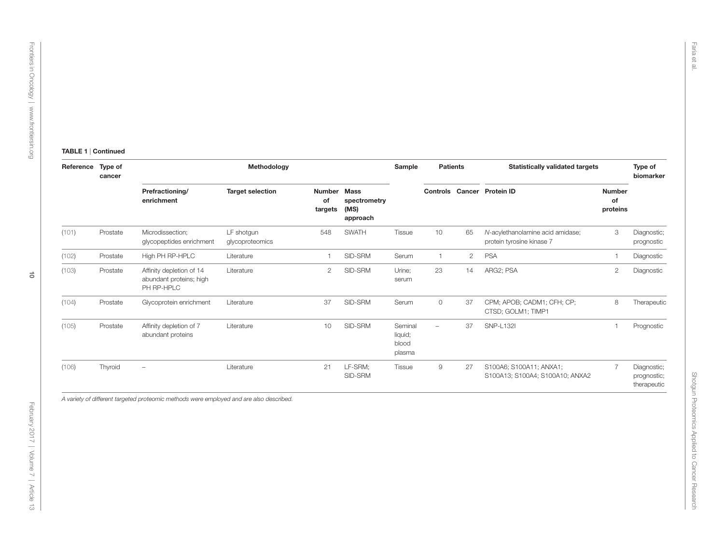$\vec{o}$ 

#### TABLE 1 | Continued

| Reference | Type of<br>cancer |                                                                   | Methodology                   |                                |                                                 | Sample                                | <b>Patients</b>          |                | <b>Statistically validated targets</b>                        |                                 | Type of<br>biomarker                      |
|-----------|-------------------|-------------------------------------------------------------------|-------------------------------|--------------------------------|-------------------------------------------------|---------------------------------------|--------------------------|----------------|---------------------------------------------------------------|---------------------------------|-------------------------------------------|
|           |                   | Prefractioning/<br>enrichment                                     | <b>Target selection</b>       | <b>Number</b><br>οf<br>targets | <b>Mass</b><br>spectrometry<br>(MS)<br>approach |                                       |                          |                | Controls Cancer Protein ID                                    | <b>Number</b><br>of<br>proteins |                                           |
| (101)     | Prostate          | Microdissection:<br>glycopeptides enrichment                      | LF shotgun<br>glycoproteomics | 548                            | <b>SWATH</b>                                    | Tissue                                | 10                       | 65             | N-acylethanolamine acid amidase;<br>protein tyrosine kinase 7 | 3                               | Diagnostic;<br>prognostic                 |
| (102)     | Prostate          | High PH RP-HPLC                                                   | Literature                    |                                | SID-SRM                                         | Serum                                 |                          | $\overline{2}$ | <b>PSA</b>                                                    |                                 | Diagnostic                                |
| (103)     | Prostate          | Affinity depletion of 14<br>abundant proteins; high<br>PH RP-HPLC | Literature                    | $\overline{2}$                 | SID-SRM                                         | Urine:<br>serum                       | 23                       | 14             | ARG2; PSA                                                     | 2                               | Diagnostic                                |
| (104)     | Prostate          | Glycoprotein enrichment                                           | Literature                    | 37                             | SID-SRM                                         | Serum                                 | $\circ$                  | 37             | CPM; APOB; CADM1; CFH; CP;<br>CTSD; GOLM1; TIMP1              | 8                               | Therapeutic                               |
| (105)     | Prostate          | Affinity depletion of 7<br>abundant proteins                      | Literature                    | 10                             | SID-SRM                                         | Seminal<br>liquid;<br>blood<br>plasma | $\overline{\phantom{a}}$ | 37             | <b>SNP-L1321</b>                                              |                                 | Prognostic                                |
| (106)     | Thyroid           | $\overline{\phantom{0}}$                                          | Literature                    | 21                             | LF-SRM;<br>SID-SRM                              | Tissue                                | 9                        | 27             | S100A6; S100A11; ANXA1;<br>S100A13; S100A4; S100A10; ANXA2    | $\overline{7}$                  | Diagnostic;<br>prognostic;<br>therapeutic |

*A variety of different targeted proteomic methods were employed and are also described.*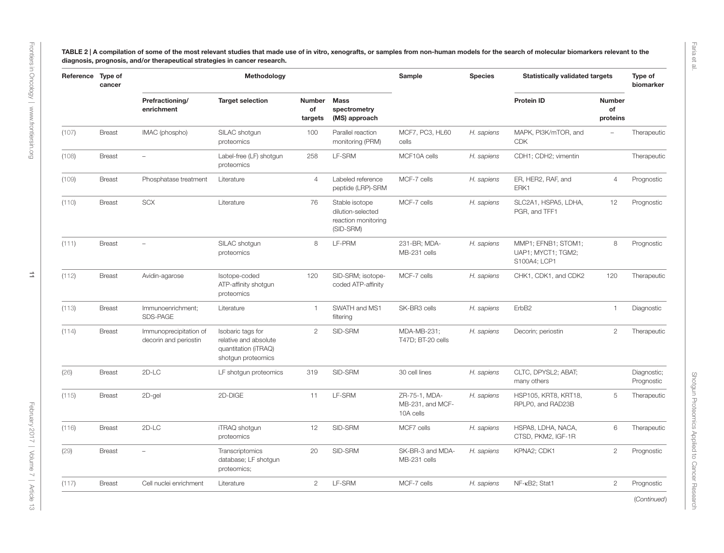<span id="page-10-0"></span>TABLE 2 | A compilation of some of the most relevant studies that made use of in vitro, xenografts, or samples from non-human models for the search of molecular biomarkers relevant to the diagnosis, prognosis, and/or therapeutical strategies in cancer research.

|       | Reference Type of<br>cancer |                                                 | Methodology                                                                              |                         |                                                                         | Sample                                         | <b>Species</b> | <b>Statistically validated targets</b>                    |                                 | Type of<br>biomarker      |
|-------|-----------------------------|-------------------------------------------------|------------------------------------------------------------------------------------------|-------------------------|-------------------------------------------------------------------------|------------------------------------------------|----------------|-----------------------------------------------------------|---------------------------------|---------------------------|
|       |                             | Prefractioning/<br>enrichment                   | <b>Target selection</b>                                                                  | Number<br>of<br>targets | <b>Mass</b><br>spectrometry<br>(MS) approach                            |                                                |                | <b>Protein ID</b>                                         | <b>Number</b><br>of<br>proteins |                           |
| (107) | <b>Breast</b>               | IMAC (phospho)                                  | SILAC shotgun<br>proteomics                                                              | 100                     | Parallel reaction<br>monitoring (PRM)                                   | MCF7, PC3, HL60<br>cells                       | H. sapiens     | MAPK, PI3K/mTOR, and<br><b>CDK</b>                        |                                 | Therapeutic               |
| (108) | <b>Breast</b>               |                                                 | Label-free (LF) shotgun<br>proteomics                                                    | 258                     | LF-SRM                                                                  | MCF10A cells                                   | H. sapiens     | CDH1; CDH2; vimentin                                      |                                 | Therapeutic               |
| (109) | <b>Breast</b>               | Phosphatase treatment                           | Literature                                                                               | 4                       | Labeled reference<br>peptide (LRP)-SRM                                  | MCF-7 cells                                    | H. sapiens     | ER, HER2, RAF, and<br>ERK1                                | $\overline{4}$                  | Prognostic                |
| (110) | <b>Breast</b>               | <b>SCX</b>                                      | Literature                                                                               | 76                      | Stable isotope<br>dilution-selected<br>reaction monitoring<br>(SID-SRM) | MCF-7 cells                                    | H. sapiens     | SLC2A1, HSPA5, LDHA,<br>PGR, and TFF1                     | 12                              | Prognostic                |
| (111) | <b>Breast</b>               |                                                 | SILAC shotgun<br>proteomics                                                              | 8                       | LF-PRM                                                                  | 231-BR; MDA-<br>MB-231 cells                   | H. sapiens     | MMP1; EFNB1; STOM1;<br>UAP1; MYCT1; TGM2;<br>S100A4; LCP1 | 8                               | Prognostic                |
| (112) | <b>Breast</b>               | Avidin-agarose                                  | Isotope-coded<br>ATP-affinity shotgun<br>proteomics                                      | 120                     | SID-SRM; isotope-<br>coded ATP-affinity                                 | MCF-7 cells                                    | H. sapiens     | CHK1, CDK1, and CDK2                                      | 120                             | Therapeutic               |
| (113) | <b>Breast</b>               | Immunoenrichment;<br>SDS-PAGE                   | Literature                                                                               | $\overline{1}$          | SWATH and MS1<br>filtering                                              | SK-BR3 cells                                   | H. sapiens     | ErbB <sub>2</sub>                                         | 1                               | Diagnostic                |
| (114) | <b>Breast</b>               | Immunoprecipitation of<br>decorin and periostin | Isobaric tags for<br>relative and absolute<br>quantitation (iTRAQ)<br>shotgun proteomics | $\overline{2}$          | SID-SRM                                                                 | MDA-MB-231;<br>T47D; BT-20 cells               | H. sapiens     | Decorin; periostin                                        | $\overline{2}$                  | Therapeutic               |
| (26)  | <b>Breast</b>               | $2D-LC$                                         | LF shotqun proteomics                                                                    | 319                     | SID-SRM                                                                 | 30 cell lines                                  | H. sapiens     | CLTC, DPYSL2; ABAT;<br>many others                        |                                 | Diagnostic;<br>Prognostic |
| (115) | <b>Breast</b>               | 2D-gel                                          | 2D-DIGE                                                                                  | 11                      | LF-SRM                                                                  | ZR-75-1, MDA-<br>MB-231, and MCF-<br>10A cells | H. sapiens     | HSP105, KRT8, KRT18,<br>RPLP0, and RAD23B                 | 5                               | Therapeutic               |
| (116) | <b>Breast</b>               | 2D-LC                                           | iTRAQ shotqun<br>proteomics                                                              | 12                      | SID-SRM                                                                 | MCF7 cells                                     | H. sapiens     | HSPA8, LDHA, NACA,<br>CTSD, PKM2, IGF-1R                  | 6                               | Therapeutic               |
| (29)  | <b>Breast</b>               |                                                 | Transcriptomics<br>database; LF shotgun<br>proteomics;                                   | 20                      | SID-SRM                                                                 | SK-BR-3 and MDA-<br>MB-231 cells               | H. sapiens     | KPNA2; CDK1                                               | $\overline{c}$                  | Prognostic                |
|       |                             |                                                 |                                                                                          |                         |                                                                         |                                                |                |                                                           |                                 |                           |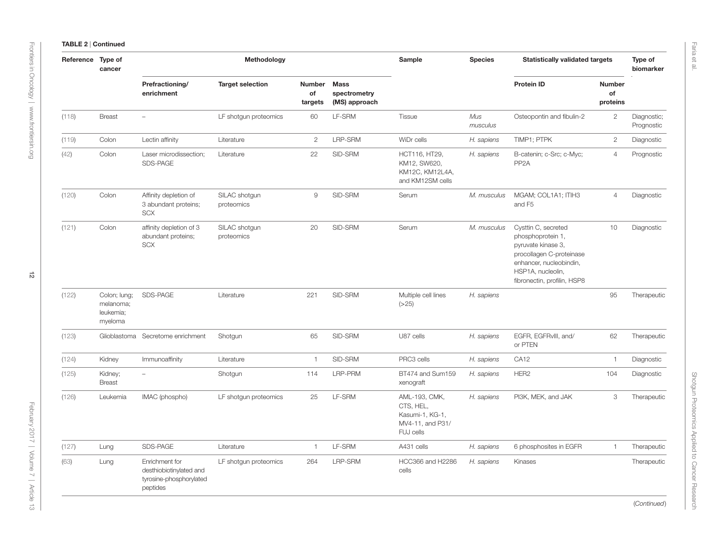| Reference Type of | cancer                                            |                                                                                  | Methodology                 |                                |                                              | Sample                                                                         | <b>Species</b>  | <b>Statistically validated targets</b>                                                                                                                                    |                                 | Type of<br>biomarker      |
|-------------------|---------------------------------------------------|----------------------------------------------------------------------------------|-----------------------------|--------------------------------|----------------------------------------------|--------------------------------------------------------------------------------|-----------------|---------------------------------------------------------------------------------------------------------------------------------------------------------------------------|---------------------------------|---------------------------|
|                   |                                                   | Prefractioning/<br>enrichment                                                    | <b>Target selection</b>     | <b>Number</b><br>of<br>targets | <b>Mass</b><br>spectrometry<br>(MS) approach |                                                                                |                 | <b>Protein ID</b>                                                                                                                                                         | <b>Number</b><br>of<br>proteins |                           |
| (118)             | <b>Breast</b>                                     |                                                                                  | LF shotgun proteomics       | 60                             | LF-SRM                                       | Tissue                                                                         | Mus<br>musculus | Osteopontin and fibulin-2                                                                                                                                                 | $\overline{2}$                  | Diagnostic;<br>Prognostic |
| (119)             | Colon                                             | Lectin affinity                                                                  | Literature                  | $\mathbf{2}$                   | LRP-SRM                                      | WiDr cells                                                                     | H. sapiens      | TIMP1; PTPK                                                                                                                                                               | $\overline{c}$                  | Diagnostic                |
| (42)              | Colon                                             | Laser microdissection;<br>SDS-PAGE                                               | Literature                  | 22                             | SID-SRM                                      | HCT116, HT29,<br>KM12, SW620,<br>KM12C, KM12L4A,<br>and KM12SM cells           | H. sapiens      | B-catenin; c-Src; c-Myc;<br>PP <sub>2</sub> A                                                                                                                             | $\overline{4}$                  | Prognostic                |
| (120)             | Colon                                             | Affinity depletion of<br>3 abundant proteins;<br><b>SCX</b>                      | SILAC shotgun<br>proteomics | 9                              | SID-SRM                                      | Serum                                                                          | M. musculus     | MGAM; COL1A1; ITIH3<br>and F5                                                                                                                                             | 4                               | Diagnostic                |
| (121)             | Colon                                             | affinity depletion of 3<br>abundant proteins;<br><b>SCX</b>                      | SILAC shotgun<br>proteomics | 20                             | SID-SRM                                      | Serum                                                                          | M. musculus     | Cysttin C, secreted<br>phosphoprotein 1,<br>pyruvate kinase 3,<br>procollagen C-proteinase<br>enhancer, nucleobindin,<br>HSP1A, nucleolin,<br>fibronectin, profilin, HSP8 | 10                              | Diagnostic                |
| (122)             | Colon; lung;<br>melanoma;<br>leukemia;<br>myeloma | SDS-PAGE                                                                         | Literature                  | 221                            | SID-SRM                                      | Multiple cell lines<br>(>25)                                                   | H. sapiens      |                                                                                                                                                                           | 95                              | Therapeutic               |
| (123)             | Glioblastoma                                      | Secretome enrichment                                                             | Shotgun                     | 65                             | SID-SRM                                      | U87 cells                                                                      | H. sapiens      | EGFR, EGFRvIII, and/<br>or PTEN                                                                                                                                           | 62                              | Therapeutic               |
| (124)             | Kidney                                            | Immunoaffinity                                                                   | Literature                  | $\mathbf{1}$                   | SID-SRM                                      | PRC3 cells                                                                     | H. sapiens      | CA12                                                                                                                                                                      | $\mathbf{1}$                    | Diagnostic                |
| (125)             | Kidney;<br><b>Breast</b>                          | $\overline{\phantom{a}}$                                                         | Shotgun                     | 114                            | LRP-PRM                                      | BT474 and Sum159<br>xenograft                                                  | H. sapiens      | HER <sub>2</sub>                                                                                                                                                          | 104                             | Diagnostic                |
| (126)             | Leukemia                                          | IMAC (phospho)                                                                   | LF shotgun proteomics       | 25                             | LF-SRM                                       | AML-193, CMK,<br>CTS, HEL,<br>Kasumi-1, KG-1,<br>MV4-11, and P31/<br>FUJ cells | H. sapiens      | PI3K, MEK, and JAK                                                                                                                                                        | 3                               | Therapeutic               |
| (127)             | Lung                                              | SDS-PAGE                                                                         | Literature                  | 1                              | LF-SRM                                       | A431 cells                                                                     | H. sapiens      | 6 phosphosites in EGFR                                                                                                                                                    | $\overline{1}$                  | Therapeutic               |
| (63)              | Lung                                              | Enrichment for<br>desthiobiotinylated and<br>tyrosine-phosphorylated<br>peptides | LF shotgun proteomics       | 264                            | LRP-SRM                                      | HCC366 and H2286<br>cells                                                      | H. sapiens      | Kinases                                                                                                                                                                   |                                 | Therapeutic               |

(*Continued*)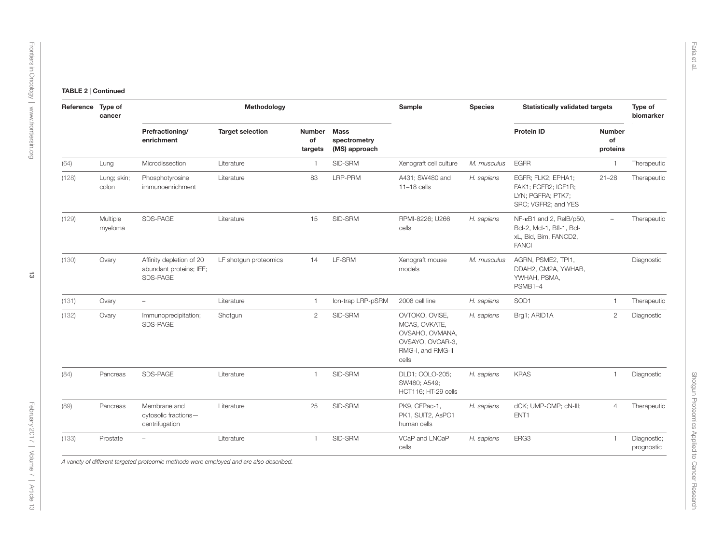| Reference | Type of<br>cancer    |                                                                 | Methodology             |                         |                                              | Sample                                                                                               | <b>Species</b> | <b>Statistically validated targets</b>                                                        |                                 | Type of<br>biomarker      |
|-----------|----------------------|-----------------------------------------------------------------|-------------------------|-------------------------|----------------------------------------------|------------------------------------------------------------------------------------------------------|----------------|-----------------------------------------------------------------------------------------------|---------------------------------|---------------------------|
|           |                      | Prefractioning/<br>enrichment                                   | <b>Target selection</b> | Number<br>of<br>targets | <b>Mass</b><br>spectrometry<br>(MS) approach |                                                                                                      |                | <b>Protein ID</b>                                                                             | <b>Number</b><br>of<br>proteins |                           |
| (64)      | Lung                 | Microdissection                                                 | Literature              | $\mathbf{1}$            | SID-SRM                                      | Xenograft cell culture                                                                               | M. musculus    | <b>EGFR</b>                                                                                   | $\mathbf{1}$                    | Therapeutic               |
| (128)     | Lung; skin;<br>colon | Phosphotyrosine<br>immunoenrichment                             | Literature              | 83                      | LRP-PRM                                      | A431; SW480 and<br>$11-18$ cells                                                                     | H. sapiens     | EGFR; FLK2; EPHA1;<br>FAK1; FGFR2; IGF1R;<br>LYN; PGFRA; PTK7;<br>SRC; VGFR2; and YES         | $21 - 28$                       | Therapeutic               |
| (129)     | Multiple<br>myeloma  | SDS-PAGE                                                        | Literature              | 15                      | SID-SRM                                      | RPMI-8226; U266<br>cells                                                                             | H. sapiens     | NF-kB1 and 2, RelB/p50,<br>Bcl-2, Mcl-1, Bfl-1, Bcl-<br>xL, Bid, Bim, FANCD2,<br><b>FANCI</b> | $\overline{\phantom{a}}$        | Therapeutic               |
| (130)     | Ovary                | Affinity depletion of 20<br>abundant proteins; IEF;<br>SDS-PAGE | LF shotqun proteomics   | 14                      | LF-SRM                                       | Xenograft mouse<br>models                                                                            | M. musculus    | AGRN, PSME2, TPI1,<br>DDAH2, GM2A, YWHAB,<br>YWHAH, PSMA,<br>PSMB1-4                          |                                 | Diagnostic                |
| (131)     | Ovary                | $\overline{\phantom{m}}$                                        | Literature              | $\mathbf{1}$            | Ion-trap LRP-pSRM                            | 2008 cell line                                                                                       | H. sapiens     | SOD1                                                                                          | $\mathbf{1}$                    | Therapeutic               |
| (132)     | Ovary                | Immunoprecipitation;<br>SDS-PAGE                                | Shotgun                 | $\mathbf{2}$            | SID-SRM                                      | OVTOKO, OVISE,<br>MCAS, OVKATE,<br>OVSAHO, OVMANA,<br>OVSAYO, OVCAR-3,<br>RMG-I, and RMG-II<br>cells | H. sapiens     | Brg1; ARID1A                                                                                  | $\mathbf{2}$                    | Diagnostic                |
| (84)      | Pancreas             | SDS-PAGE                                                        | Literature              | $\mathbf{1}$            | SID-SRM                                      | DLD1; COLO-205;<br>SW480; A549;<br>HCT116; HT-29 cells                                               | H. sapiens     | <b>KRAS</b>                                                                                   | 1                               | Diagnostic                |
| (89)      | Pancreas             | Membrane and<br>cytosolic fractions-<br>centrifugation          | Literature              | 25                      | SID-SRM                                      | PK9, CFPac-1,<br>PK1, SUIT2, AsPC1<br>human cells                                                    | H. sapiens     | dCK; UMP-CMP; cN-III;<br>ENT1                                                                 | $\overline{4}$                  | Therapeutic               |
| (133)     | Prostate             | ۳                                                               | Literature              | $\mathbf{1}$            | SID-SRM                                      | VCaP and LNCaP<br>cells                                                                              | H. sapiens     | ERG3                                                                                          | $\overline{1}$                  | Diagnostic;<br>prognostic |

*A variety of different targeted proteomic methods were employed and are also described.*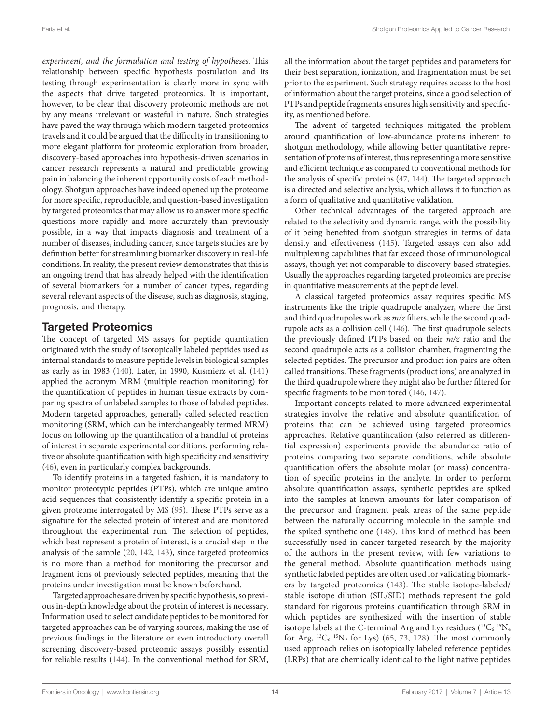*experiment, and the formulation and testing of hypotheses*. This relationship between specific hypothesis postulation and its testing through experimentation is clearly more in sync with the aspects that drive targeted proteomics. It is important, however, to be clear that discovery proteomic methods are not by any means irrelevant or wasteful in nature. Such strategies have paved the way through which modern targeted proteomics travels and it could be argued that the difficulty in transitioning to more elegant platform for proteomic exploration from broader, discovery-based approaches into hypothesis-driven scenarios in cancer research represents a natural and predictable growing pain in balancing the inherent opportunity costs of each methodology. Shotgun approaches have indeed opened up the proteome for more specific, reproducible, and question-based investigation by targeted proteomics that may allow us to answer more specific questions more rapidly and more accurately than previously possible, in a way that impacts diagnosis and treatment of a number of diseases, including cancer, since targets studies are by definition better for streamlining biomarker discovery in real-life conditions. In reality, the present review demonstrates that this is an ongoing trend that has already helped with the identification of several biomarkers for a number of cancer types, regarding several relevant aspects of the disease, such as diagnosis, staging, prognosis, and therapy.

### Targeted Proteomics

The concept of targeted MS assays for peptide quantitation originated with the study of isotopically labeled peptides used as internal standards to measure peptide levels in biological samples as early as in 1983 ([140\)](#page-26-17). Later, in 1990, Kusmierz et al. [\(141\)](#page-26-18) applied the acronym MRM (multiple reaction monitoring) for the quantification of peptides in human tissue extracts by comparing spectra of unlabeled samples to those of labeled peptides. Modern targeted approaches, generally called selected reaction monitoring (SRM, which can be interchangeably termed MRM) focus on following up the quantification of a handful of proteins of interest in separate experimental conditions, performing relative or absolute quantification with high specificity and sensitivity ([46\)](#page-23-33), even in particularly complex backgrounds.

To identify proteins in a targeted fashion, it is mandatory to monitor proteotypic peptides (PTPs), which are unique amino acid sequences that consistently identify a specific protein in a given proteome interrogated by MS ([95\)](#page-25-32). These PTPs serve as a signature for the selected protein of interest and are monitored throughout the experimental run. The selection of peptides, which best represent a protein of interest, is a crucial step in the analysis of the sample ([20](#page-22-17), [142,](#page-26-19) [143](#page-26-20)), since targeted proteomics is no more than a method for monitoring the precursor and fragment ions of previously selected peptides, meaning that the proteins under investigation must be known beforehand.

Targeted approaches are driven by specific hypothesis, so previous in-depth knowledge about the protein of interest is necessary. Information used to select candidate peptides to be monitored for targeted approaches can be of varying sources, making the use of previous findings in the literature or even introductory overall screening discovery-based proteomic assays possibly essential for reliable results ([144\)](#page-26-21). In the conventional method for SRM,

all the information about the target peptides and parameters for their best separation, ionization, and fragmentation must be set prior to the experiment. Such strategy requires access to the host of information about the target proteins, since a good selection of PTPs and peptide fragments ensures high sensitivity and specificity, as mentioned before.

The advent of targeted techniques mitigated the problem around quantification of low-abundance proteins inherent to shotgun methodology, while allowing better quantitative representation of proteins of interest, thus representing a more sensitive and efficient technique as compared to conventional methods for the analysis of specific proteins ([47,](#page-23-34) [144](#page-26-21)). The targeted approach is a directed and selective analysis, which allows it to function as a form of qualitative and quantitative validation.

Other technical advantages of the targeted approach are related to the selectivity and dynamic range, with the possibility of it being benefited from shotgun strategies in terms of data density and effectiveness [\(145\)](#page-26-22). Targeted assays can also add multiplexing capabilities that far exceed those of immunological assays, though yet not comparable to discovery-based strategies. Usually the approaches regarding targeted proteomics are precise in quantitative measurements at the peptide level.

A classical targeted proteomics assay requires specific MS instruments like the triple quadrupole analyzer, where the first and third quadrupoles work as *m/z* filters, while the second quadrupole acts as a collision cell [\(146\)](#page-26-23). The first quadrupole selects the previously defined PTPs based on their *m/z* ratio and the second quadrupole acts as a collision chamber, fragmenting the selected peptides. The precursor and product ion pairs are often called transitions. These fragments (product ions) are analyzed in the third quadrupole where they might also be further filtered for specific fragments to be monitored [\(146](#page-26-23), [147](#page-26-24)).

Important concepts related to more advanced experimental strategies involve the relative and absolute quantification of proteins that can be achieved using targeted proteomics approaches. Relative quantification (also referred as differential expression) experiments provide the abundance ratio of proteins comparing two separate conditions, while absolute quantification offers the absolute molar (or mass) concentration of specific proteins in the analyte. In order to perform absolute quantification assays, synthetic peptides are spiked into the samples at known amounts for later comparison of the precursor and fragment peak areas of the same peptide between the naturally occurring molecule in the sample and the spiked synthetic one ([148](#page-26-25)). This kind of method has been successfully used in cancer-targeted research by the majority of the authors in the present review, with few variations to the general method. Absolute quantification methods using synthetic labeled peptides are often used for validating biomarkers by targeted proteomics ([143](#page-26-20)). The stable isotope-labeled/ stable isotope dilution (SIL/SID) methods represent the gold standard for rigorous proteins quantification through SRM in which peptides are synthesized with the insertion of stable isotope labels at the C-terminal Arg and Lys residues  $(^{13}C_6~^{15}N_4$ for Arg,  ${}^{13}C_6$   ${}^{15}N_2$  for Lys) [\(65](#page-24-34), [73](#page-24-35), [128\)](#page-26-26). The most commonly used approach relies on isotopically labeled reference peptides (LRPs) that are chemically identical to the light native peptides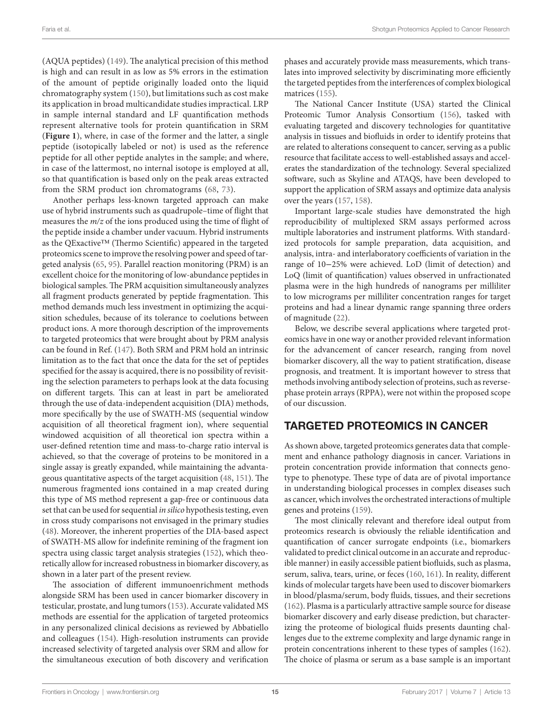(AQUA peptides) ([149](#page-26-27)). The analytical precision of this method is high and can result in as low as 5% errors in the estimation of the amount of peptide originally loaded onto the liquid chromatography system ([150\)](#page-26-28), but limitations such as cost make its application in broad multicandidate studies impractical. LRP in sample internal standard and LF quantification methods represent alternative tools for protein quantification in SRM (**[Figure 1](#page-15-0)**), where, in case of the former and the latter, a single peptide (isotopically labeled or not) is used as the reference peptide for all other peptide analytes in the sample; and where, in case of the lattermost, no internal isotope is employed at all, so that quantification is based only on the peak areas extracted from the SRM product ion chromatograms ([68](#page-24-36), [73](#page-24-35)).

Another perhaps less-known targeted approach can make use of hybrid instruments such as quadrupole–time of flight that measures the *m/z* of the ions produced using the time of flight of the peptide inside a chamber under vacuum. Hybrid instruments as the QExactive™ (Thermo Scientific) appeared in the targeted proteomics scene to improve the resolving power and speed of targeted analysis [\(65](#page-24-34), [95\)](#page-25-32). Parallel reaction monitoring (PRM) is an excellent choice for the monitoring of low-abundance peptides in biological samples. The PRM acquisition simultaneously analyzes all fragment products generated by peptide fragmentation. This method demands much less investment in optimizing the acquisition schedules, because of its tolerance to coelutions between product ions. A more thorough description of the improvements to targeted proteomics that were brought about by PRM analysis can be found in Ref. [\(147](#page-26-24)). Both SRM and PRM hold an intrinsic limitation as to the fact that once the data for the set of peptides specified for the assay is acquired, there is no possibility of revisiting the selection parameters to perhaps look at the data focusing on different targets. This can at least in part be ameliorated through the use of data-independent acquisition (DIA) methods, more specifically by the use of SWATH-MS (sequential window acquisition of all theoretical fragment ion), where sequential windowed acquisition of all theoretical ion spectra within a user-defined retention time and mass-to-charge ratio interval is achieved, so that the coverage of proteins to be monitored in a single assay is greatly expanded, while maintaining the advantageous quantitative aspects of the target acquisition [\(48](#page-23-35), [151](#page-26-29)). The numerous fragmented ions contained in a map created during this type of MS method represent a gap-free or continuous data set that can be used for sequential *in silico* hypothesis testing, even in cross study comparisons not envisaged in the primary studies ([48\)](#page-23-35). Moreover, the inherent properties of the DIA-based aspect of SWATH-MS allow for indefinite remining of the fragment ion spectra using classic target analysis strategies ([152](#page-26-30)), which theoretically allow for increased robustness in biomarker discovery, as shown in a later part of the present review.

The association of different immunoenrichment methods alongside SRM has been used in cancer biomarker discovery in testicular, prostate, and lung tumors ([153\)](#page-26-31). Accurate validated MS methods are essential for the application of targeted proteomics in any personalized clinical decisions as reviewed by Abbatiello and colleagues [\(154\)](#page-26-32). High-resolution instruments can provide increased selectivity of targeted analysis over SRM and allow for the simultaneous execution of both discovery and verification phases and accurately provide mass measurements, which translates into improved selectivity by discriminating more efficiently the targeted peptides from the interferences of complex biological matrices ([155\)](#page-26-33).

The National Cancer Institute (USA) started the Clinical Proteomic Tumor Analysis Consortium [\(156](#page-26-34)), tasked with evaluating targeted and discovery technologies for quantitative analysis in tissues and biofluids in order to identify proteins that are related to alterations consequent to cancer, serving as a public resource that facilitate access to well-established assays and accelerates the standardization of the technology. Several specialized software, such as Skyline and ATAQS, have been developed to support the application of SRM assays and optimize data analysis over the years ([157,](#page-26-35) [158\)](#page-26-36).

Important large-scale studies have demonstrated the high reproducibility of multiplexed SRM assays performed across multiple laboratories and instrument platforms. With standardized protocols for sample preparation, data acquisition, and analysis, intra- and interlaboratory coefficients of variation in the range of 10−25% were achieved. LoD (limit of detection) and LoQ (limit of quantification) values observed in unfractionated plasma were in the high hundreds of nanograms per milliliter to low micrograms per milliliter concentration ranges for target proteins and had a linear dynamic range spanning three orders of magnitude [\(22](#page-22-23)).

Below, we describe several applications where targeted proteomics have in one way or another provided relevant information for the advancement of cancer research, ranging from novel biomarker discovery, all the way to patient stratification, disease prognosis, and treatment. It is important however to stress that methods involving antibody selection of proteins, such as reversephase protein arrays (RPPA), were not within the proposed scope of our discussion.

# TARGETED PROTEOMICS IN CANCER

As shown above, targeted proteomics generates data that complement and enhance pathology diagnosis in cancer. Variations in protein concentration provide information that connects genotype to phenotype. These type of data are of pivotal importance in understanding biological processes in complex diseases such as cancer, which involves the orchestrated interactions of multiple genes and proteins [\(159\)](#page-26-37).

The most clinically relevant and therefore ideal output from proteomics research is obviously the reliable identification and quantification of cancer surrogate endpoints (i.e., biomarkers validated to predict clinical outcome in an accurate and reproducible manner) in easily accessible patient biofluids, such as plasma, serum, saliva, tears, urine, or feces ([160](#page-26-38), [161](#page-27-0)). In reality, different kinds of molecular targets have been used to discover biomarkers in blood/plasma/serum, body fluids, tissues, and their secretions [\(162](#page-27-1)). Plasma is a particularly attractive sample source for disease biomarker discovery and early disease prediction, but characterizing the proteome of biological fluids presents daunting challenges due to the extreme complexity and large dynamic range in protein concentrations inherent to these types of samples ([162](#page-27-1)). The choice of plasma or serum as a base sample is an important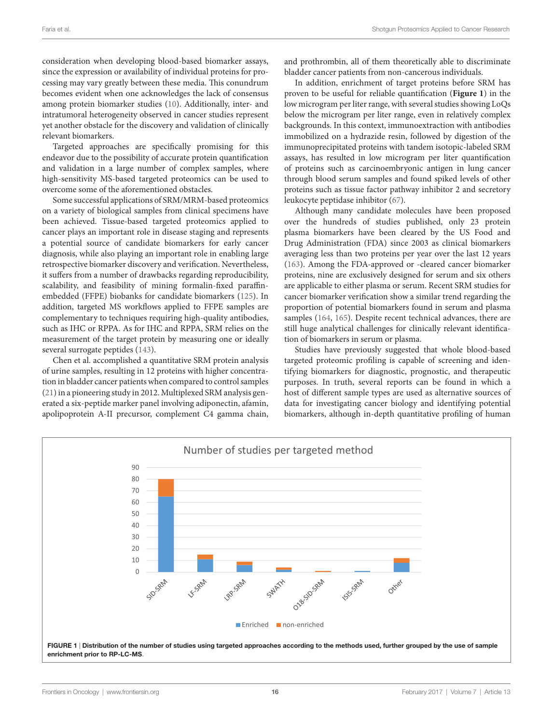consideration when developing blood-based biomarker assays, since the expression or availability of individual proteins for processing may vary greatly between these media. This conundrum becomes evident when one acknowledges the lack of consensus among protein biomarker studies ([10\)](#page-22-7). Additionally, inter- and intratumoral heterogeneity observed in cancer studies represent yet another obstacle for the discovery and validation of clinically relevant biomarkers.

Targeted approaches are specifically promising for this endeavor due to the possibility of accurate protein quantification and validation in a large number of complex samples, where high-sensitivity MS-based targeted proteomics can be used to overcome some of the aforementioned obstacles.

Some successful applications of SRM/MRM-based proteomics on a variety of biological samples from clinical specimens have been achieved. Tissue-based targeted proteomics applied to cancer plays an important role in disease staging and represents a potential source of candidate biomarkers for early cancer diagnosis, while also playing an important role in enabling large retrospective biomarker discovery and verification. Nevertheless, it suffers from a number of drawbacks regarding reproducibility, scalability, and feasibility of mining formalin-fixed paraffinembedded (FFPE) biobanks for candidate biomarkers ([125](#page-26-39)). In addition, targeted MS workflows applied to FFPE samples are complementary to techniques requiring high-quality antibodies, such as IHC or RPPA. As for IHC and RPPA, SRM relies on the measurement of the target protein by measuring one or ideally several surrogate peptides ([143\)](#page-26-20).

Chen et al. accomplished a quantitative SRM protein analysis of urine samples, resulting in 12 proteins with higher concentration in bladder cancer patients when compared to control samples ([21\)](#page-22-24) in a pioneering study in 2012. Multiplexed SRM analysis generated a six-peptide marker panel involving adiponectin, afamin, apolipoprotein A-II precursor, complement C4 gamma chain,

and prothrombin, all of them theoretically able to discriminate bladder cancer patients from non-cancerous individuals.

In addition, enrichment of target proteins before SRM has proven to be useful for reliable quantification (**[Figure 1](#page-15-0)**) in the low microgram per liter range, with several studies showing LoQs below the microgram per liter range, even in relatively complex backgrounds. In this context, immunoextraction with antibodies immobilized on a hydrazide resin, followed by digestion of the immunoprecipitated proteins with tandem isotopic-labeled SRM assays, has resulted in low microgram per liter quantification of proteins such as carcinoembryonic antigen in lung cancer through blood serum samples and found spiked levels of other proteins such as tissue factor pathway inhibitor 2 and secretory leukocyte peptidase inhibitor [\(67](#page-24-37)).

Although many candidate molecules have been proposed over the hundreds of studies published, only 23 protein plasma biomarkers have been cleared by the US Food and Drug Administration (FDA) since 2003 as clinical biomarkers averaging less than two proteins per year over the last 12 years [\(163](#page-27-2)). Among the FDA-approved or -cleared cancer biomarker proteins, nine are exclusively designed for serum and six others are applicable to either plasma or serum. Recent SRM studies for cancer biomarker verification show a similar trend regarding the proportion of potential biomarkers found in serum and plasma samples [\(164,](#page-27-3) [165](#page-27-4)). Despite recent technical advances, there are still huge analytical challenges for clinically relevant identification of biomarkers in serum or plasma.

Studies have previously suggested that whole blood-based targeted proteomic profiling is capable of screening and identifying biomarkers for diagnostic, prognostic, and therapeutic purposes. In truth, several reports can be found in which a host of different sample types are used as alternative sources of data for investigating cancer biology and identifying potential biomarkers, although in-depth quantitative profiling of human

<span id="page-15-0"></span>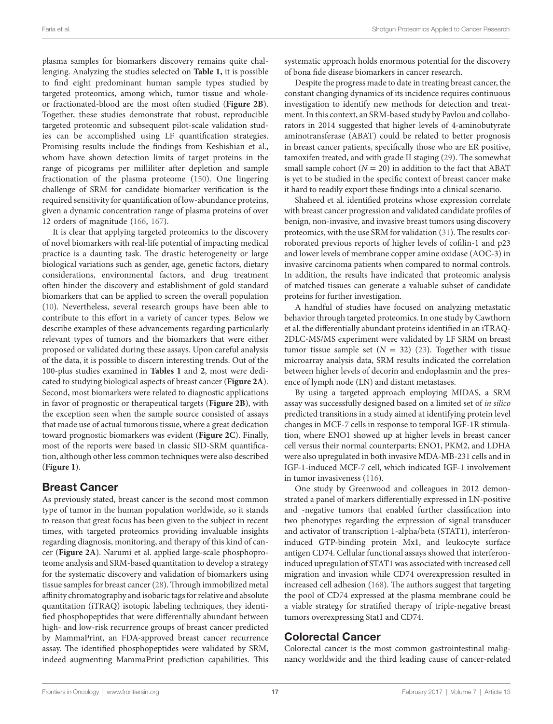plasma samples for biomarkers discovery remains quite challenging. Analyzing the studies selected on **[Table 1,](#page-3-0)** it is possible to find eight predominant human sample types studied by targeted proteomics, among which, tumor tissue and wholeor fractionated-blood are the most often studied (**[Figure 2B](#page-17-0)**). Together, these studies demonstrate that robust, reproducible targeted proteomic and subsequent pilot-scale validation studies can be accomplished using LF quantification strategies. Promising results include the findings from Keshishian et al., whom have shown detection limits of target proteins in the range of picograms per milliliter after depletion and sample fractionation of the plasma proteome ([150](#page-26-28)). One lingering challenge of SRM for candidate biomarker verification is the required sensitivity for quantification of low-abundance proteins, given a dynamic concentration range of plasma proteins of over 12 orders of magnitude ([166](#page-27-5), [167](#page-27-6)).

It is clear that applying targeted proteomics to the discovery of novel biomarkers with real-life potential of impacting medical practice is a daunting task. The drastic heterogeneity or large biological variations such as gender, age, genetic factors, dietary considerations, environmental factors, and drug treatment often hinder the discovery and establishment of gold standard biomarkers that can be applied to screen the overall population ([10\)](#page-22-7). Nevertheless, several research groups have been able to contribute to this effort in a variety of cancer types. Below we describe examples of these advancements regarding particularly relevant types of tumors and the biomarkers that were either proposed or validated during these assays. Upon careful analysis of the data, it is possible to discern interesting trends. Out of the 100-plus studies examined in **[Tables 1](#page-3-0)** and **[2](#page-17-0)**, most were dedicated to studying biological aspects of breast cancer (**[Figure 2A](#page-17-0)**). Second, most biomarkers were related to diagnostic applications in favor of prognostic or therapeutical targets (**[Figure 2B](#page-17-0)**), with the exception seen when the sample source consisted of assays that made use of actual tumorous tissue, where a great dedication toward prognostic biomarkers was evident (**[Figure 2C](#page-17-0)**). Finally, most of the reports were based in classic SID-SRM quantification, although other less common techniques were also described (**[Figure 1](#page-15-0)**).

#### Breast Cancer

As previously stated, breast cancer is the second most common type of tumor in the human population worldwide, so it stands to reason that great focus has been given to the subject in recent times, with targeted proteomics providing invaluable insights regarding diagnosis, monitoring, and therapy of this kind of cancer (**[Figure 2A](#page-17-0)**). Narumi et al. applied large-scale phosphoproteome analysis and SRM-based quantitation to develop a strategy for the systematic discovery and validation of biomarkers using tissue samples for breast cancer [\(28](#page-23-36)). Through immobilized metal affinity chromatography and isobaric tags for relative and absolute quantitation (iTRAQ) isotopic labeling techniques, they identified phosphopeptides that were differentially abundant between high- and low-risk recurrence groups of breast cancer predicted by MammaPrint, an FDA-approved breast cancer recurrence assay. The identified phosphopeptides were validated by SRM, indeed augmenting MammaPrint prediction capabilities. This

systematic approach holds enormous potential for the discovery of bona fide disease biomarkers in cancer research.

Despite the progress made to date in treating breast cancer, the constant changing dynamics of its incidence requires continuous investigation to identify new methods for detection and treatment. In this context, an SRM-based study by Pavlou and collaborators in 2014 suggested that higher levels of 4-aminobutyrate aminotransferase (ABAT) could be related to better prognosis in breast cancer patients, specifically those who are ER positive, tamoxifen treated, and with grade II staging [\(29](#page-23-37)). The somewhat small sample cohort  $(N = 20)$  in addition to the fact that ABAT is yet to be studied in the specific context of breast cancer make it hard to readily export these findings into a clinical scenario.

Shaheed et al. identified proteins whose expression correlate with breast cancer progression and validated candidate profiles of benign, non-invasive, and invasive breast tumors using discovery proteomics, with the use SRM for validation ([31\)](#page-23-38). The results corroborated previous reports of higher levels of cofilin-1 and p23 and lower levels of membrane copper amine oxidase (AOC-3) in invasive carcinoma patients when compared to normal controls. In addition, the results have indicated that proteomic analysis of matched tissues can generate a valuable subset of candidate proteins for further investigation.

A handful of studies have focused on analyzing metastatic behavior through targeted proteomics. In one study by Cawthorn et al. the differentially abundant proteins identified in an iTRAQ-2DLC-MS/MS experiment were validated by LF SRM on breast tumor tissue sample set  $(N = 32)$  [\(23\)](#page-22-25). Together with tissue microarray analysis data, SRM results indicated the correlation between higher levels of decorin and endoplasmin and the presence of lymph node (LN) and distant metastases.

By using a targeted approach employing MIDAS, a SRM assay was successfully designed based on a limited set of *in silico* predicted transitions in a study aimed at identifying protein level changes in MCF-7 cells in response to temporal IGF-1R stimulation, where ENO1 showed up at higher levels in breast cancer cell versus their normal counterparts; ENO1, PKM2, and LDHA were also upregulated in both invasive MDA-MB-231 cells and in IGF-1-induced MCF-7 cell, which indicated IGF-1 involvement in tumor invasiveness ([116\)](#page-25-33).

One study by Greenwood and colleagues in 2012 demonstrated a panel of markers differentially expressed in LN-positive and -negative tumors that enabled further classification into two phenotypes regarding the expression of signal transducer and activator of transcription 1-alpha/beta (STAT1), interferoninduced GTP-binding protein Mx1, and leukocyte surface antigen CD74. Cellular functional assays showed that interferoninduced upregulation of STAT1 was associated with increased cell migration and invasion while CD74 overexpression resulted in increased cell adhesion ([168](#page-27-7)). The authors suggest that targeting the pool of CD74 expressed at the plasma membrane could be a viable strategy for stratified therapy of triple-negative breast tumors overexpressing Stat1 and CD74.

#### Colorectal Cancer

Colorectal cancer is the most common gastrointestinal malignancy worldwide and the third leading cause of cancer-related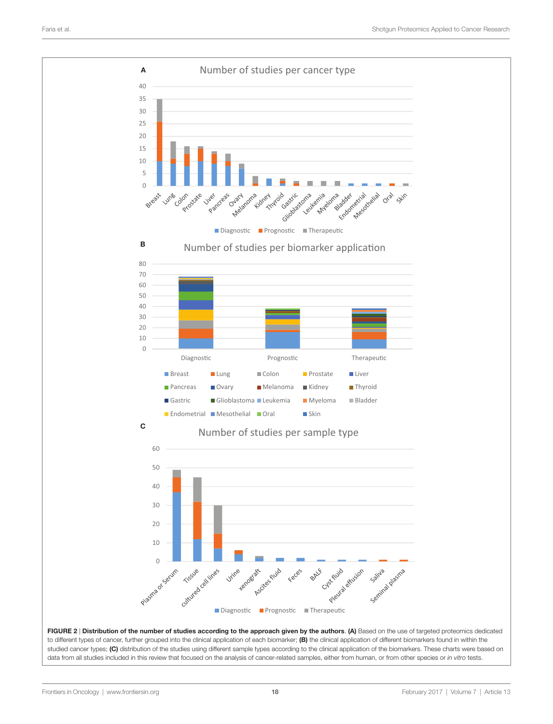

<span id="page-17-0"></span>FIGURE 2 | Distribution of the number of studies according to the approach given by the authors. (A) Based on the use of targeted proteomics dedicated to different types of cancer, further grouped into the clinical application of each biomarker; (B) the clinical application of different biomarkers found in within the studied cancer types; (C) distribution of the studies using different sample types according to the clinical application of the biomarkers. These charts were based on data from all studies included in this review that focused on the analysis of cancer-related samples, either from human, or from other species or *in vitro* tests.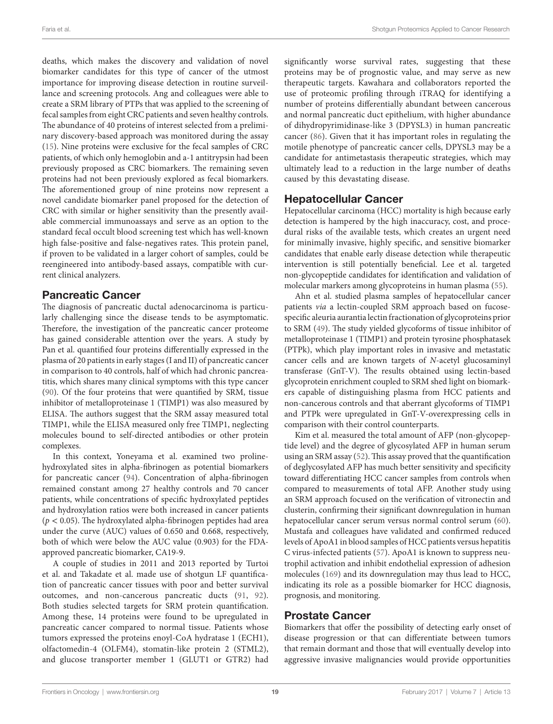deaths, which makes the discovery and validation of novel biomarker candidates for this type of cancer of the utmost importance for improving disease detection in routine surveillance and screening protocols. Ang and colleagues were able to create a SRM library of PTPs that was applied to the screening of fecal samples from eight CRC patients and seven healthy controls. The abundance of 40 proteins of interest selected from a preliminary discovery-based approach was monitored during the assay ([15\)](#page-22-12). Nine proteins were exclusive for the fecal samples of CRC patients, of which only hemoglobin and a-1 antitrypsin had been previously proposed as CRC biomarkers. The remaining seven proteins had not been previously explored as fecal biomarkers. The aforementioned group of nine proteins now represent a novel candidate biomarker panel proposed for the detection of CRC with similar or higher sensitivity than the presently available commercial immunoassays and serve as an option to the standard fecal occult blood screening test which has well-known high false-positive and false-negatives rates. This protein panel, if proven to be validated in a larger cohort of samples, could be reengineered into antibody-based assays, compatible with current clinical analyzers.

### Pancreatic Cancer

The diagnosis of pancreatic ductal adenocarcinoma is particularly challenging since the disease tends to be asymptomatic. Therefore, the investigation of the pancreatic cancer proteome has gained considerable attention over the years. A study by Pan et al. quantified four proteins differentially expressed in the plasma of 20 patients in early stages (I and II) of pancreatic cancer in comparison to 40 controls, half of which had chronic pancreatitis, which shares many clinical symptoms with this type cancer ([90\)](#page-24-38). Of the four proteins that were quantified by SRM, tissue inhibitor of metalloproteinase 1 (TIMP1) was also measured by ELISA. The authors suggest that the SRM assay measured total TIMP1, while the ELISA measured only free TIMP1, neglecting molecules bound to self-directed antibodies or other protein complexes.

In this context, Yoneyama et al. examined two prolinehydroxylated sites in alpha-fibrinogen as potential biomarkers for pancreatic cancer [\(94](#page-25-34)). Concentration of alpha-fibrinogen remained constant among 27 healthy controls and 70 cancer patients, while concentrations of specific hydroxylated peptides and hydroxylation ratios were both increased in cancer patients  $(p < 0.05)$ . The hydroxylated alpha-fibrinogen peptides had area under the curve (AUC) values of 0.650 and 0.668, respectively, both of which were below the AUC value (0.903) for the FDAapproved pancreatic biomarker, CA19-9.

A couple of studies in 2011 and 2013 reported by Turtoi et al. and Takadate et al. made use of shotgun LF quantification of pancreatic cancer tissues with poor and better survival outcomes, and non-cancerous pancreatic ducts ([91](#page-25-35), [92\)](#page-25-36). Both studies selected targets for SRM protein quantification. Among these, 14 proteins were found to be upregulated in pancreatic cancer compared to normal tissue. Patients whose tumors expressed the proteins enoyl-CoA hydratase 1 (ECH1), olfactomedin-4 (OLFM4), stomatin-like protein 2 (STML2), and glucose transporter member 1 (GLUT1 or GTR2) had

significantly worse survival rates, suggesting that these proteins may be of prognostic value, and may serve as new therapeutic targets. Kawahara and collaborators reported the use of proteomic profiling through iTRAQ for identifying a number of proteins differentially abundant between cancerous and normal pancreatic duct epithelium, with higher abundance of dihydropyrimidinase-like 3 (DPYSL3) in human pancreatic cancer [\(86\)](#page-24-39). Given that it has important roles in regulating the motile phenotype of pancreatic cancer cells, DPYSL3 may be a candidate for antimetastasis therapeutic strategies, which may ultimately lead to a reduction in the large number of deaths caused by this devastating disease.

#### Hepatocellular Cancer

Hepatocellular carcinoma (HCC) mortality is high because early detection is hampered by the high inaccuracy, cost, and procedural risks of the available tests, which creates an urgent need for minimally invasive, highly specific, and sensitive biomarker candidates that enable early disease detection while therapeutic intervention is still potentially beneficial. Lee et al. targeted non-glycopeptide candidates for identification and validation of molecular markers among glycoproteins in human plasma [\(55](#page-23-39)).

Ahn et al. studied plasma samples of hepatocellular cancer patients *via* a lectin-coupled SRM approach based on fucosespecific aleuria aurantia lectin fractionation of glycoproteins prior to SRM ([49\)](#page-23-40). The study yielded glycoforms of tissue inhibitor of metalloproteinase 1 (TIMP1) and protein tyrosine phosphatasek (PTPk), which play important roles in invasive and metastatic cancer cells and are known targets of *N*-acetyl glucosaminyl transferase (GnT-V). The results obtained using lectin-based glycoprotein enrichment coupled to SRM shed light on biomarkers capable of distinguishing plasma from HCC patients and non-cancerous controls and that aberrant glycoforms of TIMP1 and PTPk were upregulated in GnT-V-overexpressing cells in comparison with their control counterparts.

Kim et al. measured the total amount of AFP (non-glycopeptide level) and the degree of glycosylated AFP in human serum using an SRM assay ([52](#page-23-41)). This assay proved that the quantification of deglycosylated AFP has much better sensitivity and specificity toward differentiating HCC cancer samples from controls when compared to measurements of total AFP. Another study using an SRM approach focused on the verification of vitronectin and clusterin, confirming their significant downregulation in human hepatocellular cancer serum versus normal control serum [\(60](#page-24-40)). Mustafa and colleagues have validated and confirmed reduced levels of ApoA1 in blood samples of HCC patients versus hepatitis C virus-infected patients [\(57](#page-24-41)). ApoA1 is known to suppress neutrophil activation and inhibit endothelial expression of adhesion molecules [\(169\)](#page-27-8) and its downregulation may thus lead to HCC, indicating its role as a possible biomarker for HCC diagnosis, prognosis, and monitoring.

#### Prostate Cancer

Biomarkers that offer the possibility of detecting early onset of disease progression or that can differentiate between tumors that remain dormant and those that will eventually develop into aggressive invasive malignancies would provide opportunities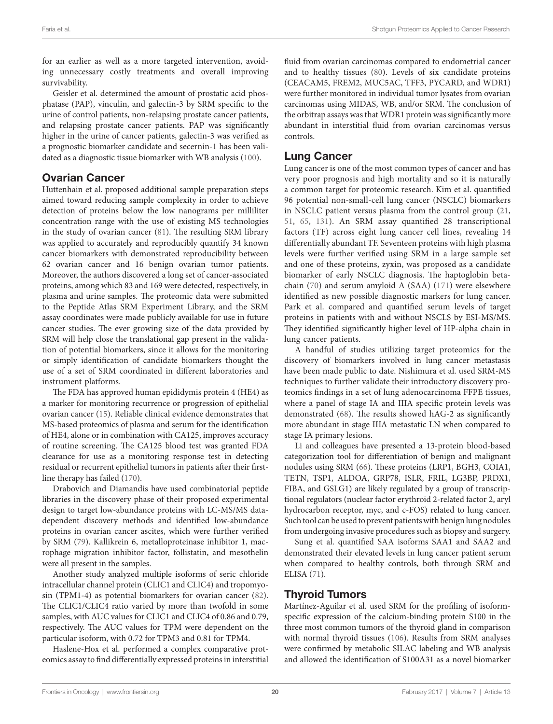for an earlier as well as a more targeted intervention, avoiding unnecessary costly treatments and overall improving survivability.

Geisler et al. determined the amount of prostatic acid phosphatase (PAP), vinculin, and galectin-3 by SRM specific to the urine of control patients, non-relapsing prostate cancer patients, and relapsing prostate cancer patients. PAP was significantly higher in the urine of cancer patients, galectin-3 was verified as a prognostic biomarker candidate and secernin-1 has been validated as a diagnostic tissue biomarker with WB analysis [\(100](#page-25-37)).

#### Ovarian Cancer

Huttenhain et al. proposed additional sample preparation steps aimed toward reducing sample complexity in order to achieve detection of proteins below the low nanograms per milliliter concentration range with the use of existing MS technologies in the study of ovarian cancer ([81\)](#page-24-42). The resulting SRM library was applied to accurately and reproducibly quantify 34 known cancer biomarkers with demonstrated reproducibility between 62 ovarian cancer and 16 benign ovarian tumor patients. Moreover, the authors discovered a long set of cancer-associated proteins, among which 83 and 169 were detected, respectively, in plasma and urine samples. The proteomic data were submitted to the Peptide Atlas SRM Experiment Library, and the SRM assay coordinates were made publicly available for use in future cancer studies. The ever growing size of the data provided by SRM will help close the translational gap present in the validation of potential biomarkers, since it allows for the monitoring or simply identification of candidate biomarkers thought the use of a set of SRM coordinated in different laboratories and instrument platforms.

The FDA has approved human epididymis protein 4 (HE4) as a marker for monitoring recurrence or progression of epithelial ovarian cancer ([15\)](#page-22-12). Reliable clinical evidence demonstrates that MS-based proteomics of plasma and serum for the identification of HE4, alone or in combination with CA125, improves accuracy of routine screening. The CA125 blood test was granted FDA clearance for use as a monitoring response test in detecting residual or recurrent epithelial tumors in patients after their firstline therapy has failed ([170](#page-27-9)).

Drabovich and Diamandis have used combinatorial peptide libraries in the discovery phase of their proposed experimental design to target low-abundance proteins with LC-MS/MS datadependent discovery methods and identified low-abundance proteins in ovarian cancer ascites, which were further verified by SRM ([79](#page-24-43)). Kallikrein 6, metalloproteinase inhibitor 1, macrophage migration inhibitor factor, follistatin, and mesothelin were all present in the samples.

Another study analyzed multiple isoforms of seric chloride intracellular channel protein (CLIC1 and CLIC4) and tropomyosin (TPM1-4) as potential biomarkers for ovarian cancer ([82\)](#page-24-44). The CLIC1/CLIC4 ratio varied by more than twofold in some samples, with AUC values for CLIC1 and CLIC4 of 0.86 and 0.79, respectively. The AUC values for TPM were dependent on the particular isoform, with 0.72 for TPM3 and 0.81 for TPM4.

Haslene-Hox et al. performed a complex comparative proteomics assay to find differentially expressed proteins in interstitial

fluid from ovarian carcinomas compared to endometrial cancer and to healthy tissues ([80\)](#page-24-45). Levels of six candidate proteins (CEACAM5, FREM2, MUC5AC, TFF3, PYCARD, and WDR1) were further monitored in individual tumor lysates from ovarian carcinomas using MIDAS, WB, and/or SRM. The conclusion of the orbitrap assays was that WDR1 protein was significantly more abundant in interstitial fluid from ovarian carcinomas versus controls.

### Lung Cancer

Lung cancer is one of the most common types of cancer and has very poor prognosis and high mortality and so it is naturally a common target for proteomic research. Kim et al. quantified 96 potential non-small-cell lung cancer (NSCLC) biomarkers in NSCLC patient versus plasma from the control group [\(21,](#page-22-24) [51](#page-23-42), [65,](#page-24-34) [131](#page-26-40)). An SRM assay quantified 28 transcriptional factors (TF) across eight lung cancer cell lines, revealing 14 differentially abundant TF. Seventeen proteins with high plasma levels were further verified using SRM in a large sample set and one of these proteins, zyxin, was proposed as a candidate biomarker of early NSCLC diagnosis. The haptoglobin betachain ([70](#page-24-46)) and serum amyloid A (SAA) [\(171](#page-27-10)) were elsewhere identified as new possible diagnostic markers for lung cancer. Park et al. compared and quantified serum levels of target proteins in patients with and without NSCLS by ESI-MS/MS. They identified significantly higher level of HP-alpha chain in lung cancer patients.

A handful of studies utilizing target proteomics for the discovery of biomarkers involved in lung cancer metastasis have been made public to date. Nishimura et al. used SRM-MS techniques to further validate their introductory discovery proteomics findings in a set of lung adenocarcinoma FFPE tissues, where a panel of stage IA and IIIA specific protein levels was demonstrated ([68](#page-24-36)). The results showed hAG-2 as significantly more abundant in stage IIIA metastatic LN when compared to stage IA primary lesions.

Li and colleagues have presented a 13-protein blood-based categorization tool for differentiation of benign and malignant nodules using SRM ([66\)](#page-24-47). These proteins (LRP1, BGH3, COIA1, TETN, TSP1, ALDOA, GRP78, ISLR, FRIL, LG3BP, PRDX1, FIBA, and GSLG1) are likely regulated by a group of transcriptional regulators (nuclear factor erythroid 2-related factor 2, aryl hydrocarbon receptor, myc, and c-FOS) related to lung cancer. Such tool can be used to prevent patients with benign lung nodules from undergoing invasive procedures such as biopsy and surgery.

Sung et al. quantified SAA isoforms SAA1 and SAA2 and demonstrated their elevated levels in lung cancer patient serum when compared to healthy controls, both through SRM and ELISA [\(71\)](#page-24-48).

### Thyroid Tumors

Martínez-Aguilar et al. used SRM for the profiling of isoformspecific expression of the calcium-binding protein S100 in the three most common tumors of the thyroid gland in comparison with normal thyroid tissues ([106\)](#page-25-38). Results from SRM analyses were confirmed by metabolic SILAC labeling and WB analysis and allowed the identification of S100A31 as a novel biomarker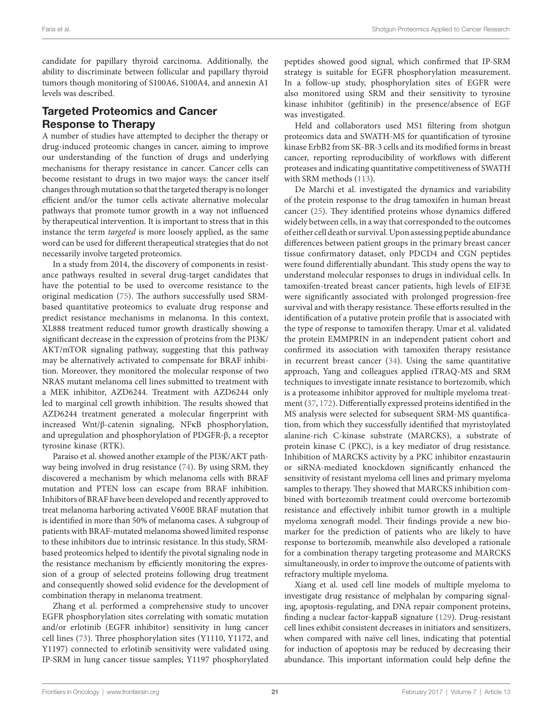candidate for papillary thyroid carcinoma. Additionally, the ability to discriminate between follicular and papillary thyroid tumors though monitoring of S100A6, S100A4, and annexin A1 levels was described.

# Targeted Proteomics and Cancer Response to Therapy

A number of studies have attempted to decipher the therapy or drug-induced proteomic changes in cancer, aiming to improve our understanding of the function of drugs and underlying mechanisms for therapy resistance in cancer. Cancer cells can become resistant to drugs in two major ways: the cancer itself changes through mutation so that the targeted therapy is no longer efficient and/or the tumor cells activate alternative molecular pathways that promote tumor growth in a way not influenced by therapeutical intervention. It is important to stress that in this instance the term *targeted* is more loosely applied, as the same word can be used for different therapeutical strategies that do not necessarily involve targeted proteomics.

In a study from 2014, the discovery of components in resistance pathways resulted in several drug-target candidates that have the potential to be used to overcome resistance to the original medication ([75](#page-24-49)). The authors successfully used SRMbased quantitative proteomics to evaluate drug response and predict resistance mechanisms in melanoma. In this context, XL888 treatment reduced tumor growth drastically showing a significant decrease in the expression of proteins from the PI3K/ AKT/mTOR signaling pathway, suggesting that this pathway may be alternatively activated to compensate for BRAF inhibition. Moreover, they monitored the molecular response of two NRAS mutant melanoma cell lines submitted to treatment with a MEK inhibitor, AZD6244. Treatment with AZD6244 only led to marginal cell growth inhibition. The results showed that AZD6244 treatment generated a molecular fingerprint with increased Wnt/β-catenin signaling, NFκB phosphorylation, and upregulation and phosphorylation of PDGFR-β, a receptor tyrosine kinase (RTK).

Paraiso et al. showed another example of the PI3K/AKT pathway being involved in drug resistance ([74](#page-24-50)). By using SRM, they discovered a mechanism by which melanoma cells with BRAF mutation and PTEN loss can escape from BRAF inhibition. Inhibitors of BRAF have been developed and recently approved to treat melanoma harboring activated V600E BRAF mutation that is identified in more than 50% of melanoma cases. A subgroup of patients with BRAF-mutated melanoma showed limited response to these inhibitors due to intrinsic resistance. In this study, SRMbased proteomics helped to identify the pivotal signaling node in the resistance mechanism by efficiently monitoring the expression of a group of selected proteins following drug treatment and consequently showed solid evidence for the development of combination therapy in melanoma treatment.

Zhang et al. performed a comprehensive study to uncover EGFR phosphorylation sites correlating with somatic mutation and/or erlotinib (EGFR inhibitor) sensitivity in lung cancer cell lines ([73](#page-24-35)). Three phosphorylation sites (Y1110, Y1172, and Y1197) connected to erlotinib sensitivity were validated using IP-SRM in lung cancer tissue samples; Y1197 phosphorylated peptides showed good signal, which confirmed that IP-SRM strategy is suitable for EGFR phosphorylation measurement. In a follow-up study, phosphorylation sites of EGFR were also monitored using SRM and their sensitivity to tyrosine kinase inhibitor (gefitinib) in the presence/absence of EGF was investigated.

Held and collaborators used MS1 filtering from shotgun proteomics data and SWATH-MS for quantification of tyrosine kinase ErbB2 from SK-BR-3 cells and its modified forms in breast cancer, reporting reproducibility of workflows with different proteases and indicating quantitative competitiveness of SWATH with SRM methods ([113](#page-25-39)).

De Marchi et al. investigated the dynamics and variability of the protein response to the drug tamoxifen in human breast cancer ([25](#page-23-43)). They identified proteins whose dynamics differed widely between cells, in a way that corresponded to the outcomes of either cell death or survival. Upon assessing peptide abundance differences between patient groups in the primary breast cancer tissue confirmatory dataset, only PDCD4 and CGN peptides were found differentially abundant. This study opens the way to understand molecular responses to drugs in individual cells. In tamoxifen-treated breast cancer patients, high levels of EIF3E were significantly associated with prolonged progression-free survival and with therapy resistance. These efforts resulted in the identification of a putative protein profile that is associated with the type of response to tamoxifen therapy. Umar et al. validated the protein EMMPRIN in an independent patient cohort and confirmed its association with tamoxifen therapy resistance in recurrent breast cancer [\(34\)](#page-23-44). Using the same quantitative approach, Yang and colleagues applied iTRAQ-MS and SRM techniques to investigate innate resistance to bortezomib, which is a proteasome inhibitor approved for multiple myeloma treatment ([37](#page-23-45), [172\)](#page-27-11). Differentially expressed proteins identified in the MS analysis were selected for subsequent SRM-MS quantification, from which they successfully identified that myristoylated alanine-rich C-kinase substrate (MARCKS), a substrate of protein kinase C (PKC), is a key mediator of drug resistance. Inhibition of MARCKS activity by a PKC inhibitor enzastaurin or siRNA-mediated knockdown significantly enhanced the sensitivity of resistant myeloma cell lines and primary myeloma samples to therapy. They showed that MARCKS inhibition combined with bortezomib treatment could overcome bortezomib resistance and effectively inhibit tumor growth in a multiple myeloma xenograft model. Their findings provide a new biomarker for the prediction of patients who are likely to have response to bortezomib, meanwhile also developed a rationale for a combination therapy targeting proteasome and MARCKS simultaneously, in order to improve the outcome of patients with refractory multiple myeloma.

Xiang et al. used cell line models of multiple myeloma to investigate drug resistance of melphalan by comparing signaling, apoptosis-regulating, and DNA repair component proteins, finding a nuclear factor-kappaB signature ([129](#page-26-41)). Drug-resistant cell lines exhibit consistent decreases in initiators and sensitizers, when compared with naïve cell lines, indicating that potential for induction of apoptosis may be reduced by decreasing their abundance. This important information could help define the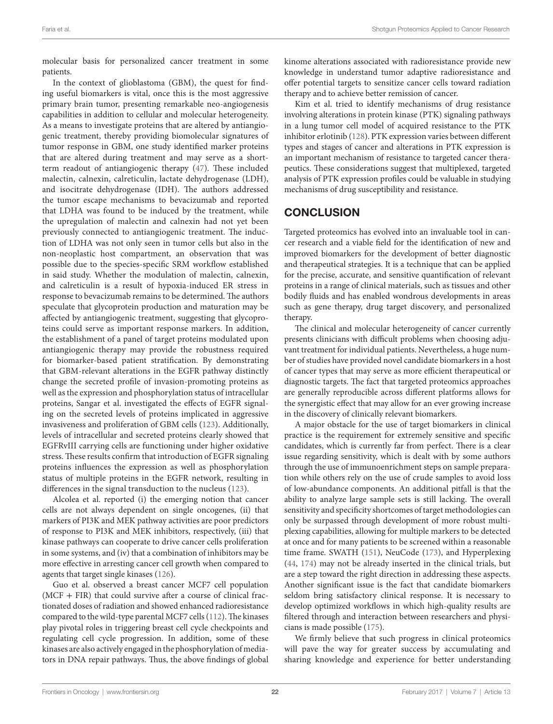molecular basis for personalized cancer treatment in some patients.

In the context of glioblastoma (GBM), the quest for finding useful biomarkers is vital, once this is the most aggressive primary brain tumor, presenting remarkable neo-angiogenesis capabilities in addition to cellular and molecular heterogeneity. As a means to investigate proteins that are altered by antiangiogenic treatment, thereby providing biomolecular signatures of tumor response in GBM, one study identified marker proteins that are altered during treatment and may serve as a shortterm readout of antiangiogenic therapy ([47\)](#page-23-34). These included malectin, calnexin, calreticulin, lactate dehydrogenase (LDH), and isocitrate dehydrogenase (IDH). The authors addressed the tumor escape mechanisms to bevacizumab and reported that LDHA was found to be induced by the treatment, while the upregulation of malectin and calnexin had not yet been previously connected to antiangiogenic treatment. The induction of LDHA was not only seen in tumor cells but also in the non-neoplastic host compartment, an observation that was possible due to the species-specific SRM workflow established in said study. Whether the modulation of malectin, calnexin, and calreticulin is a result of hypoxia-induced ER stress in response to bevacizumab remains to be determined. The authors speculate that glycoprotein production and maturation may be affected by antiangiogenic treatment, suggesting that glycoproteins could serve as important response markers. In addition, the establishment of a panel of target proteins modulated upon antiangiogenic therapy may provide the robustness required for biomarker-based patient stratification. By demonstrating that GBM-relevant alterations in the EGFR pathway distinctly change the secreted profile of invasion-promoting proteins as well as the expression and phosphorylation status of intracellular proteins, Sangar et al. investigated the effects of EGFR signaling on the secreted levels of proteins implicated in aggressive invasiveness and proliferation of GBM cells ([123\)](#page-26-42). Additionally, levels of intracellular and secreted proteins clearly showed that EGFRvIII carrying cells are functioning under higher oxidative stress. These results confirm that introduction of EGFR signaling proteins influences the expression as well as phosphorylation status of multiple proteins in the EGFR network, resulting in differences in the signal transduction to the nucleus ([123\)](#page-26-42).

Alcolea et al. reported (i) the emerging notion that cancer cells are not always dependent on single oncogenes, (ii) that markers of PI3K and MEK pathway activities are poor predictors of response to PI3K and MEK inhibitors, respectively, (iii) that kinase pathways can cooperate to drive cancer cells proliferation in some systems, and (iv) that a combination of inhibitors may be more effective in arresting cancer cell growth when compared to agents that target single kinases ([126\)](#page-26-43).

Guo et al. observed a breast cancer MCF7 cell population  $(MCF + FIR)$  that could survive after a course of clinical fractionated doses of radiation and showed enhanced radioresistance compared to the wild-type parental MCF7 cells [\(112\)](#page-25-40). The kinases play pivotal roles in triggering breast cell cycle checkpoints and regulating cell cycle progression. In addition, some of these kinases are also actively engaged in the phosphorylation of mediators in DNA repair pathways. Thus, the above findings of global kinome alterations associated with radioresistance provide new knowledge in understand tumor adaptive radioresistance and offer potential targets to sensitize cancer cells toward radiation therapy and to achieve better remission of cancer.

Kim et al. tried to identify mechanisms of drug resistance involving alterations in protein kinase (PTK) signaling pathways in a lung tumor cell model of acquired resistance to the PTK inhibitor erlotinib ([128\)](#page-26-26). PTK expression varies between different types and stages of cancer and alterations in PTK expression is an important mechanism of resistance to targeted cancer therapeutics. These considerations suggest that multiplexed, targeted analysis of PTK expression profiles could be valuable in studying mechanisms of drug susceptibility and resistance.

### **CONCLUSION**

Targeted proteomics has evolved into an invaluable tool in cancer research and a viable field for the identification of new and improved biomarkers for the development of better diagnostic and therapeutical strategies. It is a technique that can be applied for the precise, accurate, and sensitive quantification of relevant proteins in a range of clinical materials, such as tissues and other bodily fluids and has enabled wondrous developments in areas such as gene therapy, drug target discovery, and personalized therapy.

The clinical and molecular heterogeneity of cancer currently presents clinicians with difficult problems when choosing adjuvant treatment for individual patients. Nevertheless, a huge number of studies have provided novel candidate biomarkers in a host of cancer types that may serve as more efficient therapeutical or diagnostic targets. The fact that targeted proteomics approaches are generally reproducible across different platforms allows for the synergistic effect that may allow for an ever growing increase in the discovery of clinically relevant biomarkers.

A major obstacle for the use of target biomarkers in clinical practice is the requirement for extremely sensitive and specific candidates, which is currently far from perfect. There is a clear issue regarding sensitivity, which is dealt with by some authors through the use of immunoenrichment steps on sample preparation while others rely on the use of crude samples to avoid loss of low-abundance components. An additional pitfall is that the ability to analyze large sample sets is still lacking. The overall sensitivity and specificity shortcomes of target methodologies can only be surpassed through development of more robust multiplexing capabilities, allowing for multiple markers to be detected at once and for many patients to be screened within a reasonable time frame. SWATH ([151](#page-26-29)), NeuCode ([173\)](#page-27-12), and Hyperplexing [\(44,](#page-23-46) [174\)](#page-27-13) may not be already inserted in the clinical trials, but are a step toward the right direction in addressing these aspects. Another significant issue is the fact that candidate biomarkers seldom bring satisfactory clinical response. It is necessary to develop optimized workflows in which high-quality results are filtered through and interaction between researchers and physicians is made possible ([175\)](#page-27-14).

We firmly believe that such progress in clinical proteomics will pave the way for greater success by accumulating and sharing knowledge and experience for better understanding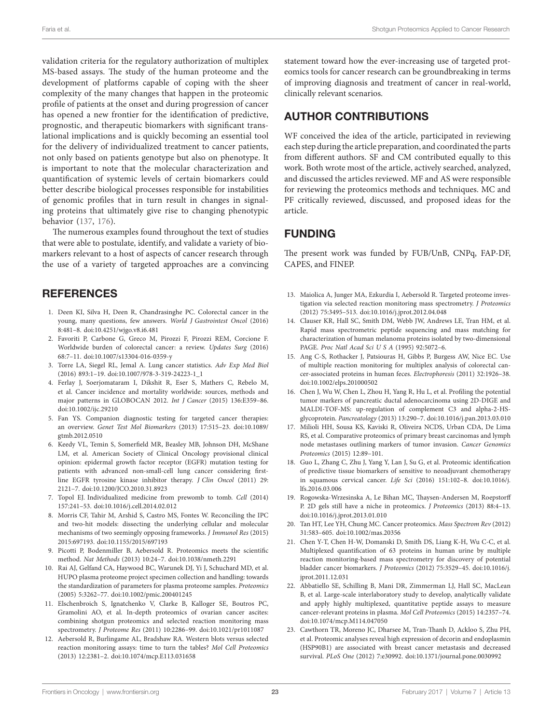<span id="page-22-22"></span>validation criteria for the regulatory authorization of multiplex MS-based assays. The study of the human proteome and the development of platforms capable of coping with the sheer complexity of the many changes that happen in the proteomic profile of patients at the onset and during progression of cancer has opened a new frontier for the identification of predictive, prognostic, and therapeutic biomarkers with significant translational implications and is quickly becoming an essential tool for the delivery of individualized treatment to cancer patients, not only based on patients genotype but also on phenotype. It is important to note that the molecular characterization and quantification of systemic levels of certain biomarkers could better describe biological processes responsible for instabilities of genomic profiles that in turn result in changes in signaling proteins that ultimately give rise to changing phenotypic behavior ([137](#page-26-3), [176\)](#page-27-15).

The numerous examples found throughout the text of studies that were able to postulate, identify, and validate a variety of biomarkers relevant to a host of aspects of cancer research through the use of a variety of targeted approaches are a convincing

### **REFERENCES**

- <span id="page-22-20"></span><span id="page-22-19"></span><span id="page-22-0"></span>1. Deen KI, Silva H, Deen R, Chandrasinghe PC. Colorectal cancer in the young, many questions, few answers. *World J Gastrointest Oncol* (2016) 8:481–8. doi:[10.4251/wjgo.v8.i6.481](https://doi.org/10.4251/wjgo.v8.i6.481)
- 2. Favoriti P, Carbone G, Greco M, Pirozzi F, Pirozzi REM, Corcione F. Worldwide burden of colorectal cancer: a review. *Updates Surg* (2016) 68:7–11. doi:[10.1007/s13304-016-0359-y](https://doi.org/10.1007/s13304-016-0359-y)
- <span id="page-22-1"></span>3. Torre LA, Siegel RL, Jemal A. Lung cancer statistics. *Adv Exp Med Biol* (2016) 893:1–19. doi:[10.1007/978-3-319-24223-1\\_1](https://doi.org/10.1007/978-3-319-24223-1_1)
- <span id="page-22-2"></span>4. Ferlay J, Soerjomataram I, Dikshit R, Eser S, Mathers C, Rebelo M, et al. Cancer incidence and mortality worldwide: sources, methods and major patterns in GLOBOCAN 2012. *Int J Cancer* (2015) 136:E359–86. doi:[10.1002/ijc.29210](https://doi.org/10.1002/ijc.29210)
- <span id="page-22-3"></span>5. Fan YS. Companion diagnostic testing for targeted cancer therapies: an overview. *Genet Test Mol Biomarkers* (2013) 17:515–23. doi[:10.1089/](https://doi.org/10.1089/gtmb.2012.0510) [gtmb.2012.0510](https://doi.org/10.1089/gtmb.2012.0510)
- 6. Keedy VL, Temin S, Somerfield MR, Beasley MB, Johnson DH, McShane LM, et al. American Society of Clinical Oncology provisional clinical opinion: epidermal growth factor receptor (EGFR) mutation testing for patients with advanced non-small-cell lung cancer considering firstline EGFR tyrosine kinase inhibitor therapy. *J Clin Oncol* (2011) 29: 2121–7. doi[:10.1200/JCO.2010.31.8923](https://doi.org/10.1200/JCO.2010.31.8923)
- <span id="page-22-4"></span>7. Topol EJ. Individualized medicine from prewomb to tomb. *Cell* (2014) 157:241–53. doi:[10.1016/j.cell.2014.02.012](https://doi.org/10.1016/j.cell.2014.02.012)
- <span id="page-22-5"></span>8. Morris CF, Tahir M, Arshid S, Castro MS, Fontes W. Reconciling the IPC and two-hit models: dissecting the underlying cellular and molecular mechanisms of two seemingly opposing frameworks. *J Immunol Res* (2015) 2015:697193. doi:[10.1155/2015/697193](https://doi.org/10.1155/2015/697193)
- <span id="page-22-6"></span>9. Picotti P, Bodenmiller B, Aebersold R. Proteomics meets the scientific method. *Nat Methods* (2013) 10:24–7. doi:[10.1038/nmeth.2291](https://doi.org/10.1038/nmeth.2291)
- <span id="page-22-7"></span>10. Rai AJ, Gelfand CA, Haywood BC, Warunek DJ, Yi J, Schuchard MD, et al. HUPO plasma proteome project specimen collection and handling: towards the standardization of parameters for plasma proteome samples. *Proteomics* (2005) 5:3262–77. doi[:10.1002/pmic.200401245](https://doi.org/10.1002/pmic.200401245)
- <span id="page-22-8"></span>11. Elschenbroich S, Ignatchenko V, Clarke B, Kalloger SE, Boutros PC, Gramolini AO, et al. In-depth proteomics of ovarian cancer ascites: combining shotgun proteomics and selected reaction monitoring mass spectrometry. *J Proteome Res* (2011) 10:2286–99. doi[:10.1021/pr1011087](https://doi.org/10.1021/pr1011087)
- <span id="page-22-9"></span>12. Aebersold R, Burlingame AL, Bradshaw RA. Western blots versus selected reaction monitoring assays: time to turn the tables? *Mol Cell Proteomics* (2013) 12:2381–2. doi[:10.1074/mcp.E113.031658](https://doi.org/10.1074/mcp.E113.031658)

statement toward how the ever-increasing use of targeted proteomics tools for cancer research can be groundbreaking in terms of improving diagnosis and treatment of cancer in real-world, clinically relevant scenarios.

# AUTHOR CONTRIBUTIONS

WF conceived the idea of the article, participated in reviewing each step during the article preparation, and coordinated the parts from different authors. SF and CM contributed equally to this work. Both wrote most of the article, actively searched, analyzed, and discussed the articles reviewed. MF and AS were responsible for reviewing the proteomics methods and techniques. MC and PF critically reviewed, discussed, and proposed ideas for the article.

# FUNDING

The present work was funded by FUB/UnB, CNPq, FAP-DF, CAPES, and FINEP.

- <span id="page-22-10"></span>13. Maiolica A, Junger MA, Ezkurdia I, Aebersold R. Targeted proteome investigation via selected reaction monitoring mass spectrometry. *J Proteomics* (2012) 75:3495–513. doi[:10.1016/j.jprot.2012.04.048](https://doi.org/10.1016/j.jprot.2012.04.048)
- <span id="page-22-21"></span><span id="page-22-18"></span><span id="page-22-11"></span>14. Clauser KR, Hall SC, Smith DM, Webb JW, Andrews LE, Tran HM, et al. Rapid mass spectrometric peptide sequencing and mass matching for characterization of human melanoma proteins isolated by two-dimensional PAGE. *Proc Natl Acad Sci U S A* (1995) 92:5072–6.
- <span id="page-22-12"></span>15. Ang C-S, Rothacker J, Patsiouras H, Gibbs P, Burgess AW, Nice EC. Use of multiple reaction monitoring for multiplex analysis of colorectal cancer-associated proteins in human feces. *Electrophoresis* (2011) 32:1926–38. doi:[10.1002/elps.201000502](https://doi.org/10.1002/elps.201000502)
- <span id="page-22-13"></span>16. Chen J, Wu W, Chen L, Zhou H, Yang R, Hu L, et al. Profiling the potential tumor markers of pancreatic ductal adenocarcinoma using 2D-DIGE and MALDI-TOF-MS: up-regulation of complement C3 and alpha-2-HSglycoprotein. *Pancreatology* (2013) 13:290–7. doi[:10.1016/j.pan.2013.03.010](https://doi.org/10.1016/j.pan.2013.03.010)
- <span id="page-22-14"></span>17. Milioli HH, Sousa KS, Kaviski R, Oliveira NCDS, Urban CDA, De Lima RS, et al. Comparative proteomics of primary breast carcinomas and lymph node metastases outlining markers of tumor invasion. *Cancer Genomics Proteomics* (2015) 12:89–101.
- <span id="page-22-15"></span>18. Guo L, Zhang C, Zhu J, Yang Y, Lan J, Su G, et al. Proteomic identification of predictive tissue biomarkers of sensitive to neoadjuvant chemotherapy in squamous cervical cancer. *Life Sci* (2016) 151:102–8. doi[:10.1016/j.](https://doi.org/10.1016/j.lfs.2016.03.006) [lfs.2016.03.006](https://doi.org/10.1016/j.lfs.2016.03.006)
- <span id="page-22-16"></span>19. Rogowska-Wrzesinska A, Le Bihan MC, Thaysen-Andersen M, Roepstorff P. 2D gels still have a niche in proteomics. *J Proteomics* (2013) 88:4–13. doi:[10.1016/j.jprot.2013.01.010](https://doi.org/10.1016/j.jprot.2013.01.010)
- <span id="page-22-17"></span>20. Tan HT, Lee YH, Chung MC. Cancer proteomics. *Mass Spectrom Rev* (2012) 31:583–605. doi[:10.1002/mas.20356](https://doi.org/10.1002/mas.20356)
- <span id="page-22-24"></span>21. Chen Y-T, Chen H-W, Domanski D, Smith DS, Liang K-H, Wu C-C, et al. Multiplexed quantification of 63 proteins in human urine by multiple reaction monitoring-based mass spectrometry for discovery of potential bladder cancer biomarkers. *J Proteomics* (2012) 75:3529–45. doi[:10.1016/j.](https://doi.org/10.1016/j.jprot.2011.12.031) [jprot.2011.12.031](https://doi.org/10.1016/j.jprot.2011.12.031)
- <span id="page-22-23"></span>22. Abbatiello SE, Schilling B, Mani DR, Zimmerman LJ, Hall SC, MacLean B, et al. Large-scale interlaboratory study to develop, analytically validate and apply highly multiplexed, quantitative peptide assays to measure cancer-relevant proteins in plasma. *Mol Cell Proteomics* (2015) 14:2357–74. doi:[10.1074/mcp.M114.047050](https://doi.org/10.1074/mcp.M114.047050)
- <span id="page-22-25"></span>23. Cawthorn TR, Moreno JC, Dharsee M, Tran-Thanh D, Ackloo S, Zhu PH, et al. Proteomic analyses reveal high expression of decorin and endoplasmin (HSP90B1) are associated with breast cancer metastasis and decreased survival. *PLoS One* (2012) 7:e30992. doi[:10.1371/journal.pone.0030992](https://doi.org/10.1371/journal.pone.0030992)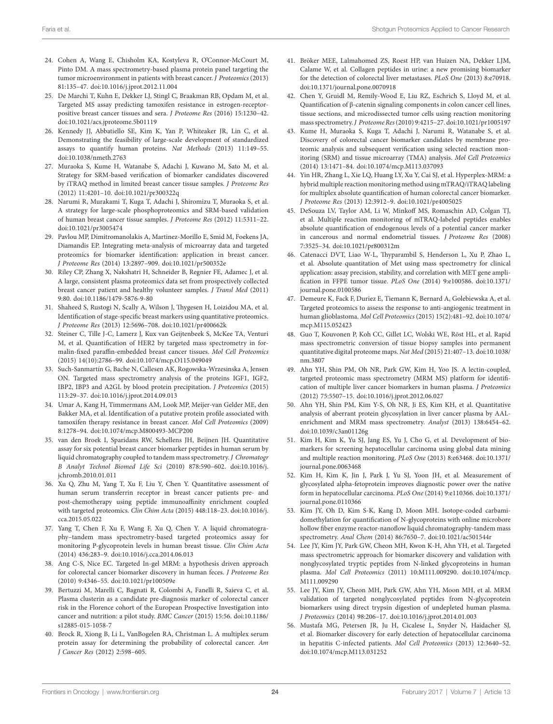- <span id="page-23-16"></span><span id="page-23-15"></span>24. Cohen A, Wang E, Chisholm KA, Kostyleva R, O'Connor-McCourt M, Pinto DM. A mass spectrometry-based plasma protein panel targeting the tumor microenvironment in patients with breast cancer. *J Proteomics* (2013) 81:135–47. doi:[10.1016/j.jprot.2012.11.004](https://doi.org/10.1016/j.jprot.2012.11.004)
- <span id="page-23-43"></span>25. De Marchi T, Kuhn E, Dekker LJ, Stingl C, Braakman RB, Opdam M, et al. Targeted MS assay predicting tamoxifen resistance in estrogen-receptorpositive breast cancer tissues and sera. *J Proteome Res* (2016) 15:1230–42. doi:[10.1021/acs.jproteome.5b01119](https://doi.org/10.1021/acs.jproteome.5b01119)
- 26. Kennedy JJ, Abbatiello SE, Kim K, Yan P, Whiteaker JR, Lin C, et al. Demonstrating the feasibility of large-scale development of standardized assays to quantify human proteins. *Nat Methods* (2013) 11:149–55. doi:[10.1038/nmeth.2763](https://doi.org/10.1038/nmeth.2763)
- 27. Muraoka S, Kume H, Watanabe S, Adachi J, Kuwano M, Sato M, et al. Strategy for SRM-based verification of biomarker candidates discovered by iTRAQ method in limited breast cancer tissue samples. *J Proteome Res* (2012) 11:4201–10. doi:[10.1021/pr300322q](https://doi.org/10.1021/pr300322q)
- <span id="page-23-36"></span>28. Narumi R, Murakami T, Kuga T, Adachi J, Shiromizu T, Muraoka S, et al. A strategy for large-scale phosphoproteomics and SRM-based validation of human breast cancer tissue samples. *J Proteome Res* (2012) 11:5311–22. doi:[10.1021/pr3005474](https://doi.org/10.1021/pr3005474)
- <span id="page-23-37"></span>29. Pavlou MP, Dimitromanolakis A, Martinez-Morillo E, Smid M, Foekens JA, Diamandis EP. Integrating meta-analysis of microarray data and targeted proteomics for biomarker identification: application in breast cancer. *J Proteome Res* (2014) 13:2897–909. doi:[10.1021/pr500352e](https://doi.org/10.1021/pr500352e)
- 30. Riley CP, Zhang X, Nakshatri H, Schneider B, Regnier FE, Adamec J, et al. A large, consistent plasma proteomics data set from prospectively collected breast cancer patient and healthy volunteer samples. *J Transl Med* (2011) 9:80. doi:[10.1186/1479-5876-9-80](https://doi.org/10.1186/1479-5876-9-80)
- <span id="page-23-38"></span><span id="page-23-32"></span><span id="page-23-31"></span>31. Shaheed S, Rustogi N, Scally A, Wilson J, Thygesen H, Loizidou MA, et al. Identification of stage-specific breast markers using quantitative proteomics. *J Proteome Res* (2013) 12:5696–708. doi:[10.1021/pr400662k](https://doi.org/10.1021/pr400662k)
- 32. Steiner C, Tille J-C, Lamerz J, Kux van Geijtenbeek S, McKee TA, Venturi M, et al. Quantification of HER2 by targeted mass spectrometry in formalin-fixed paraffin-embedded breast cancer tissues. *Mol Cell Proteomics* (2015) 14(10):2786–99. doi[:10.1074/mcp.O115.049049](https://doi.org/10.1074/mcp.O115.049049)
- 33. Such-Sanmartín G, Bache N, Callesen AK, Rogowska-Wrzesinska A, Jensen ON. Targeted mass spectrometry analysis of the proteins IGF1, IGF2, IBP2, IBP3 and A2GL by blood protein precipitation. *J Proteomics* (2015) 113:29–37. doi[:10.1016/j.jprot.2014.09.013](https://doi.org/10.1016/j.jprot.2014.09.013)
- <span id="page-23-44"></span>34. Umar A, Kang H, Timmermans AM, Look MP, Meijer-van Gelder ME, den Bakker MA, et al. Identification of a putative protein profile associated with tamoxifen therapy resistance in breast cancer. *Mol Cell Proteomics* (2009) 8:1278–94. doi[:10.1074/mcp.M800493-MCP200](https://doi.org/10.1074/mcp.M800493-MCP200)
- 35. van den Broek I, Sparidans RW, Schellens JH, Beijnen JH. Quantitative assay for six potential breast cancer biomarker peptides in human serum by liquid chromatography coupled to tandem mass spectrometry. *J Chromatogr B Analyt Technol Biomed Life Sci* (2010) 878:590–602. doi:[10.1016/j.](https://doi.org/10.1016/j.jchromb.2010.01.011) [jchromb.2010.01.011](https://doi.org/10.1016/j.jchromb.2010.01.011)
- 36. Xu Q, Zhu M, Yang T, Xu F, Liu Y, Chen Y. Quantitative assessment of human serum transferrin receptor in breast cancer patients pre- and post-chemotherapy using peptide immunoaffinity enrichment coupled with targeted proteomics. *Clin Chim Acta* (2015) 448:118–23. doi:[10.1016/j.](https://doi.org/10.1016/j.cca.2015.05.022) [cca.2015.05.022](https://doi.org/10.1016/j.cca.2015.05.022)
- <span id="page-23-45"></span>37. Yang T, Chen F, Xu F, Wang F, Xu Q, Chen Y. A liquid chromatography–tandem mass spectrometry-based targeted proteomics assay for monitoring P-glycoprotein levels in human breast tissue. *Clin Chim Acta* (2014) 436:283–9. doi[:10.1016/j.cca.2014.06.013](https://doi.org/10.1016/j.cca.2014.06.013)
- 38. Ang C-S, Nice EC. Targeted In-gel MRM: a hypothesis driven approach for colorectal cancer biomarker discovery in human feces. *J Proteome Res* (2010) 9:4346–55. doi[:10.1021/pr100509e](https://doi.org/10.1021/pr100509e)
- 39. Bertuzzi M, Marelli C, Bagnati R, Colombi A, Fanelli R, Saieva C, et al. Plasma clusterin as a candidate pre-diagnosis marker of colorectal cancer risk in the Florence cohort of the European Prospective Investigation into cancer and nutrition: a pilot study. *BMC Cancer* (2015) 15:56. doi[:10.1186/](https://doi.org/10.1186/s12885-015-1058-7) [s12885-015-1058-7](https://doi.org/10.1186/s12885-015-1058-7)
- 40. Brock R, Xiong B, Li L, VanBogelen RA, Christman L. A multiplex serum protein assay for determining the probability of colorectal cancer. *Am J Cancer Res* (2012) 2:598–605.
- <span id="page-23-14"></span><span id="page-23-13"></span><span id="page-23-12"></span><span id="page-23-11"></span><span id="page-23-10"></span><span id="page-23-9"></span><span id="page-23-8"></span>41. Bröker MEE, Lalmahomed ZS, Roest HP, van Huizen NA, Dekker LJM, Calame W, et al. Collagen peptides in urine: a new promising biomarker for the detection of colorectal liver metastases. *PLoS One* (2013) 8:e70918. doi:[10.1371/journal.pone.0070918](https://doi.org/10.1371/journal.pone.0070918)
- <span id="page-23-7"></span><span id="page-23-6"></span><span id="page-23-5"></span><span id="page-23-4"></span><span id="page-23-3"></span><span id="page-23-2"></span><span id="page-23-1"></span><span id="page-23-0"></span>42. Chen Y, Gruidl M, Remily-Wood E, Liu RZ, Eschrich S, Lloyd M, et al. Quantification of β-catenin signaling components in colon cancer cell lines, tissue sections, and microdissected tumor cells using reaction monitoring mass spectrometry. *J Proteome Res* (2010) 9:4215–27. doi[:10.1021/pr1005197](https://doi.org/10.1021/pr1005197)
- 43. Kume H, Muraoka S, Kuga T, Adachi J, Narumi R, Watanabe S, et al. Discovery of colorectal cancer biomarker candidates by membrane proteomic analysis and subsequent verification using selected reaction monitoring (SRM) and tissue microarray (TMA) analysis. *Mol Cell Proteomics* (2014) 13:1471–84. doi:[10.1074/mcp.M113.037093](https://doi.org/10.1074/mcp.M113.037093)
- <span id="page-23-46"></span>44. Yin HR, Zhang L, Xie LQ, Huang LY, Xu Y, Cai SJ, et al. Hyperplex-MRM: a hybrid multiple reaction monitoring method using mTRAQ/iTRAQ labeling for multiplex absolute quantification of human colorectal cancer biomarker. *J Proteome Res* (2013) 12:3912–9. doi[:10.1021/pr4005025](https://doi.org/10.1021/pr4005025)
- 45. DeSouza LV, Taylor AM, Li W, Minkoff MS, Romaschin AD, Colgan TJ, et al. Multiple reaction monitoring of mTRAQ-labeled peptides enables absolute quantification of endogenous levels of a potential cancer marker in cancerous and normal endometrial tissues. *J Proteome Res* (2008) 7:3525–34. doi:[10.1021/pr800312m](https://doi.org/10.1021/pr800312m)
- <span id="page-23-33"></span>46. Catenacci DVT, Liao W-L, Thyparambil S, Henderson L, Xu P, Zhao L, et al. Absolute quantitation of Met using mass spectrometry for clinical application: assay precision, stability, and correlation with MET gene amplification in FFPE tumor tissue. *PLoS One* (2014) 9:e100586. doi:[10.1371/](https://doi.org/10.1371/journal.pone.0100586) [journal.pone.0100586](https://doi.org/10.1371/journal.pone.0100586)
- <span id="page-23-34"></span><span id="page-23-24"></span><span id="page-23-23"></span><span id="page-23-22"></span><span id="page-23-21"></span><span id="page-23-20"></span><span id="page-23-19"></span><span id="page-23-18"></span><span id="page-23-17"></span>47. Demeure K, Fack F, Duriez E, Tiemann K, Bernard A, Golebiewska A, et al. Targeted proteomics to assess the response to anti-angiogenic treatment in human glioblastoma. *Mol Cell Proteomics* (2015) 15(2):481–92. doi:[10.1074/](https://doi.org/10.1074/mcp.M115.052423) [mcp.M115.052423](https://doi.org/10.1074/mcp.M115.052423)
- <span id="page-23-35"></span><span id="page-23-30"></span><span id="page-23-29"></span><span id="page-23-28"></span><span id="page-23-27"></span><span id="page-23-26"></span><span id="page-23-25"></span>48. Guo T, Kouvonen P, Koh CC, Gillet LC, Wolski WE, Röst HL, et al. Rapid mass spectrometric conversion of tissue biopsy samples into permanent quantitative digital proteome maps. *Nat Med* (2015) 21:407–13. doi:[10.1038/](https://doi.org/10.1038/nm.3807) [nm.3807](https://doi.org/10.1038/nm.3807)
- <span id="page-23-40"></span>49. Ahn YH, Shin PM, Oh NR, Park GW, Kim H, Yoo JS. A lectin-coupled, targeted proteomic mass spectrometry (MRM MS) platform for identification of multiple liver cancer biomarkers in human plasma. *J Proteomics* (2012) 75:5507–15. doi:[10.1016/j.jprot.2012.06.027](https://doi.org/10.1016/j.jprot.2012.06.027)
- 50. Ahn YH, Shin PM, Kim Y-S, Oh NR, Ji ES, Kim KH, et al. Quantitative analysis of aberrant protein glycosylation in liver cancer plasma by AALenrichment and MRM mass spectrometry. *Analyst* (2013) 138:6454–62. doi:[10.1039/c3an01126g](https://doi.org/10.1039/c3an01126g)
- <span id="page-23-42"></span>51. Kim H, Kim K, Yu SJ, Jang ES, Yu J, Cho G, et al. Development of biomarkers for screening hepatocellular carcinoma using global data mining and multiple reaction monitoring. *PLoS One* (2013) 8:e63468. doi:[10.1371/](https://doi.org/10.1371/journal.pone.0063468) [journal.pone.0063468](https://doi.org/10.1371/journal.pone.0063468)
- <span id="page-23-41"></span>52. Kim H, Kim K, Jin J, Park J, Yu SJ, Yoon JH, et al. Measurement of glycosylated alpha-fetoprotein improves diagnostic power over the native form in hepatocellular carcinoma. *PLoS One* (2014) 9:e110366. doi:[10.1371/](https://doi.org/10.1371/journal.pone.0110366) [journal.pone.0110366](https://doi.org/10.1371/journal.pone.0110366)
- 53. Kim JY, Oh D, Kim S-K, Kang D, Moon MH. Isotope-coded carbamidomethylation for quantification of N-glycoproteins with online microbore hollow fiber enzyme reactor-nanoflow liquid chromatography-tandem mass spectrometry. *Anal Chem* (2014) 86:7650–7. doi[:10.1021/ac501544r](https://doi.org/10.1021/ac501544r)
- 54. Lee JY, Kim JY, Park GW, Cheon MH, Kwon K-H, Ahn YH, et al. Targeted mass spectrometric approach for biomarker discovery and validation with nonglycosylated tryptic peptides from N-linked glycoproteins in human plasma. *Mol Cell Proteomics* (2011) 10:M111.009290. doi[:10.1074/mcp.](https://doi.org/10.1074/mcp.M111.009290) [M111.009290](https://doi.org/10.1074/mcp.M111.009290)
- <span id="page-23-39"></span>55. Lee JY, Kim JY, Cheon MH, Park GW, Ahn YH, Moon MH, et al. MRM validation of targeted nonglycosylated peptides from N-glycoprotein biomarkers using direct trypsin digestion of undepleted human plasma. *J Proteomics* (2014) 98:206–17. doi[:10.1016/j.jprot.2014.01.003](https://doi.org/10.1016/j.jprot.2014.01.003)
- 56. Mustafa MG, Petersen JR, Ju H, Cicalese L, Snyder N, Haidacher SJ, et al. Biomarker discovery for early detection of hepatocellular carcinoma in hepatitis C-infected patients. *Mol Cell Proteomics* (2013) 12:3640–52. doi:[10.1074/mcp.M113.031252](https://doi.org/10.1074/mcp.M113.031252)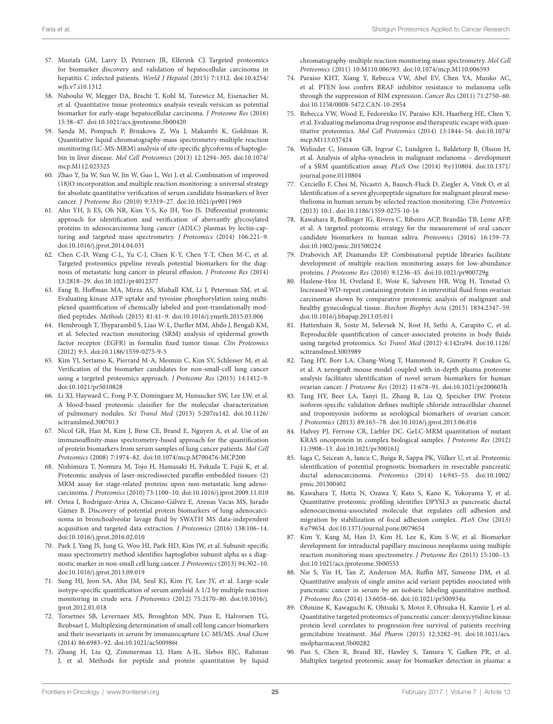- <span id="page-24-41"></span><span id="page-24-16"></span><span id="page-24-15"></span><span id="page-24-14"></span>57. Mustafa GM, Larry D, Petersen JR, Elferink CJ. Targeted proteomics for biomarker discovery and validation of hepatocellular carcinoma in hepatitis C infected patients. *World J Hepatol* (2015) 7:1312. doi[:10.4254/](https://doi.org/10.4254/wjh.v7.i10.1312) [wjh.v7.i10.1312](https://doi.org/10.4254/wjh.v7.i10.1312)
- 58. Naboulsi W, Megger DA, Bracht T, Kohl M, Turewicz M, Eisenacher M, et al. Quantitative tissue proteomics analysis reveals versican as potential biomarker for early-stage hepatocellular carcinoma. *J Proteome Res* (2016) 15:38–47. doi[:10.1021/acs.jproteome.5b00420](https://doi.org/10.1021/acs.jproteome.5b00420)
- 59. Sanda M, Pompach P, Brnakova Z, Wu J, Makambi K, Goldman R. Quantitative liquid chromatography-mass spectrometry-multiple reaction monitoring (LC-MS-MRM) analysis of site-specific glycoforms of haptoglobin in liver disease. *Mol Cell Proteomics* (2013) 12:1294–305. doi[:10.1074/](https://doi.org/10.1074/mcp.M112.023325) [mcp.M112.023325](https://doi.org/10.1074/mcp.M112.023325)
- <span id="page-24-40"></span>60. Zhao Y, Jia W, Sun W, Jin W, Guo L, Wei J, et al. Combination of improved (18)O incorporation and multiple reaction monitoring: a universal strategy for absolute quantitative verification of serum candidate biomarkers of liver cancer. *J Proteome Res* (2010) 9:3319–27. doi[:10.1021/pr9011969](https://doi.org/10.1021/pr9011969)
- 61. Ahn YH, Ji ES, Oh NR, Kim Y-S, Ko JH, Yoo JS. Differential proteomic approach for identification and verification of aberrantly glycosylated proteins in adenocarcinoma lung cancer (ADLC) plasmas by lectin-capturing and targeted mass spectrometry. *J Proteomics* (2014) 106:221–9. doi:[10.1016/j.jprot.2014.04.031](https://doi.org/10.1016/j.jprot.2014.04.031)
- 62. Chen C-D, Wang C-L, Yu C-J, Chien K-Y, Chen Y-T, Chen M-C, et al. Targeted proteomics pipeline reveals potential biomarkers for the diagnosis of metastatic lung cancer in pleural effusion. *J Proteome Res* (2014) 13:2818–29. doi:[10.1021/pr4012377](https://doi.org/10.1021/pr4012377)
- 63. Fang B, Hoffman MA, Mirza AS, Mishall KM, Li J, Peterman SM, et al. Evaluating kinase ATP uptake and tyrosine phosphorylation using multiplexed quantification of chemically labeled and post-translationally modified peptides. *Methods* (2015) 81:41–9. doi:[10.1016/j.ymeth.2015.03.006](https://doi.org/10.1016/j.ymeth.2015.03.006)
- <span id="page-24-33"></span><span id="page-24-32"></span><span id="page-24-31"></span>64. Hembrough T, Thyparambil S, Liao W-L, Darfler MM, Abdo J, Bengali KM, et al. Selected reaction monitoring (SRM) analysis of epidermal growth factor receptor (EGFR) in formalin fixed tumor tissue. *Clin Proteomics* (2012) 9:5. doi[:10.1186/1559-0275-9-5](https://doi.org/10.1186/1559-0275-9-5)
- <span id="page-24-34"></span>65. Kim YJ, Sertamo K, Pierrard M-A, Mesmin C, Kim SY, Schlesser M, et al. Verification of the biomarker candidates for non-small-cell lung cancer using a targeted proteomics approach. *J Proteome Res* (2015) 14:1412–9. doi:[10.1021/pr5010828](https://doi.org/10.1021/pr5010828)
- <span id="page-24-47"></span>66. Li XJ, Hayward C, Fong P-Y, Dominguez M, Hunsucker SW, Lee LW, et al. A blood-based proteomic classifier for the molecular characterization of pulmonary nodules. *Sci Transl Med* (2013) 5:207ra142. doi[:10.1126/](https://doi.org/10.1126/scitranslmed.3007013) [scitranslmed.3007013](https://doi.org/10.1126/scitranslmed.3007013)
- <span id="page-24-37"></span>67. Nicol GR, Han M, Kim J, Birse CE, Brand E, Nguyen A, et al. Use of an immunoaffinity-mass spectrometry-based approach for the quantification of protein biomarkers from serum samples of lung cancer patients. *Mol Cell Proteomics* (2008) 7:1974–82. doi:[10.1074/mcp.M700476-MCP200](https://doi.org/10.1074/mcp.M700476-MCP200)
- <span id="page-24-36"></span>68. Nishimura T, Nomura M, Tojo H, Hamasaki H, Fukuda T, Fujii K, et al. Proteomic analysis of laser-microdissected paraffin-embedded tissues: (2) MRM assay for stage-related proteins upon non-metastatic lung adenocarcinoma. *J Proteomics* (2010) 73:1100–10. doi[:10.1016/j.jprot.2009.11.010](https://doi.org/10.1016/j.jprot.2009.11.010)
- 69. Ortea I, Rodríguez-Ariza A, Chicano-Gálvez E, Arenas Vacas MS, Jurado Gámez B. Discovery of potential protein biomarkers of lung adenocarcinoma in bronchoalveolar lavage fluid by SWATH MS data-independent acquisition and targeted data extraction. *J Proteomics* (2016) 138:106–14. doi:[10.1016/j.jprot.2016.02.010](https://doi.org/10.1016/j.jprot.2016.02.010)
- <span id="page-24-46"></span>70. Park J, Yang JS, Jung G, Woo HI, Park HD, Kim JW, et al. Subunit-specific mass spectrometry method identifies haptoglobin subunit alpha as a diagnostic marker in non-small cell lung cancer. *J Proteomics* (2013) 94:302–10. doi:[10.1016/j.jprot.2013.09.019](https://doi.org/10.1016/j.jprot.2013.09.019)
- <span id="page-24-48"></span>71. Sung HJ, Jeon SA, Ahn JM, Seul KJ, Kim JY, Lee JY, et al. Large-scale isotype-specific quantification of serum amyloid A 1/2 by multiple reaction monitoring in crude sera. *J Proteomics* (2012) 75:2170–80. doi:[10.1016/j.](https://doi.org/10.1016/j.jprot.2012.01.018) [jprot.2012.01.018](https://doi.org/10.1016/j.jprot.2012.01.018)
- 72. Torsetnes SB, Levernaes MS, Broughton MN, Paus E, Halvorsen TG, Reubsaet L. Multiplexing determination of small cell lung cancer biomarkers and their isovariants in serum by immunocapture LC-MS/MS. *Anal Chem* (2014) 86:6983–92. doi:[10.1021/ac500986t](https://doi.org/10.1021/ac500986t)
- <span id="page-24-35"></span>73. Zhang H, Liu Q, Zimmerman LJ, Ham A-JL, Slebos RJC, Rahman J, et al. Methods for peptide and protein quantitation by liquid

<span id="page-24-50"></span><span id="page-24-9"></span><span id="page-24-8"></span><span id="page-24-7"></span><span id="page-24-6"></span><span id="page-24-5"></span><span id="page-24-4"></span><span id="page-24-3"></span><span id="page-24-2"></span><span id="page-24-1"></span><span id="page-24-0"></span>chromatography-multiple reaction monitoring mass spectrometry. *Mol Cell Proteomics* (2011) 10:M110.006593. doi:[10.1074/mcp.M110.006593](https://doi.org/10.1074/mcp.M110.006593)

- <span id="page-24-13"></span><span id="page-24-12"></span><span id="page-24-11"></span><span id="page-24-10"></span>74. Paraiso KHT, Xiang Y, Rebecca VW, Abel EV, Chen YA, Munko AC, et al. PTEN loss confers BRAF inhibitor resistance to melanoma cells through the suppression of BIM expression. *Cancer Res* (2011) 71:2750–60. doi:[10.1158/0008-5472.CAN-10-2954](https://doi.org/10.1158/0008-5472.CAN-10-2954)
- <span id="page-24-49"></span>75. Rebecca VW, Wood E, Fedorenko IV, Paraiso KH, Haarberg HE, Chen Y, et al. Evaluating melanoma drug response and therapeutic escape with quantitative proteomics. *Mol Cell Proteomics* (2014) 13:1844–54. doi:[10.1074/](https://doi.org/10.1074/mcp.M113.037424) [mcp.M113.037424](https://doi.org/10.1074/mcp.M113.037424)
- 76. Welinder C, Jönsson GB, Ingvar C, Lundgren L, Baldetorp B, Olsson H, et al. Analysis of alpha-synuclein in malignant melanoma – development of a SRM quantification assay. *PLoS One* (2014) 9:e110804. doi:[10.1371/](https://doi.org/10.1371/journal.pone.0110804) [journal.pone.0110804](https://doi.org/10.1371/journal.pone.0110804)
- 77. Cerciello F, Choi M, Nicastri A, Bausch-Fluck D, Ziegler A, Vitek O, et al. Identification of a seven glycopeptide signature for malignant pleural mesothelioma in human serum by selected reaction monitoring. *Clin Proteomics* (2013) 10:1. doi:[10.1186/1559-0275-10-16](https://doi.org/10.1186/1559-0275-10-16)
- 78. Kawahara R, Bollinger JG, Rivera C, Ribeiro ACP, Brandão TB, Leme AFP, et al. A targeted proteomic strategy for the measurement of oral cancer candidate biomarkers in human saliva. *Proteomics* (2016) 16:159–73. doi:[10.1002/pmic.201500224](https://doi.org/10.1002/pmic.201500224)
- <span id="page-24-43"></span>79. Drabovich AP, Diamandis EP. Combinatorial peptide libraries facilitate development of multiple reaction monitoring assays for low-abundance proteins. *J Proteome Res* (2010) 9:1236–45. doi[:10.1021/pr900729g](https://doi.org/10.1021/pr900729g)
- <span id="page-24-45"></span>80. Haslene-Hox H, Oveland E, Woie K, Salvesen HB, Wiig H, Tenstad O. Increased WD-repeat containing protein 1 in interstitial fluid from ovarian carcinomas shown by comparative proteomic analysis of malignant and healthy gynecological tissue. *Biochim Biophys Acta* (2013) 1834:2347–59. doi:[10.1016/j.bbapap.2013.05.011](https://doi.org/10.1016/j.bbapap.2013.05.011)
- <span id="page-24-42"></span><span id="page-24-30"></span><span id="page-24-29"></span><span id="page-24-28"></span><span id="page-24-27"></span><span id="page-24-26"></span><span id="page-24-25"></span><span id="page-24-24"></span><span id="page-24-23"></span><span id="page-24-22"></span><span id="page-24-21"></span><span id="page-24-20"></span><span id="page-24-19"></span><span id="page-24-18"></span><span id="page-24-17"></span>81. Huttenhain R, Soste M, Selevsek N, Rost H, Sethi A, Carapito C, et al. Reproducible quantification of cancer-associated proteins in body fluids using targeted proteomics. *Sci Transl Med* (2012) 4:142ra94. doi:[10.1126/](https://doi.org/10.1126/scitranslmed.3003989) [scitranslmed.3003989](https://doi.org/10.1126/scitranslmed.3003989)
- <span id="page-24-44"></span>82. Tang HY, Beer LA, Chang-Wong T, Hammond R, Gimotty P, Coukos G, et al. A xenograft mouse model coupled with in-depth plasma proteome analysis facilitates identification of novel serum biomarkers for human ovarian cancer. *J Proteome Res* (2012) 11:678–91. doi[:10.1021/pr200603h](https://doi.org/10.1021/pr200603h)
- 83. Tang HY, Beer LA, Tanyi JL, Zhang R, Liu Q, Speicher DW. Protein isoform-specific validation defines multiple chloride intracellular channel and tropomyosin isoforms as serological biomarkers of ovarian cancer. *J Proteomics* (2013) 89:165–78. doi[:10.1016/j.jprot.2013.06.016](https://doi.org/10.1016/j.jprot.2013.06.016)
- 84. Halvey PJ, Ferrone CR, Liebler DC. GeLC-MRM quantitation of mutant KRAS oncoprotein in complex biological samples. *J Proteome Res* (2012) 11:3908–13. doi[:10.1021/pr300161j](https://doi.org/10.1021/pr300161j)
- 85. Iuga C, Seicean A, Iancu C, Buiga R, Sappa PK, Völker U, et al. Proteomic identification of potential prognostic biomarkers in resectable pancreatic ductal adenocarcinoma. *Proteomics* (2014) 14:945–55. doi:[10.1002/](https://doi.org/10.1002/pmic.201300402) [pmic.201300402](https://doi.org/10.1002/pmic.201300402)
- <span id="page-24-39"></span>86. Kawahara T, Hotta N, Ozawa Y, Kato S, Kano K, Yokoyama Y, et al. Quantitative proteomic profiling identifies DPYSL3 as pancreatic ductal adenocarcinoma-associated molecule that regulates cell adhesion and migration by stabilization of focal adhesion complex. *PLoS One* (2013) 8:e79654. doi[:10.1371/journal.pone.0079654](https://doi.org/10.1371/journal.pone.0079654)
- 87. Kim Y, Kang M, Han D, Kim H, Lee K, Kim S-W, et al. Biomarker development for intraductal papillary mucinous neoplasms using multiple reaction monitoring mass spectrometry. *J Proteome Res* (2015) 15:100–13. doi:[10.1021/acs.jproteome.5b00553](https://doi.org/10.1021/acs.jproteome.5b00553)
- 88. Nie S, Yin H, Tan Z, Anderson MA, Ruffin MT, Simeone DM, et al. Quantitative analysis of single amino acid variant peptides associated with pancreatic cancer in serum by an isobaric labeling quantitative method. *J Proteome Res* (2014) 13:6058–66. doi[:10.1021/pr500934u](https://doi.org/10.1021/pr500934u)
- 89. Ohmine K, Kawaguchi K, Ohtsuki S, Motoi F, Ohtsuka H, Kamiie J, et al. Quantitative targeted proteomics of pancreatic cancer: deoxycytidine kinase protein level correlates to progression-free survival of patients receiving gemcitabine treatment. *Mol Pharm* (2015) 12:3282–91. doi:[10.1021/acs.](https://doi.org/10.1021/acs.molpharmaceut.5b00282) [molpharmaceut.5b00282](https://doi.org/10.1021/acs.molpharmaceut.5b00282)
- <span id="page-24-38"></span>90. Pan S, Chen R, Brand RE, Hawley S, Tamura Y, Gafken PR, et al. Multiplex targeted proteomic assay for biomarker detection in plasma: a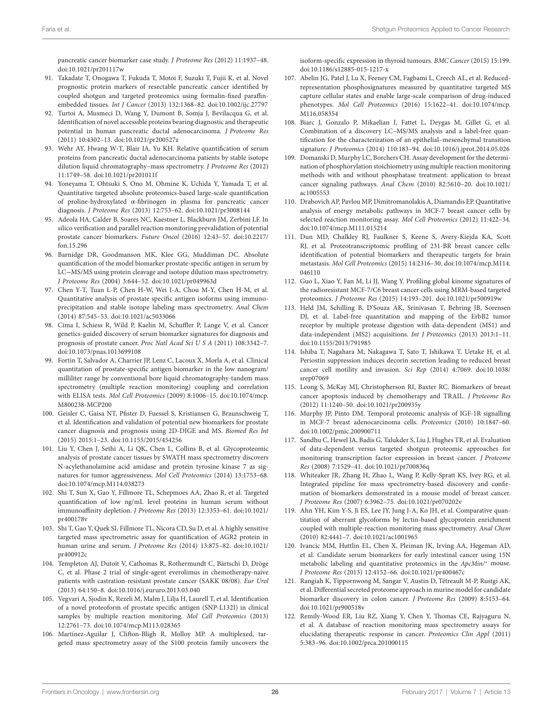<span id="page-25-35"></span><span id="page-25-15"></span><span id="page-25-14"></span><span id="page-25-13"></span>pancreatic cancer biomarker case study. *J Proteome Res* (2012) 11:1937–48. doi:[10.1021/pr201117w](https://doi.org/10.1021/pr201117w)

- 91. Takadate T, Onogawa T, Fukuda T, Motoi F, Suzuki T, Fujii K, et al. Novel prognostic protein markers of resectable pancreatic cancer identified by coupled shotgun and targeted proteomics using formalin-fixed paraffinembedded tissues. *Int J Cancer* (2013) 132:1368–82. doi[:10.1002/ijc.27797](https://doi.org/10.1002/ijc.27797)
- <span id="page-25-36"></span>92. Turtoi A, Musmeci D, Wang Y, Dumont B, Somja J, Bevilacqua G, et al. Identification of novel accessible proteins bearing diagnostic and therapeutic potential in human pancreatic ductal adenocarcinoma. *J Proteome Res* (2011) 10:4302–13. doi:[10.1021/pr200527z](https://doi.org/10.1021/pr200527z)
- 93. Wehr AY, Hwang W-T, Blair IA, Yu KH. Relative quantification of serum proteins from pancreatic ductal adenocarcinoma patients by stable isotope dilution liquid chromatography–mass spectrometry. *J Proteome Res* (2012) 11:1749–58. doi:[10.1021/pr201011f](https://doi.org/10.1021/pr201011f)
- <span id="page-25-34"></span>94. Yoneyama T, Ohtsuki S, Ono M, Ohmine K, Uchida Y, Yamada T, et al. Quantitative targeted absolute proteomics-based large-scale quantification of proline-hydroxylated α-fibrinogen in plasma for pancreatic cancer diagnosis. *J Proteome Res* (2013) 12:753–62. doi[:10.1021/pr3008144](https://doi.org/10.1021/pr3008144)
- <span id="page-25-32"></span>95. Adeola HA, Calder B, Soares NC, Kaestner L, Blackburn JM, Zerbini LF. In silico verification and parallel reaction monitoring prevalidation of potential prostate cancer biomarkers. *Future Oncol* (2016) 12:43–57. doi[:10.2217/](https://doi.org/10.2217/fon.15.296) [fon.15.296](https://doi.org/10.2217/fon.15.296)
- 96. Barnidge DR, Goodmanson MK, Klee GG, Muddiman DC. Absolute quantification of the model biomarker prostate-specific antigen in serum by LC−MS/MS using protein cleavage and isotope dilution mass spectrometry. *J Proteome Res* (2004) 3:644–52. doi[:10.1021/pr049963d](https://doi.org/10.1021/pr049963d)
- 97. Chen Y-T, Tuan L-P, Chen H-W, Wei I-A, Chou M-Y, Chen H-M, et al. Quantitative analysis of prostate specific antigen isoforms using immunoprecipitation and stable isotope labeling mass spectrometry. *Anal Chem* (2014) 87:545–53. doi[:10.1021/ac5033066](https://doi.org/10.1021/ac5033066)
- <span id="page-25-31"></span><span id="page-25-30"></span>98. Cima I, Schiess R, Wild P, Kaelin M, Schuffler P, Lange V, et al. Cancer genetics-guided discovery of serum biomarker signatures for diagnosis and prognosis of prostate cancer. *Proc Natl Acad Sci U S A* (2011) 108:3342–7. doi:[10.1073/pnas.1013699108](https://doi.org/10.1073/pnas.1013699108)
- 99. Fortin T, Salvador A, Charrier JP, Lenz C, Lacoux X, Morla A, et al. Clinical quantitation of prostate-specific antigen biomarker in the low nanogram/ milliliter range by conventional bore liquid chromatography-tandem mass spectrometry (multiple reaction monitoring) coupling and correlation with ELISA tests. *Mol Cell Proteomics* (2009) 8:1006–15. doi[:10.1074/mcp.](https://doi.org/10.1074/mcp.M800238-MCP200) [M800238-MCP200](https://doi.org/10.1074/mcp.M800238-MCP200)
- <span id="page-25-37"></span>100. Geisler C, Gaisa NT, Pfister D, Fuessel S, Kristiansen G, Braunschweig T, et al. Identification and validation of potential new biomarkers for prostate cancer diagnosis and prognosis using 2D-DIGE and MS. *Biomed Res Int* (2015) 2015:1–23. doi[:10.1155/2015/454256](https://doi.org/10.1155/2015/454256)
- 101. Liu Y, Chen J, Sethi A, Li QK, Chen L, Collins B, et al. Glycoproteomic analysis of prostate cancer tissues by SWATH mass spectrometry discovers N-acylethanolamine acid amidase and protein tyrosine kinase 7 as signatures for tumor aggressiveness. *Mol Cell Proteomics* (2014) 13:1753–68. doi:[10.1074/mcp.M114.038273](https://doi.org/10.1074/mcp.M114.038273)
- 102. Shi T, Sun X, Gao Y, Fillmore TL, Schepmoes AA, Zhao R, et al. Targeted quantification of low ng/mL level proteins in human serum without immunoaffinity depletion. *J Proteome Res* (2013) 12:3353–61. doi[:10.1021/](https://doi.org/10.1021/pr400178v) [pr400178v](https://doi.org/10.1021/pr400178v)
- 103. Shi T, Gao Y, Quek SI, Fillmore TL, Nicora CD, Su D, et al. A highly sensitive targeted mass spectrometric assay for quantification of AGR2 protein in human urine and serum. *J Proteome Res* (2014) 13:875–82. doi[:10.1021/](https://doi.org/10.1021/pr400912c) [pr400912c](https://doi.org/10.1021/pr400912c)
- 104. Templeton AJ, Dutoit V, Cathomas R, Rothermundt C, Bärtschi D, Dröge C, et al. Phase 2 trial of single-agent everolimus in chemotherapy-naive patients with castration-resistant prostate cancer (SAKK 08/08). *Eur Urol* (2013) 64:150–8. doi:[10.1016/j.eururo.2013.03.040](https://doi.org/10.1016/j.eururo.2013.03.040)
- 105. Vegvari A, Sjodin K, Rezeli M, Malm J, Lilja H, Laurell T, et al. Identification of a novel proteoform of prostate specific antigen (SNP-L132I) in clinical samples by multiple reaction monitoring. *Mol Cell Proteomics* (2013) 12:2761–73. doi:[10.1074/mcp.M113.028365](https://doi.org/10.1074/mcp.M113.028365)
- <span id="page-25-38"></span>106. Martínez-Aguilar J, Clifton-Bligh R, Molloy MP. A multiplexed, targeted mass spectrometry assay of the S100 protein family uncovers the

<span id="page-25-9"></span><span id="page-25-8"></span><span id="page-25-7"></span><span id="page-25-6"></span><span id="page-25-5"></span><span id="page-25-4"></span><span id="page-25-3"></span><span id="page-25-2"></span><span id="page-25-1"></span><span id="page-25-0"></span>isoform-specific expression in thyroid tumours. *BMC Cancer* (2015) 15:199. doi:[10.1186/s12885-015-1217-x](https://doi.org/10.1186/s12885-015-1217-x)

- <span id="page-25-12"></span><span id="page-25-11"></span><span id="page-25-10"></span>107. Abelin JG, Patel J, Lu X, Feeney CM, Fagbami L, Creech AL, et al. Reducedrepresentation phosphosignatures measured by quantitative targeted MS capture cellular states and enable large-scale comparison of drug-induced phenotypes. *Mol Cell Proteomics* (2016) 15:1622–41. doi[:10.1074/mcp.](https://doi.org/10.1074/mcp.M116.058354) [M116.058354](https://doi.org/10.1074/mcp.M116.058354)
- 108. Biarc J, Gonzalo P, Mikaelian I, Fattet L, Deygas M, Gillet G, et al. Combination of a discovery LC–MS/MS analysis and a label-free quantification for the characterization of an epithelial–mesenchymal transition signature. *J Proteomics* (2014) 110:183–94. doi:[10.1016/j.jprot.2014.05.026](https://doi.org/10.1016/j.jprot.2014.05.026)
- 109. Domanski D, Murphy LC, Borchers CH. Assay development for the determination of phosphorylation stoichiometry using multiple reaction monitoring methods with and without phosphatase treatment: application to breast cancer signaling pathways. *Anal Chem* (2010) 82:5610–20. doi:[10.1021/](https://doi.org/10.1021/ac1005553) [ac1005553](https://doi.org/10.1021/ac1005553)
- 110. Drabovich AP, Pavlou MP, Dimitromanolakis A, Diamandis EP. Quantitative analysis of energy metabolic pathways in MCF-7 breast cancer cells by selected reaction monitoring assay. *Mol Cell Proteomics* (2012) 11:422–34. doi:[10.1074/mcp.M111.015214](https://doi.org/10.1074/mcp.M111.015214)
- 111. Dun MD, Chalkley RJ, Faulkner S, Keene S, Avery-Kiejda KA, Scott RJ, et al. Proteotranscriptomic profiling of 231-BR breast cancer cells: identification of potential biomarkers and therapeutic targets for brain metastasis. *Mol Cell Proteomics* (2015) 14:2316–30. doi:[10.1074/mcp.M114.](https://doi.org/10.1074/mcp.M114.046110) [046110](https://doi.org/10.1074/mcp.M114.046110)
- <span id="page-25-40"></span>112. Guo L, Xiao Y, Fan M, Li JJ, Wang Y. Profiling global kinome signatures of the radioresistant MCF-7/C6 breast cancer cells using MRM-based targeted proteomics. *J Proteome Res* (2015) 14:193–201. doi:[10.1021/pr500919w](https://doi.org/10.1021/pr500919w)
- <span id="page-25-39"></span><span id="page-25-29"></span><span id="page-25-28"></span><span id="page-25-27"></span><span id="page-25-26"></span><span id="page-25-25"></span><span id="page-25-24"></span><span id="page-25-23"></span><span id="page-25-22"></span><span id="page-25-21"></span><span id="page-25-20"></span><span id="page-25-19"></span><span id="page-25-18"></span><span id="page-25-17"></span><span id="page-25-16"></span>113. Held JM, Schilling B, D'Souza AK, Srinivasan T, Behring JB, Sorensen DJ, et al. Label-free quantitation and mapping of the ErbB2 tumor receptor by multiple protease digestion with data-dependent (MS1) and data-independent (MS2) acquisitions. *Int J Proteomics* (2013) 2013:1–11. doi:[10.1155/2013/791985](https://doi.org/10.1155/2013/791985)
- 114. Ishiba T, Nagahara M, Nakagawa T, Sato T, Ishikawa T, Uetake H, et al. Periostin suppression induces decorin secretion leading to reduced breast cancer cell motility and invasion. *Sci Rep* (2014) 4:7069. doi:[10.1038/](https://doi.org/10.1038/srep07069) [srep07069](https://doi.org/10.1038/srep07069)
- 115. Leong S, McKay MJ, Christopherson RI, Baxter RC. Biomarkers of breast cancer apoptosis induced by chemotherapy and TRAIL. *J Proteome Res* (2012) 11:1240–50. doi:[10.1021/pr200935y](https://doi.org/10.1021/pr200935y)
- <span id="page-25-33"></span>116. Murphy JP, Pinto DM. Temporal proteomic analysis of IGF-1R signalling in MCF-7 breast adenocarcinoma cells. *Proteomics* (2010) 10:1847–60. doi:[10.1002/pmic.200900711](https://doi.org/10.1002/pmic.200900711)
- 117. Sandhu C, Hewel JA, Badis G, Talukder S, Liu J, Hughes TR, et al. Evaluation of data-dependent versus targeted shotgun proteomic approaches for monitoring transcription factor expression in breast cancer. *J Proteome Res* (2008) 7:1529–41. doi[:10.1021/pr700836q](https://doi.org/10.1021/pr700836q)
- 118. Whiteaker JR, Zhang H, Zhao L, Wang P, Kelly-Spratt KS, Ivey RG, et al. Integrated pipeline for mass spectrometry-based discovery and confirmation of biomarkers demonstrated in a mouse model of breast cancer. *J Proteome Res* (2007) 6:3962–75. doi[:10.1021/pr070202v](https://doi.org/10.1021/pr070202v)
- 119. Ahn YH, Kim Y-S, Ji ES, Lee JY, Jung J-A, Ko JH, et al. Comparative quantitation of aberrant glycoforms by lectin-based glycoprotein enrichment coupled with multiple-reaction monitoring mass spectrometry. *Anal Chem* (2010) 82:4441–7. doi:[10.1021/ac1001965](https://doi.org/10.1021/ac1001965)
- 120. Ivancic MM, Huttlin EL, Chen X, Pleiman JK, Irving AA, Hegeman AD, et al. Candidate serum biomarkers for early intestinal cancer using 15N metabolic labeling and quantitative proteomics in the *ApcMin/<sup>+</sup>* mouse. *J Proteome Res* (2013) 12:4152–66. doi[:10.1021/pr400467c](https://doi.org/10.1021/pr400467c)
- 121. Rangiah K, Tippornwong M, Sangar V, Austin D, Tétreault M-P, Rustgi AK, et al. Differential secreted proteome approach in murine model for candidate biomarker discovery in colon cancer. *J Proteome Res* (2009) 8:5153–64. doi:[10.1021/pr900518v](https://doi.org/10.1021/pr900518v)
- 122. Remily-Wood ER, Liu RZ, Xiang Y, Chen Y, Thomas CE, Rajyaguru N, et al. A database of reaction monitoring mass spectrometry assays for elucidating therapeutic response in cancer. *Proteomics Clin Appl* (2011) 5:383–96. doi[:10.1002/prca.201000115](https://doi.org/10.1002/prca.201000115)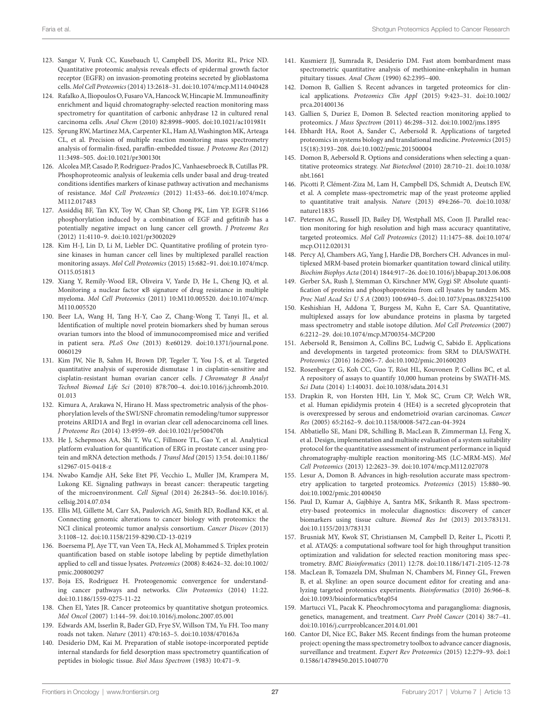- <span id="page-26-42"></span>123. Sangar V, Funk CC, Kusebauch U, Campbell DS, Moritz RL, Price ND. Quantitative proteomic analysis reveals effects of epidermal growth factor receptor (EGFR) on invasion-promoting proteins secreted by glioblastoma cells. *Mol Cell Proteomics* (2014) 13:2618–31. doi[:10.1074/mcp.M114.040428](https://doi.org/10.1074/mcp.M114.040428)
- 124. Rafalko A, Iliopoulos O, Fusaro VA, Hancock W, Hincapie M. Immunoaffinity enrichment and liquid chromatography-selected reaction monitoring mass spectrometry for quantitation of carbonic anhydrase 12 in cultured renal carcinoma cells. *Anal Chem* (2010) 82:8998–9005. doi:[10.1021/ac101981t](https://doi.org/10.1021/ac101981t)
- <span id="page-26-39"></span>125. Sprung RW, Martinez MA, Carpenter KL, Ham AJ, Washington MK, Arteaga CL, et al. Precision of multiple reaction monitoring mass spectrometry analysis of formalin-fixed, paraffin-embedded tissue. *J Proteome Res* (2012) 11:3498–505. doi[:10.1021/pr300130t](https://doi.org/10.1021/pr300130t)
- <span id="page-26-43"></span>126. Alcolea MP, Casado P, Rodriguez-Prados JC, Vanhaesebroeck B, Cutillas PR. Phosphoproteomic analysis of leukemia cells under basal and drug-treated conditions identifies markers of kinase pathway activation and mechanisms of resistance. *Mol Cell Proteomics* (2012) 11:453–66. doi[:10.1074/mcp.](https://doi.org/10.1074/mcp.M112.017483) M<sub>112</sub>.017483
- 127. Assiddiq BF, Tan KY, Toy W, Chan SP, Chong PK, Lim YP. EGFR S1166 phosphorylation induced by a combination of EGF and gefitinib has a potentially negative impact on lung cancer cell growth. *J Proteome Res* (2012) 11:4110–9. doi[:10.1021/pr3002029](https://doi.org/10.1021/pr3002029)
- <span id="page-26-26"></span>128. Kim H-J, Lin D, Li M, Liebler DC. Quantitative profiling of protein tyrosine kinases in human cancer cell lines by multiplexed parallel reaction monitoring assays. *Mol Cell Proteomics* (2015) 15:682–91. doi[:10.1074/mcp.](https://doi.org/10.1074/mcp.O115.051813) [O115.051813](https://doi.org/10.1074/mcp.O115.051813)
- <span id="page-26-41"></span>129. Xiang Y, Remily-Wood ER, Oliveira V, Yarde D, He L, Cheng JQ, et al. Monitoring a nuclear factor κB signature of drug resistance in multiple myeloma. *Mol Cell Proteomics* (2011) 10:M110.005520. doi[:10.1074/mcp.](https://doi.org/10.1074/mcp.M110.005520) [M110.005520](https://doi.org/10.1074/mcp.M110.005520)
- 130. Beer LA, Wang H, Tang H-Y, Cao Z, Chang-Wong T, Tanyi JL, et al. Identification of multiple novel protein biomarkers shed by human serous ovarian tumors into the blood of immunocompromised mice and verified in patient sera. *PLoS One* (2013) 8:e60129. doi:[10.1371/journal.pone.](https://doi.org/10.1371/journal.pone.0060129) [0060129](https://doi.org/10.1371/journal.pone.0060129)
- <span id="page-26-40"></span>131. Kim JW, Nie B, Sahm H, Brown DP, Tegeler T, You J-S, et al. Targeted quantitative analysis of superoxide dismutase 1 in cisplatin-sensitive and cisplatin-resistant human ovarian cancer cells. *J Chromatogr B Analyt Technol Biomed Life Sci* (2010) 878:700–4. doi[:10.1016/j.jchromb.2010.](https://doi.org/10.1016/j.jchromb.2010.01.013) [01.013](https://doi.org/10.1016/j.jchromb.2010.01.013)
- 132. Kimura A, Arakawa N, Hirano H. Mass spectrometric analysis of the phosphorylation levels of the SWI/SNF chromatin remodeling/tumor suppressor proteins ARID1A and Brg1 in ovarian clear cell adenocarcinoma cell lines. *J Proteome Res* (2014) 13:4959–69. doi[:10.1021/pr500470h](https://doi.org/10.1021/pr500470h)
- 133. He J, Schepmoes AA, Shi T, Wu C, Fillmore TL, Gao Y, et al. Analytical platform evaluation for quantification of ERG in prostate cancer using protein and mRNA detection methods. *J Transl Med* (2015) 13:54. doi[:10.1186/](https://doi.org/10.1186/s12967-015-0418-z) [s12967-015-0418-z](https://doi.org/10.1186/s12967-015-0418-z)
- <span id="page-26-0"></span>134. Nwabo Kamdje AH, Seke Etet PF, Vecchio L, Muller JM, Krampera M, Lukong KE. Signaling pathways in breast cancer: therapeutic targeting of the microenvironment. *Cell Signal* (2014) 26:2843–56. doi:[10.1016/j.](https://doi.org/10.1016/j.cellsig.2014.07.034) [cellsig.2014.07.034](https://doi.org/10.1016/j.cellsig.2014.07.034)
- <span id="page-26-1"></span>135. Ellis MJ, Gillette M, Carr SA, Paulovich AG, Smith RD, Rodland KK, et al. Connecting genomic alterations to cancer biology with proteomics: the NCI clinical proteomic tumor analysis consortium. *Cancer Discov* (2013) 3:1108–12. doi:[10.1158/2159-8290.CD-13-0219](https://doi.org/10.1158/2159-8290.CD-13-0219)
- <span id="page-26-2"></span>136. Boersema PJ, Aye TT, van Veen TA, Heck AJ, Mohammed S. Triplex protein quantification based on stable isotope labeling by peptide dimethylation applied to cell and tissue lysates. *Proteomics* (2008) 8:4624–32. doi[:10.1002/](https://doi.org/10.1002/pmic.200800297) [pmic.200800297](https://doi.org/10.1002/pmic.200800297)
- <span id="page-26-3"></span>137. Boja ES, Rodriguez H. Proteogenomic convergence for understanding cancer pathways and networks. *Clin Proteomics* (2014) 11:22. doi:[10.1186/1559-0275-11-22](https://doi.org/10.1186/1559-0275-11-22)
- <span id="page-26-4"></span>138. Chen EI, Yates JR. Cancer proteomics by quantitative shotgun proteomics. *Mol Oncol* (2007) 1:144–59. doi:[10.1016/j.molonc.2007.05.001](https://doi.org/10.1016/j.molonc.2007.05.001)
- <span id="page-26-5"></span>139. Edwards AM, Isserlin R, Bader GD, Frye SV, Willson TM, Yu FH. Too many roads not taken. *Nature* (2011) 470:163–5. doi[:10.1038/470163a](https://doi.org/10.1038/470163a)
- <span id="page-26-17"></span>140. Desiderio DM, Kai M. Preparation of stable isotope-incorporated peptide internal standards for field desorption mass spectrometry quantification of peptides in biologic tissue. *Biol Mass Spectrom* (1983) 10:471–9.
- <span id="page-26-18"></span><span id="page-26-10"></span><span id="page-26-9"></span><span id="page-26-8"></span><span id="page-26-7"></span><span id="page-26-6"></span>141. Kusmierz JJ, Sumrada R, Desiderio DM. Fast atom bombardment mass spectrometric quantitative analysis of methionine-enkephalin in human pituitary tissues. *Anal Chem* (1990) 62:2395–400.
- <span id="page-26-19"></span><span id="page-26-16"></span><span id="page-26-15"></span><span id="page-26-14"></span><span id="page-26-13"></span><span id="page-26-12"></span><span id="page-26-11"></span>142. Domon B, Gallien S. Recent advances in targeted proteomics for clinical applications. *Proteomics Clin Appl* (2015) 9:423–31. doi[:10.1002/](https://doi.org/10.1002/prca.201400136) [prca.201400136](https://doi.org/10.1002/prca.201400136)
- <span id="page-26-20"></span>143. Gallien S, Duriez E, Domon B. Selected reaction monitoring applied to proteomics. *J Mass Spectrom* (2011) 46:298–312. doi[:10.1002/jms.1895](https://doi.org/10.1002/jms.1895)
- <span id="page-26-21"></span>144. Ebhardt HA, Root A, Sander C, Aebersold R. Applications of targeted proteomics in systems biology and translational medicine. *Proteomics* (2015) 15(18):3193–208. doi:[10.1002/pmic.201500004](https://doi.org/10.1002/pmic.201500004)
- <span id="page-26-22"></span>145. Domon B, Aebersold R. Options and considerations when selecting a quantitative proteomics strategy. *Nat Biotechnol* (2010) 28:710–21. doi[:10.1038/](https://doi.org/10.1038/nbt.1661) [nbt.1661](https://doi.org/10.1038/nbt.1661)
- <span id="page-26-23"></span>146. Picotti P, Clément-Ziza M, Lam H, Campbell DS, Schmidt A, Deutsch EW, et al. A complete mass-spectrometric map of the yeast proteome applied to quantitative trait analysis. *Nature* (2013) 494:266–70. doi[:10.1038/](https://doi.org/10.1038/nature11835) [nature11835](https://doi.org/10.1038/nature11835)
- <span id="page-26-24"></span>147. Peterson AC, Russell JD, Bailey DJ, Westphall MS, Coon JJ. Parallel reaction monitoring for high resolution and high mass accuracy quantitative, targeted proteomics. *Mol Cell Proteomics* (2012) 11:1475–88. doi[:10.1074/](https://doi.org/10.1074/mcp.O112.020131) [mcp.O112.020131](https://doi.org/10.1074/mcp.O112.020131)
- <span id="page-26-25"></span>148. Percy AJ, Chambers AG, Yang J, Hardie DB, Borchers CH. Advances in multiplexed MRM-based protein biomarker quantitation toward clinical utility. *Biochim Biophys Acta* (2014) 1844:917–26. doi[:10.1016/j.bbapap.2013.06.008](https://doi.org/10.1016/j.bbapap.2013.06.008)
- <span id="page-26-27"></span>149. Gerber SA, Rush J, Stemman O, Kirschner MW, Gygi SP. Absolute quantification of proteins and phosphoproteins from cell lysates by tandem MS. *Proc Natl Acad Sci U S A* (2003) 100:6940–5. doi:[10.1073/pnas.0832254100](https://doi.org/10.1073/pnas.0832254100)
- <span id="page-26-28"></span>150. Keshishian H, Addona T, Burgess M, Kuhn E, Carr SA. Quantitative, multiplexed assays for low abundance proteins in plasma by targeted mass spectrometry and stable isotope dilution. *Mol Cell Proteomics* (2007) 6:2212–29. doi:[10.1074/mcp.M700354-MCP200](https://doi.org/10.1074/mcp.M700354-MCP200)
- <span id="page-26-29"></span>151. Aebersold R, Bensimon A, Collins BC, Ludwig C, Sabido E. Applications and developments in targeted proteomics: from SRM to DIA/SWATH. *Proteomics* (2016) 16:2065–7. doi:[10.1002/pmic.201600203](https://doi.org/10.1002/pmic.201600203)
- <span id="page-26-30"></span>152. Rosenberger G, Koh CC, Guo T, Röst HL, Kouvonen P, Collins BC, et al. A repository of assays to quantify 10,000 human proteins by SWATH-MS. *Sci Data* (2014) 1:140031. doi[:10.1038/sdata.2014.31](https://doi.org/10.1038/sdata.2014.31)
- <span id="page-26-31"></span>153. Drapkin R, von Horsten HH, Lin Y, Mok SC, Crum CP, Welch WR, et al. Human epididymis protein 4 (HE4) is a secreted glycoprotein that is overexpressed by serous and endometrioid ovarian carcinomas. *Cancer Res* (2005) 65:2162–9. doi[:10.1158/0008-5472.can-04-3924](https://doi.org/10.1158/0008-5472.can-04-3924)
- <span id="page-26-32"></span>154. Abbatiello SE, Mani DR, Schilling B, MacLean B, Zimmerman LJ, Feng X, et al. Design, implementation and multisite evaluation of a system suitability protocol for the quantitative assessment of instrument performance in liquid chromatography-multiple reaction monitoring-MS (LC-MRM-MS). *Mol Cell Proteomics* (2013) 12:2623–39. doi[:10.1074/mcp.M112.027078](https://doi.org/10.1074/mcp.M112.027078)
- <span id="page-26-33"></span>155. Lesur A, Domon B. Advances in high-resolution accurate mass spectrometry application to targeted proteomics. *Proteomics* (2015) 15:880–90. doi:[10.1002/pmic.201400450](https://doi.org/10.1002/pmic.201400450)
- <span id="page-26-34"></span>156. Paul D, Kumar A, Gajbhiye A, Santra MK, Srikanth R. Mass spectrometry-based proteomics in molecular diagnostics: discovery of cancer biomarkers using tissue culture. *Biomed Res Int* (2013) 2013:783131. doi:[10.1155/2013/783131](https://doi.org/10.1155/2013/783131)
- <span id="page-26-35"></span>157. Brusniak MY, Kwok ST, Christiansen M, Campbell D, Reiter L, Picotti P, et al. ATAQS: a computational software tool for high throughput transition optimization and validation for selected reaction monitoring mass spectrometry. *BMC Bioinformatics* (2011) 12:78. doi[:10.1186/1471-2105-12-78](https://doi.org/10.1186/1471-2105-12-78)
- <span id="page-26-36"></span>158. MacLean B, Tomazela DM, Shulman N, Chambers M, Finney GL, Frewen B, et al. Skyline: an open source document editor for creating and analyzing targeted proteomics experiments. *Bioinformatics* (2010) 26:966–8. doi:[10.1093/bioinformatics/btq054](https://doi.org/10.1093/bioinformatics/btq054)
- <span id="page-26-37"></span>159. Martucci VL, Pacak K. Pheochromocytoma and paraganglioma: diagnosis, genetics, management, and treatment. *Curr Probl Cancer* (2014) 38:7–41. doi:[10.1016/j.currproblcancer.2014.01.001](https://doi.org/10.1016/j.currproblcancer.2014.01.001)
- <span id="page-26-38"></span>160. Cantor DI, Nice EC, Baker MS. Recent findings from the human proteome project: opening the mass spectrometry toolbox to advance cancer diagnosis, surveillance and treatment. *Expert Rev Proteomics* (2015) 12:279–93. doi[:1](https://doi.org/10.1586/14789450.2015.1040770) [0.1586/14789450.2015.1040770](https://doi.org/10.1586/14789450.2015.1040770)